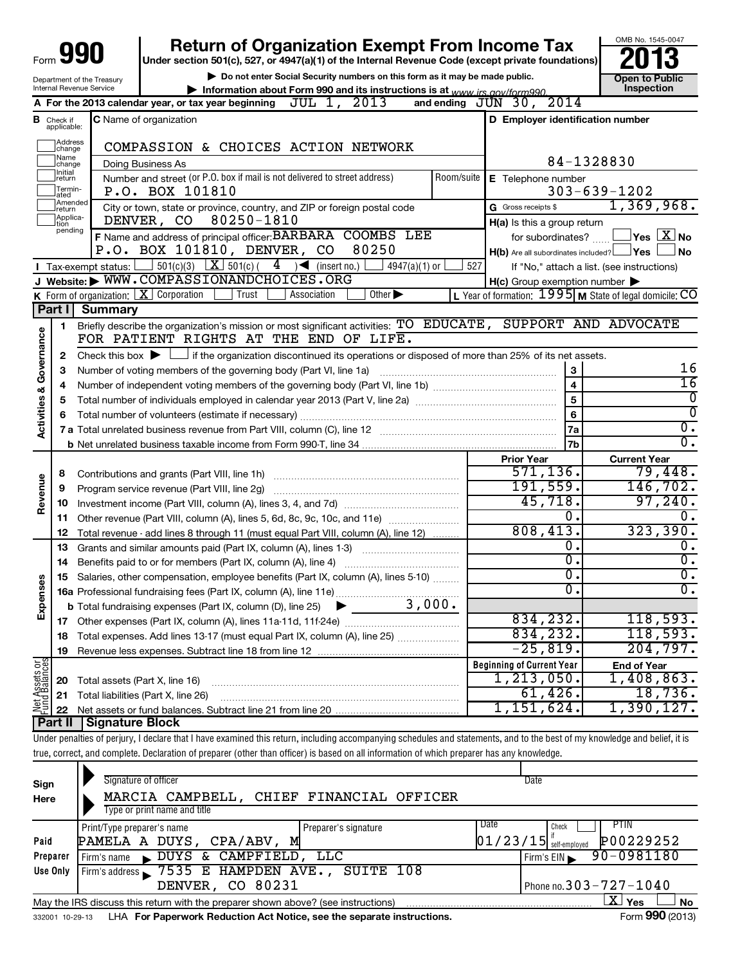|                                    |                                                        | <b>Return of Organization Exempt From Income Tax</b><br>Form 990<br>Under section 501(c), 527, or 4947(a)(1) of the Internal Revenue Code (except private foundations)<br>Do not enter Social Security numbers on this form as it may be made public.                                                                                              |                                                                                                             | OMB No. 1545-0047                                                                                                                 |
|------------------------------------|--------------------------------------------------------|----------------------------------------------------------------------------------------------------------------------------------------------------------------------------------------------------------------------------------------------------------------------------------------------------------------------------------------------------|-------------------------------------------------------------------------------------------------------------|-----------------------------------------------------------------------------------------------------------------------------------|
|                                    |                                                        | Department of the Treasury<br>Internal Revenue Service<br>Information about Form 990 and its instructions is at $www$ irs gov/form990                                                                                                                                                                                                              |                                                                                                             | <b>Open to Public</b><br>Inspection                                                                                               |
|                                    |                                                        | JUL 1, 2013<br>A For the 2013 calendar year, or tax year beginning                                                                                                                                                                                                                                                                                 | and ending $J\check{U}N$ 30, 2014                                                                           |                                                                                                                                   |
|                                    | <b>B</b> Check if<br>applicable:<br> Address<br>change | C Name of organization<br>COMPASSION & CHOICES ACTION NETWORK                                                                                                                                                                                                                                                                                      | D Employer identification number                                                                            |                                                                                                                                   |
|                                    | Name<br>change                                         | Doing Business As                                                                                                                                                                                                                                                                                                                                  |                                                                                                             | 84-1328830                                                                                                                        |
|                                    | Initial<br>return<br>Termin-<br>ated                   | Number and street (or P.O. box if mail is not delivered to street address)<br>P.O. BOX 101810                                                                                                                                                                                                                                                      | Room/suite E Telephone number                                                                               | $303 - 639 - 1202$                                                                                                                |
|                                    | Amended<br>return<br>Applica-<br>tion<br>pending       | City or town, state or province, country, and ZIP or foreign postal code<br>80250-1810<br>DENVER, CO                                                                                                                                                                                                                                               | G Gross receipts \$<br>$H(a)$ is this a group return                                                        | 1,369,968.                                                                                                                        |
|                                    |                                                        | F Name and address of principal officer: BARBARA COOMBS LEE<br>P.O. BOX 101810, DENVER, CO<br>80250                                                                                                                                                                                                                                                | for subordinates?<br>$H(b)$ Are all subordinates included? $\Box$ Yes $\Box$                                | $\Box$ Yes $\Box$ No<br>∫No                                                                                                       |
|                                    |                                                        | $\Box$ 501(c)(3) $\Box$ 501(c)(<br>$4 \rightarrow$ (insert no.)<br>$4947(a)(1)$ or<br><b>I</b> Tax-exempt status: $\lfloor$                                                                                                                                                                                                                        | 527                                                                                                         | If "No," attach a list. (see instructions)                                                                                        |
|                                    |                                                        | J Website: WWW.COMPASSIONANDCHOICES.ORG                                                                                                                                                                                                                                                                                                            | $H(c)$ Group exemption number $\blacktriangleright$                                                         |                                                                                                                                   |
|                                    | Part I                                                 | K Form of organization: $X$ Corporation<br>$\overline{O}$ ther $\blacktriangleright$<br>Trust<br>Association                                                                                                                                                                                                                                       | L Year of formation: 1995 M State of legal domicile: CO                                                     |                                                                                                                                   |
|                                    | 1                                                      | <b>Summary</b><br>Briefly describe the organization's mission or most significant activities: TO EDUCATE, SUPPORT AND ADVOCATE                                                                                                                                                                                                                     |                                                                                                             |                                                                                                                                   |
| Activities & Governance<br>Revenue | з<br>4<br>5<br>6<br>8<br>9<br>10                       | Number of voting members of the governing body (Part VI, line 1a)<br>Program service revenue (Part VIII, line 2g)                                                                                                                                                                                                                                  | $\boldsymbol{3}$<br>$\overline{5}$<br>6<br>7a<br>7b<br><b>Prior Year</b><br>571,136.<br>191,559.<br>45,718. | 16<br>$\overline{16}$<br>0<br>0<br>$\overline{0}$ .<br>$\overline{0}$ .<br><b>Current Year</b><br>79,448.<br>146, 702.<br>97,240. |
|                                    | 11                                                     | Other revenue (Part VIII, column (A), lines 5, 6d, 8c, 9c, 10c, and 11e)                                                                                                                                                                                                                                                                           | 0.                                                                                                          | 0.                                                                                                                                |
|                                    | 12                                                     | Total revenue - add lines 8 through 11 (must equal Part VIII, column (A), line 12)                                                                                                                                                                                                                                                                 | 808, 413.                                                                                                   | 323, 390.                                                                                                                         |
|                                    | 13                                                     | Grants and similar amounts paid (Part IX, column (A), lines 1-3)                                                                                                                                                                                                                                                                                   | 0.                                                                                                          | 0.                                                                                                                                |
|                                    | 14                                                     |                                                                                                                                                                                                                                                                                                                                                    | 0.                                                                                                          | 0.                                                                                                                                |
|                                    | 15                                                     | Salaries, other compensation, employee benefits (Part IX, column (A), lines 5-10)                                                                                                                                                                                                                                                                  | 0                                                                                                           | 0.                                                                                                                                |
| Expense                            |                                                        |                                                                                                                                                                                                                                                                                                                                                    | $\overline{0}$                                                                                              | $\overline{0}$ .                                                                                                                  |
|                                    |                                                        | 3,000.<br><b>b</b> Total fundraising expenses (Part IX, column (D), line 25)                                                                                                                                                                                                                                                                       |                                                                                                             |                                                                                                                                   |
|                                    | 17                                                     |                                                                                                                                                                                                                                                                                                                                                    | 834,232.                                                                                                    | 118,593.                                                                                                                          |
|                                    | 18                                                     | Total expenses. Add lines 13-17 (must equal Part IX, column (A), line 25)                                                                                                                                                                                                                                                                          | 834, 232.                                                                                                   | 118,593.                                                                                                                          |
|                                    | 19                                                     |                                                                                                                                                                                                                                                                                                                                                    | $-25,819$ .                                                                                                 | 204,797.                                                                                                                          |
| Net Assets or<br>Fund Balances     | 20                                                     | Total assets (Part X, line 16)                                                                                                                                                                                                                                                                                                                     | <b>Beginning of Current Year</b><br>1, 213, 050.                                                            | <b>End of Year</b><br>1,408,863.                                                                                                  |
|                                    | 21                                                     | Total liabilities (Part X, line 26)                                                                                                                                                                                                                                                                                                                | 61,426.                                                                                                     | 18,736.                                                                                                                           |
|                                    | 22                                                     |                                                                                                                                                                                                                                                                                                                                                    | 1,151,624.                                                                                                  | 1,390,127.                                                                                                                        |
|                                    | <b>Part II</b>                                         | <b>Signature Block</b><br>Under penalties of perjury, I declare that I have examined this return, including accompanying schedules and statements, and to the best of my knowledge and belief, it is<br>true, correct, and complete. Declaration of preparer (other than officer) is based on all information of which preparer has any knowledge. |                                                                                                             |                                                                                                                                   |
|                                    |                                                        |                                                                                                                                                                                                                                                                                                                                                    |                                                                                                             |                                                                                                                                   |
|                                    |                                                        |                                                                                                                                                                                                                                                                                                                                                    |                                                                                                             |                                                                                                                                   |

| Sign     | Signature of officer                                                                                               | Date                                  |  |  |  |  |  |
|----------|--------------------------------------------------------------------------------------------------------------------|---------------------------------------|--|--|--|--|--|
| Here     | MARCIA CAMPBELL, CHIEF FINANCIAL OFFICER                                                                           |                                       |  |  |  |  |  |
|          | Type or print name and title                                                                                       |                                       |  |  |  |  |  |
|          | Print/Type preparer's name<br>Preparer's signature                                                                 | Date<br>PTIN<br>Check                 |  |  |  |  |  |
| Paid     | PAMELA A DUYS, CPA/ABV,<br>м                                                                                       | P00229252<br>$01/23/15$ self-employed |  |  |  |  |  |
| Preparer | DUYS & CAMPFIELD,<br>LLC<br>Firm's name<br>$\blacksquare$                                                          | 90-0981180<br>Firm's EIN              |  |  |  |  |  |
| Use Only | Firm's address 5 7535 E HAMPDEN AVE., SUITE 108                                                                    |                                       |  |  |  |  |  |
|          | DENVER, CO 80231                                                                                                   | Phone no. $303 - 727 - 1040$          |  |  |  |  |  |
|          | $\mathbf{X}$ Yes<br><b>No</b><br>May the IRS discuss this return with the preparer shown above? (see instructions) |                                       |  |  |  |  |  |
|          | Form 990 (2013)<br>LHA For Paperwork Reduction Act Notice, see the separate instructions.<br>332001 10-29-13       |                                       |  |  |  |  |  |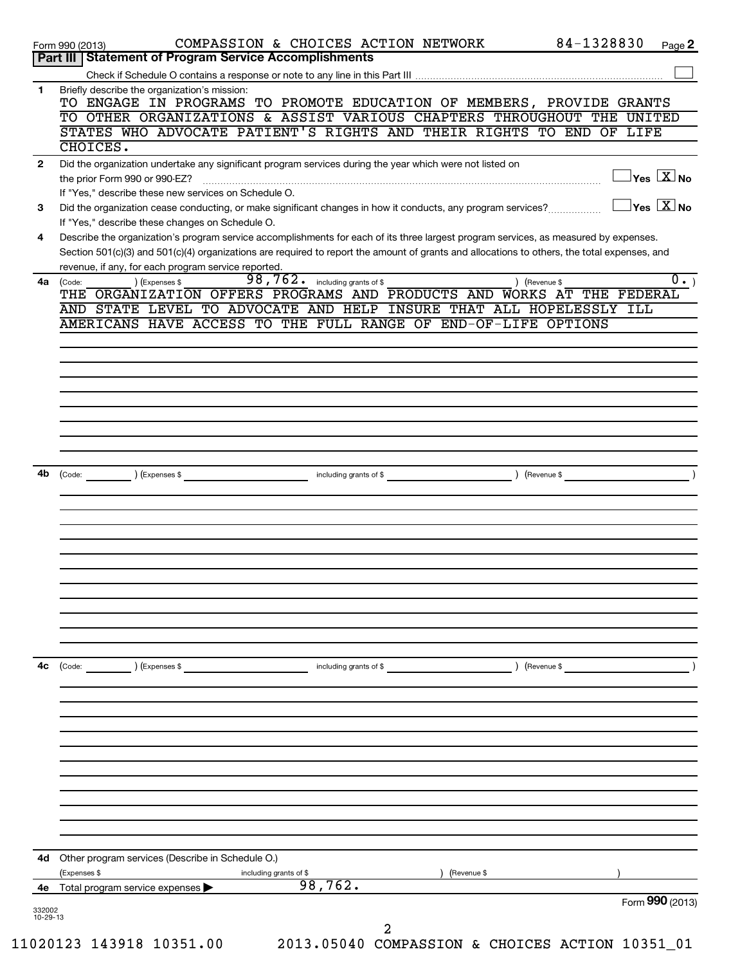| 4c<br>4d<br>332002 | (Code:<br>) (Expenses \$<br>including grants of \$<br>) (Revenue \$<br>Other program services (Describe in Schedule O.)<br>(Expenses \$<br>(Revenue \$<br>including grants of \$<br>98,762.<br>4e Total program service expenses<br>Form 990 (2013) |
|--------------------|-----------------------------------------------------------------------------------------------------------------------------------------------------------------------------------------------------------------------------------------------------|
|                    |                                                                                                                                                                                                                                                     |
|                    |                                                                                                                                                                                                                                                     |
|                    |                                                                                                                                                                                                                                                     |
|                    |                                                                                                                                                                                                                                                     |
|                    |                                                                                                                                                                                                                                                     |
|                    |                                                                                                                                                                                                                                                     |
|                    |                                                                                                                                                                                                                                                     |
|                    |                                                                                                                                                                                                                                                     |
|                    |                                                                                                                                                                                                                                                     |
|                    |                                                                                                                                                                                                                                                     |
|                    |                                                                                                                                                                                                                                                     |
|                    |                                                                                                                                                                                                                                                     |
|                    |                                                                                                                                                                                                                                                     |
|                    |                                                                                                                                                                                                                                                     |
|                    |                                                                                                                                                                                                                                                     |
|                    |                                                                                                                                                                                                                                                     |
|                    |                                                                                                                                                                                                                                                     |
|                    |                                                                                                                                                                                                                                                     |
|                    |                                                                                                                                                                                                                                                     |
|                    |                                                                                                                                                                                                                                                     |
|                    |                                                                                                                                                                                                                                                     |
| 4b                 | ) (Revenue \$<br>including grants of \$<br>(Code: ) (Expenses \$                                                                                                                                                                                    |
|                    |                                                                                                                                                                                                                                                     |
|                    |                                                                                                                                                                                                                                                     |
|                    |                                                                                                                                                                                                                                                     |
|                    |                                                                                                                                                                                                                                                     |
|                    |                                                                                                                                                                                                                                                     |
|                    |                                                                                                                                                                                                                                                     |
|                    | AMERICANS HAVE ACCESS TO THE FULL RANGE OF END-OF-LIFE OPTIONS                                                                                                                                                                                      |
|                    | THE ORGANIZATION OFFERS PROGRAMS AND PRODUCTS AND WORKS AT THE FEDERAL<br>AND STATE LEVEL TO ADVOCATE AND HELP INSURE THAT ALL HOPELESSLY ILL                                                                                                       |
| 4a                 | $\overline{98,762}$ . including grants of \$<br>$\overline{0}$ .)<br>) (Expenses \$<br>) (Revenue \$<br>(Code:                                                                                                                                      |
|                    | Section 501(c)(3) and 501(c)(4) organizations are required to report the amount of grants and allocations to others, the total expenses, and<br>revenue, if any, for each program service reported.                                                 |
| 4                  | Describe the organization's program service accomplishments for each of its three largest program services, as measured by expenses.                                                                                                                |
|                    | Did the organization cease conducting, or make significant changes in how it conducts, any program services?<br>If "Yes," describe these changes on Schedule O.                                                                                     |
| 3                  | If "Yes," describe these new services on Schedule O.<br>$\Box$ Yes $[\overline{\mathrm{X}}]$ No                                                                                                                                                     |
|                    | $\exists$ Yes $\boxed{\text{X}}$ No<br>the prior Form 990 or 990-EZ?                                                                                                                                                                                |
| $\mathbf{2}$       | CHOICES.<br>Did the organization undertake any significant program services during the year which were not listed on                                                                                                                                |
|                    | STATES WHO ADVOCATE PATIENT'S RIGHTS AND THEIR RIGHTS TO END OF LIFE                                                                                                                                                                                |
|                    | TO OTHER ORGANIZATIONS & ASSIST VARIOUS CHAPTERS THROUGHOUT THE UNITED                                                                                                                                                                              |
| 1.                 | Briefly describe the organization's mission:<br>TO ENGAGE IN PROGRAMS TO PROMOTE EDUCATION OF MEMBERS, PROVIDE GRANTS                                                                                                                               |
|                    |                                                                                                                                                                                                                                                     |
|                    | 84-1328830<br>COMPASSION & CHOICES ACTION NETWORK<br>Page 2<br>Form 990 (2013)<br><b>Part III   Statement of Program Service Accomplishments</b>                                                                                                    |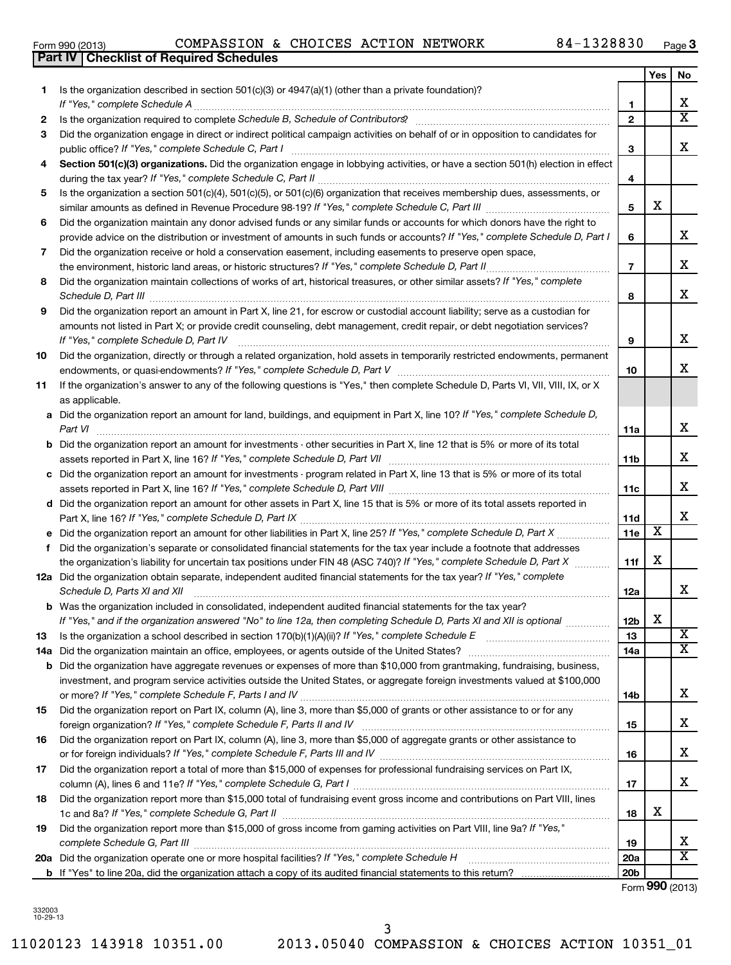332003 10-29-13 **20a** Did the organization operate one or more hospital facilities? If "Yes," complete Schedule H **b** If "Yes" to line 20a, did the organization attach a copy of its audited financial statements to this return?

*If "Yes," complete Schedule D, Part V If "Yes," complete Schedule D, Part VII* Did the organization, directly or through a related organization, hold assets in temporarily restricted endowments, permanent Did the organization report an amount for investments - other securities in Part X, line 12 that is 5% or more of its total

|                                        | amounts not listed in Part X; or provide credit counseling, debt management, credit repair, or debt negotiation services? |
|----------------------------------------|---------------------------------------------------------------------------------------------------------------------------|
| If "Yes," complete Schedule D, Part IV |                                                                                                                           |

Did the organization receive or hold a conservation easement, including easements to preserve open space,

| 10 Did the organization, directly or through a related organization, hold assets in temporarily restricted endowments, permanent    |
|-------------------------------------------------------------------------------------------------------------------------------------|
| endowments, or quasi-endowments? If "Yes," complete Schedule D, Part V                                                              |
| 11 If the organization's answer to any of the following questions is "Yes," then complete Schedule D, Parts VI, VII, VIII, IX, or X |

Did the organization report an amount in Part X, line 21, for escrow or custodial account liability; serve as a custodian for

| as applicable.                                                                                                                       |
|--------------------------------------------------------------------------------------------------------------------------------------|
| a Did the organization report an amount for land, buildings, and equipment in Part X, line 10? If "Yes," complete Schedule D,        |
| Part VI                                                                                                                              |
| <b>b</b> Did the organization report an amount for investments - other securities in Part X, line 12 that is 5% or more of its total |

| assets reported in Part X, line 16? If "Yes," complete Schedule D, Part VII                                                  |
|------------------------------------------------------------------------------------------------------------------------------|
| c Did the organization report an amount for investments - program related in Part X, line 13 that is 5% or more of its total |
|                                                                                                                              |

| assets reported in Part X, line 16? If "Yes," complete Schedule D, Part VIII                                                   |
|--------------------------------------------------------------------------------------------------------------------------------|
| d Did the organization report an amount for other assets in Part X, line 15 that is 5% or more of its total assets reported in |
| Part X, line 16? If "Yes," complete Schedule D, Part IX                                                                        |

| e Did the organization report an amount for other liabilities in Part X, line 25? If "Yes," complete Schedule D, Part X   |
|---------------------------------------------------------------------------------------------------------------------------|
| f Did the organization's separate or consolidated financial statements for the tax year include a footnote that addresses |
| the organization's liability for uncertain tax positions under FIN 48 (ASC 740)? If "Yes," complete Schedule D, Part X    |

**12a** Did the organization obtain separate, independent audited financial statements for the tax year? If "Yes," complete

|     | Schedule D, Parts XI and XII                                                                                                                                                                                                                                                                                    | 12a |   |
|-----|-----------------------------------------------------------------------------------------------------------------------------------------------------------------------------------------------------------------------------------------------------------------------------------------------------------------|-----|---|
|     | <b>b</b> Was the organization included in consolidated, independent audited financial statements for the tax year?<br>If "Yes," and if the organization answered "No" to line 12a, then completing Schedule D, Parts XI and XII is optional                                                                     | 12b | х |
| 13  | Is the organization a school described in section $170(b)(1)(A)(ii)?$ If "Yes," complete Schedule E                                                                                                                                                                                                             | 13  |   |
| 14a | Did the organization maintain an office, employees, or agents outside of the United States?                                                                                                                                                                                                                     | 14a |   |
| b   | Did the organization have aggregate revenues or expenses of more than \$10,000 from grantmaking, fundraising, business,<br>investment, and program service activities outside the United States, or aggregate foreign investments valued at \$100,000<br>or more? If "Yes," complete Schedule F, Parts I and IV | 14b |   |
| 15  | Did the organization report on Part IX, column (A), line 3, more than \$5,000 of grants or other assistance to or for any<br>foreign organization? If "Yes," complete Schedule F, Parts II and IV                                                                                                               | 15  |   |
| 16  | Did the organization report on Part IX, column (A), line 3, more than \$5,000 of aggregate grants or other assistance to<br>or for foreign individuals? If "Yes," complete Schedule F, Parts III and IV                                                                                                         | 16  |   |
| 17  | Did the organization report a total of more than \$15,000 of expenses for professional fundraising services on Part IX,<br>column (A), lines 6 and 11e? If "Yes," complete Schedule G, Part I                                                                                                                   | 17  |   |
| 18  | Did the organization report more than \$15,000 total of fundraising event gross income and contributions on Part VIII, lines                                                                                                                                                                                    |     |   |

1c and 8a? If "Yes," complete Schedule G, *Part II <sub>………………………………………………………………………………*…………</sub>

*complete Schedule G, Part III* ~~~~~~~~~~~~~~~~~~~~~~~~~~~~~~~~~~~~~~~~~~~~~~~

Did the organization report more than \$15,000 of gross income from gaming activities on Part VIII, line 9a? If "Yes,"

**3** Did the organization engage in direct or indirect political campaign activities on behalf of or in opposition to candidates for

Is the organization described in section 501(c)(3) or 4947(a)(1) (other than a private foundation)?

**Part IV Checklist of Required Schedules**

Section 501(c)(3) organizations. Did the organization engage in lobbying activities, or have a section 501(h) election in effect

during the tax year? If "Yes," complete Schedule C, Part II **manual complete of the complete of the constant of t** 

Is the organization a section 501(c)(4), 501(c)(5), or 501(c)(6) organization that receives membership dues, assessments, or

Did the organization maintain any donor advised funds or any similar funds or accounts for which donors have the right to

similar amounts as defined in Revenue Procedure 98-19? If "Yes," complete Schedule C, Part III *\_\_\_\_\_\_\_\_\_\_\_\_\_\_\_\_\_* 

*If "Yes," complete Schedule D, Part I* provide advice on the distribution or investment of amounts in such funds or accounts?

*If "Yes," complete Schedule D, Part II* the environment, historic land areas, or historic structures? ~~~~~~~~~~~~~~ Did the organization maintain collections of works of art, historical treasures, or other similar assets? If "Yes," complete *Schedule D, Part III* ~~~~~~~~~~~~~~~~~~~~~~~~~~~~~~~~~~~~~~~~~~~~~~~~~~~~

*If "Yes," complete Schedule C, Part I* public office? ~~~~~~~~~~~~~~~~~~~~~~~~~~~~~~~~~~~~

*If "Yes," complete Schedule A* ~~~~~~~~~~~~~~~~~~~~~~~~~~~~~~~~~~~~~~~~~~~~~~~ *Schedule B, Schedule of Contributors* Is the organization required to complete ? ~~~~~~~~~~~~~~~~~~~~~~

Form 990 (2013)  $\,$  COMPASSION & CHOICES ACTION NETWORK  $\,$   $\,$  84-1328830  $\,$   $_{\rm Page}$ **3**

> **1 2**

**3**

**4**

**5**

X

**6**

**7**

**8**

**9**

**10**

**11a**

**11b**

**11c**

**11d 11e**

 $\overline{\text{x}}$ 

X

**11f**

**12a**

**Yes No**

X  $\overline{\textbf{x}}$ 

X

X

X

X

X

X

X

X

X

X

X

 $\overline{\text{x}}$  $\overline{\mathtt{x}}$ 

X

X

X

X

X  $\overline{\text{x}}$ 

X

**18**

**19 20a 20b**

**19**

**1**

**2**

**4**

**5**

**6**

**7**

**8**

**9**

11020123 143918 10351.00 2013.05040 COMPASSION & CHOICES ACTION 10351\_01

~~~~~~~~~~~~~~~~

3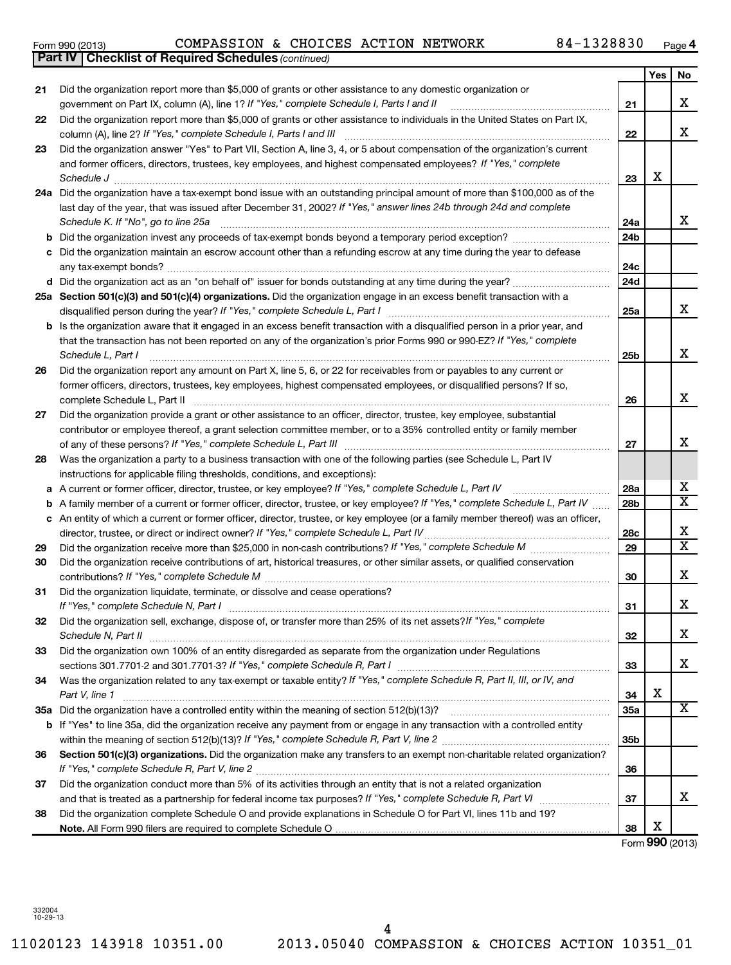11020123 143918 10351.00 2013.05040 COMPASSION & CHOICES ACTION 10351\_01 4

| Form 990 (2013) |  | COMPASSION & CHOICES ACTION NETWORK | 84-1328830 | Page |
|-----------------|--|-------------------------------------|------------|------|

| 84-1328830 | Page 4 |
|------------|--------|
|------------|--------|

|    | <b>Part IV   Checklist of Required Schedules (continued)</b>                                                                            |                 |     |                              |
|----|-----------------------------------------------------------------------------------------------------------------------------------------|-----------------|-----|------------------------------|
|    |                                                                                                                                         |                 | Yes | No                           |
| 21 | Did the organization report more than \$5,000 of grants or other assistance to any domestic organization or                             |                 |     |                              |
|    | government on Part IX, column (A), line 1? If "Yes," complete Schedule I, Parts I and II                                                | 21              |     | x                            |
| 22 | Did the organization report more than \$5,000 of grants or other assistance to individuals in the United States on Part IX,             |                 |     |                              |
|    | column (A), line 2? If "Yes," complete Schedule I, Parts I and III                                                                      | 22              |     | x                            |
| 23 | Did the organization answer "Yes" to Part VII, Section A, line 3, 4, or 5 about compensation of the organization's current              |                 |     |                              |
|    | and former officers, directors, trustees, key employees, and highest compensated employees? If "Yes," complete                          |                 |     |                              |
|    | Schedule J <b>Execute Schedule J Execute Schedule J</b>                                                                                 | 23              | X   |                              |
|    | 24a Did the organization have a tax-exempt bond issue with an outstanding principal amount of more than \$100,000 as of the             |                 |     |                              |
|    | last day of the year, that was issued after December 31, 2002? If "Yes," answer lines 24b through 24d and complete                      |                 |     |                              |
|    | Schedule K. If "No", go to line 25a                                                                                                     | 24a             |     | x                            |
| b  |                                                                                                                                         | 24 <sub>b</sub> |     |                              |
|    | Did the organization maintain an escrow account other than a refunding escrow at any time during the year to defease                    |                 |     |                              |
|    |                                                                                                                                         | 24c             |     |                              |
|    |                                                                                                                                         | 24d             |     |                              |
|    | 25a Section 501(c)(3) and 501(c)(4) organizations. Did the organization engage in an excess benefit transaction with a                  |                 |     |                              |
|    | disqualified person during the year? If "Yes," complete Schedule L, Part I                                                              | 25a             |     | x                            |
| b  | Is the organization aware that it engaged in an excess benefit transaction with a disqualified person in a prior year, and              |                 |     |                              |
|    | that the transaction has not been reported on any of the organization's prior Forms 990 or 990-EZ? If "Yes," complete                   |                 |     |                              |
|    | Schedule L, Part I                                                                                                                      | 25b             |     | X                            |
| 26 | Did the organization report any amount on Part X, line 5, 6, or 22 for receivables from or payables to any current or                   |                 |     |                              |
|    | former officers, directors, trustees, key employees, highest compensated employees, or disqualified persons? If so,                     |                 |     |                              |
|    | complete Schedule L, Part II                                                                                                            | 26              |     | X                            |
| 27 | Did the organization provide a grant or other assistance to an officer, director, trustee, key employee, substantial                    |                 |     |                              |
|    | contributor or employee thereof, a grant selection committee member, or to a 35% controlled entity or family member                     |                 |     |                              |
|    |                                                                                                                                         | 27              |     | x                            |
| 28 | Was the organization a party to a business transaction with one of the following parties (see Schedule L, Part IV                       |                 |     |                              |
|    | instructions for applicable filing thresholds, conditions, and exceptions):                                                             |                 |     |                              |
| а  | A current or former officer, director, trustee, or key employee? If "Yes," complete Schedule L, Part IV                                 | 28a             |     | x                            |
| b  | A family member of a current or former officer, director, trustee, or key employee? If "Yes," complete Schedule L, Part IV              | 28 <sub>b</sub> |     | $\overline{\mathbf{x}}$      |
| c  | An entity of which a current or former officer, director, trustee, or key employee (or a family member thereof) was an officer,         |                 |     |                              |
|    | director, trustee, or direct or indirect owner? If "Yes," complete Schedule L, Part IV                                                  | 28c             |     | х<br>$\overline{\mathbf{x}}$ |
| 29 |                                                                                                                                         | 29              |     |                              |
| 30 | Did the organization receive contributions of art, historical treasures, or other similar assets, or qualified conservation             |                 |     |                              |
|    |                                                                                                                                         | 30              |     | x                            |
| 31 | Did the organization liquidate, terminate, or dissolve and cease operations?                                                            |                 |     | Х                            |
|    | If "Yes," complete Schedule N, Part I                                                                                                   | 31              |     |                              |
| 32 | Did the organization sell, exchange, dispose of, or transfer more than 25% of its net assets? If "Yes," complete<br>Schedule N, Part II | 32              |     | x                            |
| 33 | Did the organization own 100% of an entity disregarded as separate from the organization under Regulations                              |                 |     |                              |
|    |                                                                                                                                         | 33              |     | x                            |
| 34 | Was the organization related to any tax-exempt or taxable entity? If "Yes," complete Schedule R, Part II, III, or IV, and               |                 |     |                              |
|    | Part V, line 1                                                                                                                          | 34              | Х   |                              |
|    |                                                                                                                                         | 35a             |     | X                            |
| b  | If "Yes" to line 35a, did the organization receive any payment from or engage in any transaction with a controlled entity               |                 |     |                              |
|    |                                                                                                                                         | 35b             |     |                              |
| 36 | Section 501(c)(3) organizations. Did the organization make any transfers to an exempt non-charitable related organization?              |                 |     |                              |
|    |                                                                                                                                         | 36              |     |                              |
| 37 | Did the organization conduct more than 5% of its activities through an entity that is not a related organization                        |                 |     |                              |
|    |                                                                                                                                         | 37              |     | x                            |
| 38 | Did the organization complete Schedule O and provide explanations in Schedule O for Part VI, lines 11b and 19?                          |                 |     |                              |
|    |                                                                                                                                         | 38              | х   |                              |

Form (2013) **990**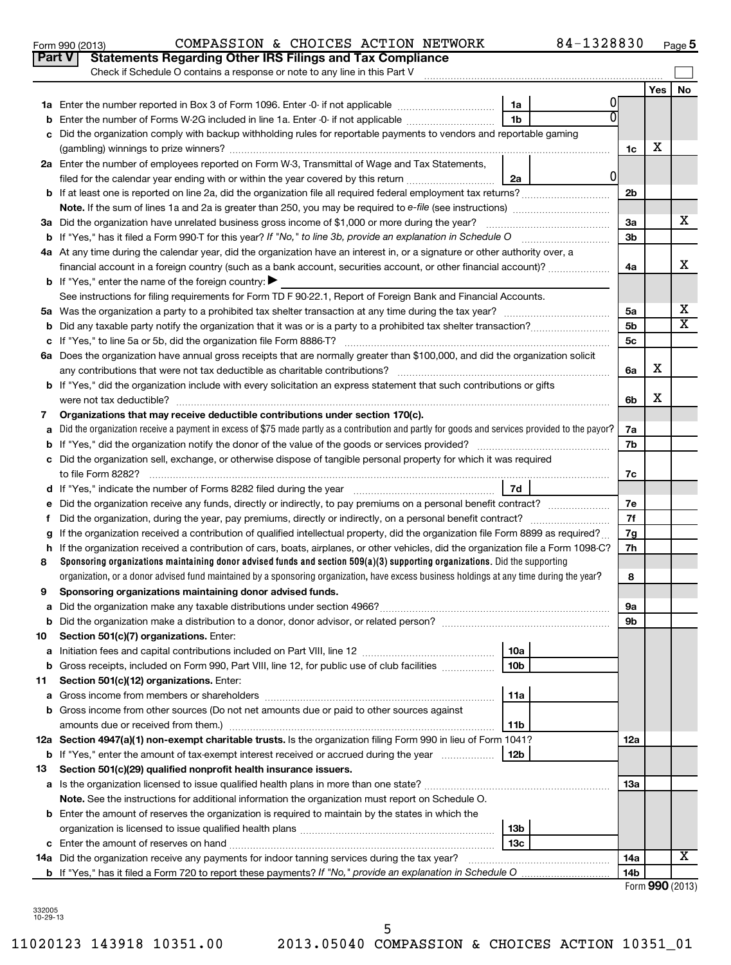| Yes<br>No<br>01<br>1a<br>1 <sub>b</sub><br>Enter the number of Forms W-2G included in line 1a. Enter -0- if not applicable<br>b<br>Did the organization comply with backup withholding rules for reportable payments to vendors and reportable gaming<br>C<br>х<br>1c<br>2a Enter the number of employees reported on Form W-3, Transmittal of Wage and Tax Statements,<br>0l<br>filed for the calendar year ending with or within the year covered by this return<br>2a<br>2 <sub>b</sub><br>x<br>3a Did the organization have unrelated business gross income of \$1,000 or more during the year?<br>3a<br>3b<br>4a At any time during the calendar year, did the organization have an interest in, or a signature or other authority over, a<br>х<br>financial account in a foreign country (such as a bank account, securities account, or other financial account)?<br>4a<br><b>b</b> If "Yes," enter the name of the foreign country:<br>See instructions for filing requirements for Form TD F 90-22.1, Report of Foreign Bank and Financial Accounts.<br>х<br>5a<br>X<br>5 <sub>b</sub><br>b<br>5c<br>с<br>6a Does the organization have annual gross receipts that are normally greater than \$100,000, and did the organization solicit<br>х<br>6a<br><b>b</b> If "Yes," did the organization include with every solicitation an express statement that such contributions or gifts<br>х<br>6b<br>Organizations that may receive deductible contributions under section 170(c).<br>7<br>Did the organization receive a payment in excess of \$75 made partly as a contribution and partly for goods and services provided to the payor?<br>7a<br>a<br>7b<br>b<br>Did the organization sell, exchange, or otherwise dispose of tangible personal property for which it was required<br>c<br>7c<br>d<br>Did the organization receive any funds, directly or indirectly, to pay premiums on a personal benefit contract?<br>7e<br>е<br>7f<br>f<br>If the organization received a contribution of qualified intellectual property, did the organization file Form 8899 as required?<br>7g<br>g<br>If the organization received a contribution of cars, boats, airplanes, or other vehicles, did the organization file a Form 1098-C?<br>7h<br>h<br>Sponsoring organizations maintaining donor advised funds and section $509(a)(3)$ supporting organizations. Did the supporting<br>8<br>organization, or a donor advised fund maintained by a sponsoring organization, have excess business holdings at any time during the year?<br>8<br>Sponsoring organizations maintaining donor advised funds.<br>9<br>9a<br>а<br>9 <sub>b</sub><br>10<br>Section 501(c)(7) organizations. Enter:<br>10a<br>а<br>10 <sub>b</sub><br>Gross receipts, included on Form 990, Part VIII, line 12, for public use of club facilities<br>b<br>11<br>Section 501(c)(12) organizations. Enter:<br>11a<br>а<br>Gross income from other sources (Do not net amounts due or paid to other sources against<br>b<br>11b<br>12a Section 4947(a)(1) non-exempt charitable trusts. Is the organization filing Form 990 in lieu of Form 1041?<br>12a<br>12b<br><b>b</b> If "Yes," enter the amount of tax-exempt interest received or accrued during the year<br>13<br>Section 501(c)(29) qualified nonprofit health insurance issuers.<br><b>13a</b><br>a Is the organization licensed to issue qualified health plans in more than one state?<br>Note. See the instructions for additional information the organization must report on Schedule O.<br><b>b</b> Enter the amount of reserves the organization is required to maintain by the states in which the<br>13b<br>13 <sub>c</sub><br>x<br>14a Did the organization receive any payments for indoor tanning services during the tax year?<br>14a<br>14 <sub>b</sub> | Check if Schedule O contains a response or note to any line in this Part V |  |  |  |  |  |  |  |  |  |  |  |  |
|---------------------------------------------------------------------------------------------------------------------------------------------------------------------------------------------------------------------------------------------------------------------------------------------------------------------------------------------------------------------------------------------------------------------------------------------------------------------------------------------------------------------------------------------------------------------------------------------------------------------------------------------------------------------------------------------------------------------------------------------------------------------------------------------------------------------------------------------------------------------------------------------------------------------------------------------------------------------------------------------------------------------------------------------------------------------------------------------------------------------------------------------------------------------------------------------------------------------------------------------------------------------------------------------------------------------------------------------------------------------------------------------------------------------------------------------------------------------------------------------------------------------------------------------------------------------------------------------------------------------------------------------------------------------------------------------------------------------------------------------------------------------------------------------------------------------------------------------------------------------------------------------------------------------------------------------------------------------------------------------------------------------------------------------------------------------------------------------------------------------------------------------------------------------------------------------------------------------------------------------------------------------------------------------------------------------------------------------------------------------------------------------------------------------------------------------------------------------------------------------------------------------------------------------------------------------------------------------------------------------------------------------------------------------------------------------------------------------------------------------------------------------------------------------------------------------------------------------------------------------------------------------------------------------------------------------------------------------------------------------------------------------------------------------------------------------------------------------------------------------------------------------------------------------------------------------------------------------------------------------------------------------------------------------------------------------------------------------------------------------------------------------------------------------------------------------------------------------------------------------------------------------------------------------------------------------------------------------------------------------------------------------------------------------------------------------------------------------------------------------------------------------------------------------------------|----------------------------------------------------------------------------|--|--|--|--|--|--|--|--|--|--|--|--|
|                                                                                                                                                                                                                                                                                                                                                                                                                                                                                                                                                                                                                                                                                                                                                                                                                                                                                                                                                                                                                                                                                                                                                                                                                                                                                                                                                                                                                                                                                                                                                                                                                                                                                                                                                                                                                                                                                                                                                                                                                                                                                                                                                                                                                                                                                                                                                                                                                                                                                                                                                                                                                                                                                                                                                                                                                                                                                                                                                                                                                                                                                                                                                                                                                                                                                                                                                                                                                                                                                                                                                                                                                                                                                                                                                                                                         |                                                                            |  |  |  |  |  |  |  |  |  |  |  |  |
|                                                                                                                                                                                                                                                                                                                                                                                                                                                                                                                                                                                                                                                                                                                                                                                                                                                                                                                                                                                                                                                                                                                                                                                                                                                                                                                                                                                                                                                                                                                                                                                                                                                                                                                                                                                                                                                                                                                                                                                                                                                                                                                                                                                                                                                                                                                                                                                                                                                                                                                                                                                                                                                                                                                                                                                                                                                                                                                                                                                                                                                                                                                                                                                                                                                                                                                                                                                                                                                                                                                                                                                                                                                                                                                                                                                                         |                                                                            |  |  |  |  |  |  |  |  |  |  |  |  |
|                                                                                                                                                                                                                                                                                                                                                                                                                                                                                                                                                                                                                                                                                                                                                                                                                                                                                                                                                                                                                                                                                                                                                                                                                                                                                                                                                                                                                                                                                                                                                                                                                                                                                                                                                                                                                                                                                                                                                                                                                                                                                                                                                                                                                                                                                                                                                                                                                                                                                                                                                                                                                                                                                                                                                                                                                                                                                                                                                                                                                                                                                                                                                                                                                                                                                                                                                                                                                                                                                                                                                                                                                                                                                                                                                                                                         |                                                                            |  |  |  |  |  |  |  |  |  |  |  |  |
|                                                                                                                                                                                                                                                                                                                                                                                                                                                                                                                                                                                                                                                                                                                                                                                                                                                                                                                                                                                                                                                                                                                                                                                                                                                                                                                                                                                                                                                                                                                                                                                                                                                                                                                                                                                                                                                                                                                                                                                                                                                                                                                                                                                                                                                                                                                                                                                                                                                                                                                                                                                                                                                                                                                                                                                                                                                                                                                                                                                                                                                                                                                                                                                                                                                                                                                                                                                                                                                                                                                                                                                                                                                                                                                                                                                                         |                                                                            |  |  |  |  |  |  |  |  |  |  |  |  |
|                                                                                                                                                                                                                                                                                                                                                                                                                                                                                                                                                                                                                                                                                                                                                                                                                                                                                                                                                                                                                                                                                                                                                                                                                                                                                                                                                                                                                                                                                                                                                                                                                                                                                                                                                                                                                                                                                                                                                                                                                                                                                                                                                                                                                                                                                                                                                                                                                                                                                                                                                                                                                                                                                                                                                                                                                                                                                                                                                                                                                                                                                                                                                                                                                                                                                                                                                                                                                                                                                                                                                                                                                                                                                                                                                                                                         |                                                                            |  |  |  |  |  |  |  |  |  |  |  |  |
|                                                                                                                                                                                                                                                                                                                                                                                                                                                                                                                                                                                                                                                                                                                                                                                                                                                                                                                                                                                                                                                                                                                                                                                                                                                                                                                                                                                                                                                                                                                                                                                                                                                                                                                                                                                                                                                                                                                                                                                                                                                                                                                                                                                                                                                                                                                                                                                                                                                                                                                                                                                                                                                                                                                                                                                                                                                                                                                                                                                                                                                                                                                                                                                                                                                                                                                                                                                                                                                                                                                                                                                                                                                                                                                                                                                                         |                                                                            |  |  |  |  |  |  |  |  |  |  |  |  |
|                                                                                                                                                                                                                                                                                                                                                                                                                                                                                                                                                                                                                                                                                                                                                                                                                                                                                                                                                                                                                                                                                                                                                                                                                                                                                                                                                                                                                                                                                                                                                                                                                                                                                                                                                                                                                                                                                                                                                                                                                                                                                                                                                                                                                                                                                                                                                                                                                                                                                                                                                                                                                                                                                                                                                                                                                                                                                                                                                                                                                                                                                                                                                                                                                                                                                                                                                                                                                                                                                                                                                                                                                                                                                                                                                                                                         |                                                                            |  |  |  |  |  |  |  |  |  |  |  |  |
|                                                                                                                                                                                                                                                                                                                                                                                                                                                                                                                                                                                                                                                                                                                                                                                                                                                                                                                                                                                                                                                                                                                                                                                                                                                                                                                                                                                                                                                                                                                                                                                                                                                                                                                                                                                                                                                                                                                                                                                                                                                                                                                                                                                                                                                                                                                                                                                                                                                                                                                                                                                                                                                                                                                                                                                                                                                                                                                                                                                                                                                                                                                                                                                                                                                                                                                                                                                                                                                                                                                                                                                                                                                                                                                                                                                                         |                                                                            |  |  |  |  |  |  |  |  |  |  |  |  |
|                                                                                                                                                                                                                                                                                                                                                                                                                                                                                                                                                                                                                                                                                                                                                                                                                                                                                                                                                                                                                                                                                                                                                                                                                                                                                                                                                                                                                                                                                                                                                                                                                                                                                                                                                                                                                                                                                                                                                                                                                                                                                                                                                                                                                                                                                                                                                                                                                                                                                                                                                                                                                                                                                                                                                                                                                                                                                                                                                                                                                                                                                                                                                                                                                                                                                                                                                                                                                                                                                                                                                                                                                                                                                                                                                                                                         |                                                                            |  |  |  |  |  |  |  |  |  |  |  |  |
|                                                                                                                                                                                                                                                                                                                                                                                                                                                                                                                                                                                                                                                                                                                                                                                                                                                                                                                                                                                                                                                                                                                                                                                                                                                                                                                                                                                                                                                                                                                                                                                                                                                                                                                                                                                                                                                                                                                                                                                                                                                                                                                                                                                                                                                                                                                                                                                                                                                                                                                                                                                                                                                                                                                                                                                                                                                                                                                                                                                                                                                                                                                                                                                                                                                                                                                                                                                                                                                                                                                                                                                                                                                                                                                                                                                                         |                                                                            |  |  |  |  |  |  |  |  |  |  |  |  |
|                                                                                                                                                                                                                                                                                                                                                                                                                                                                                                                                                                                                                                                                                                                                                                                                                                                                                                                                                                                                                                                                                                                                                                                                                                                                                                                                                                                                                                                                                                                                                                                                                                                                                                                                                                                                                                                                                                                                                                                                                                                                                                                                                                                                                                                                                                                                                                                                                                                                                                                                                                                                                                                                                                                                                                                                                                                                                                                                                                                                                                                                                                                                                                                                                                                                                                                                                                                                                                                                                                                                                                                                                                                                                                                                                                                                         |                                                                            |  |  |  |  |  |  |  |  |  |  |  |  |
|                                                                                                                                                                                                                                                                                                                                                                                                                                                                                                                                                                                                                                                                                                                                                                                                                                                                                                                                                                                                                                                                                                                                                                                                                                                                                                                                                                                                                                                                                                                                                                                                                                                                                                                                                                                                                                                                                                                                                                                                                                                                                                                                                                                                                                                                                                                                                                                                                                                                                                                                                                                                                                                                                                                                                                                                                                                                                                                                                                                                                                                                                                                                                                                                                                                                                                                                                                                                                                                                                                                                                                                                                                                                                                                                                                                                         |                                                                            |  |  |  |  |  |  |  |  |  |  |  |  |
|                                                                                                                                                                                                                                                                                                                                                                                                                                                                                                                                                                                                                                                                                                                                                                                                                                                                                                                                                                                                                                                                                                                                                                                                                                                                                                                                                                                                                                                                                                                                                                                                                                                                                                                                                                                                                                                                                                                                                                                                                                                                                                                                                                                                                                                                                                                                                                                                                                                                                                                                                                                                                                                                                                                                                                                                                                                                                                                                                                                                                                                                                                                                                                                                                                                                                                                                                                                                                                                                                                                                                                                                                                                                                                                                                                                                         |                                                                            |  |  |  |  |  |  |  |  |  |  |  |  |
|                                                                                                                                                                                                                                                                                                                                                                                                                                                                                                                                                                                                                                                                                                                                                                                                                                                                                                                                                                                                                                                                                                                                                                                                                                                                                                                                                                                                                                                                                                                                                                                                                                                                                                                                                                                                                                                                                                                                                                                                                                                                                                                                                                                                                                                                                                                                                                                                                                                                                                                                                                                                                                                                                                                                                                                                                                                                                                                                                                                                                                                                                                                                                                                                                                                                                                                                                                                                                                                                                                                                                                                                                                                                                                                                                                                                         |                                                                            |  |  |  |  |  |  |  |  |  |  |  |  |
|                                                                                                                                                                                                                                                                                                                                                                                                                                                                                                                                                                                                                                                                                                                                                                                                                                                                                                                                                                                                                                                                                                                                                                                                                                                                                                                                                                                                                                                                                                                                                                                                                                                                                                                                                                                                                                                                                                                                                                                                                                                                                                                                                                                                                                                                                                                                                                                                                                                                                                                                                                                                                                                                                                                                                                                                                                                                                                                                                                                                                                                                                                                                                                                                                                                                                                                                                                                                                                                                                                                                                                                                                                                                                                                                                                                                         |                                                                            |  |  |  |  |  |  |  |  |  |  |  |  |
|                                                                                                                                                                                                                                                                                                                                                                                                                                                                                                                                                                                                                                                                                                                                                                                                                                                                                                                                                                                                                                                                                                                                                                                                                                                                                                                                                                                                                                                                                                                                                                                                                                                                                                                                                                                                                                                                                                                                                                                                                                                                                                                                                                                                                                                                                                                                                                                                                                                                                                                                                                                                                                                                                                                                                                                                                                                                                                                                                                                                                                                                                                                                                                                                                                                                                                                                                                                                                                                                                                                                                                                                                                                                                                                                                                                                         |                                                                            |  |  |  |  |  |  |  |  |  |  |  |  |
|                                                                                                                                                                                                                                                                                                                                                                                                                                                                                                                                                                                                                                                                                                                                                                                                                                                                                                                                                                                                                                                                                                                                                                                                                                                                                                                                                                                                                                                                                                                                                                                                                                                                                                                                                                                                                                                                                                                                                                                                                                                                                                                                                                                                                                                                                                                                                                                                                                                                                                                                                                                                                                                                                                                                                                                                                                                                                                                                                                                                                                                                                                                                                                                                                                                                                                                                                                                                                                                                                                                                                                                                                                                                                                                                                                                                         |                                                                            |  |  |  |  |  |  |  |  |  |  |  |  |
|                                                                                                                                                                                                                                                                                                                                                                                                                                                                                                                                                                                                                                                                                                                                                                                                                                                                                                                                                                                                                                                                                                                                                                                                                                                                                                                                                                                                                                                                                                                                                                                                                                                                                                                                                                                                                                                                                                                                                                                                                                                                                                                                                                                                                                                                                                                                                                                                                                                                                                                                                                                                                                                                                                                                                                                                                                                                                                                                                                                                                                                                                                                                                                                                                                                                                                                                                                                                                                                                                                                                                                                                                                                                                                                                                                                                         |                                                                            |  |  |  |  |  |  |  |  |  |  |  |  |
|                                                                                                                                                                                                                                                                                                                                                                                                                                                                                                                                                                                                                                                                                                                                                                                                                                                                                                                                                                                                                                                                                                                                                                                                                                                                                                                                                                                                                                                                                                                                                                                                                                                                                                                                                                                                                                                                                                                                                                                                                                                                                                                                                                                                                                                                                                                                                                                                                                                                                                                                                                                                                                                                                                                                                                                                                                                                                                                                                                                                                                                                                                                                                                                                                                                                                                                                                                                                                                                                                                                                                                                                                                                                                                                                                                                                         |                                                                            |  |  |  |  |  |  |  |  |  |  |  |  |
|                                                                                                                                                                                                                                                                                                                                                                                                                                                                                                                                                                                                                                                                                                                                                                                                                                                                                                                                                                                                                                                                                                                                                                                                                                                                                                                                                                                                                                                                                                                                                                                                                                                                                                                                                                                                                                                                                                                                                                                                                                                                                                                                                                                                                                                                                                                                                                                                                                                                                                                                                                                                                                                                                                                                                                                                                                                                                                                                                                                                                                                                                                                                                                                                                                                                                                                                                                                                                                                                                                                                                                                                                                                                                                                                                                                                         |                                                                            |  |  |  |  |  |  |  |  |  |  |  |  |
|                                                                                                                                                                                                                                                                                                                                                                                                                                                                                                                                                                                                                                                                                                                                                                                                                                                                                                                                                                                                                                                                                                                                                                                                                                                                                                                                                                                                                                                                                                                                                                                                                                                                                                                                                                                                                                                                                                                                                                                                                                                                                                                                                                                                                                                                                                                                                                                                                                                                                                                                                                                                                                                                                                                                                                                                                                                                                                                                                                                                                                                                                                                                                                                                                                                                                                                                                                                                                                                                                                                                                                                                                                                                                                                                                                                                         |                                                                            |  |  |  |  |  |  |  |  |  |  |  |  |
|                                                                                                                                                                                                                                                                                                                                                                                                                                                                                                                                                                                                                                                                                                                                                                                                                                                                                                                                                                                                                                                                                                                                                                                                                                                                                                                                                                                                                                                                                                                                                                                                                                                                                                                                                                                                                                                                                                                                                                                                                                                                                                                                                                                                                                                                                                                                                                                                                                                                                                                                                                                                                                                                                                                                                                                                                                                                                                                                                                                                                                                                                                                                                                                                                                                                                                                                                                                                                                                                                                                                                                                                                                                                                                                                                                                                         |                                                                            |  |  |  |  |  |  |  |  |  |  |  |  |
|                                                                                                                                                                                                                                                                                                                                                                                                                                                                                                                                                                                                                                                                                                                                                                                                                                                                                                                                                                                                                                                                                                                                                                                                                                                                                                                                                                                                                                                                                                                                                                                                                                                                                                                                                                                                                                                                                                                                                                                                                                                                                                                                                                                                                                                                                                                                                                                                                                                                                                                                                                                                                                                                                                                                                                                                                                                                                                                                                                                                                                                                                                                                                                                                                                                                                                                                                                                                                                                                                                                                                                                                                                                                                                                                                                                                         |                                                                            |  |  |  |  |  |  |  |  |  |  |  |  |
|                                                                                                                                                                                                                                                                                                                                                                                                                                                                                                                                                                                                                                                                                                                                                                                                                                                                                                                                                                                                                                                                                                                                                                                                                                                                                                                                                                                                                                                                                                                                                                                                                                                                                                                                                                                                                                                                                                                                                                                                                                                                                                                                                                                                                                                                                                                                                                                                                                                                                                                                                                                                                                                                                                                                                                                                                                                                                                                                                                                                                                                                                                                                                                                                                                                                                                                                                                                                                                                                                                                                                                                                                                                                                                                                                                                                         |                                                                            |  |  |  |  |  |  |  |  |  |  |  |  |
|                                                                                                                                                                                                                                                                                                                                                                                                                                                                                                                                                                                                                                                                                                                                                                                                                                                                                                                                                                                                                                                                                                                                                                                                                                                                                                                                                                                                                                                                                                                                                                                                                                                                                                                                                                                                                                                                                                                                                                                                                                                                                                                                                                                                                                                                                                                                                                                                                                                                                                                                                                                                                                                                                                                                                                                                                                                                                                                                                                                                                                                                                                                                                                                                                                                                                                                                                                                                                                                                                                                                                                                                                                                                                                                                                                                                         |                                                                            |  |  |  |  |  |  |  |  |  |  |  |  |
|                                                                                                                                                                                                                                                                                                                                                                                                                                                                                                                                                                                                                                                                                                                                                                                                                                                                                                                                                                                                                                                                                                                                                                                                                                                                                                                                                                                                                                                                                                                                                                                                                                                                                                                                                                                                                                                                                                                                                                                                                                                                                                                                                                                                                                                                                                                                                                                                                                                                                                                                                                                                                                                                                                                                                                                                                                                                                                                                                                                                                                                                                                                                                                                                                                                                                                                                                                                                                                                                                                                                                                                                                                                                                                                                                                                                         |                                                                            |  |  |  |  |  |  |  |  |  |  |  |  |
|                                                                                                                                                                                                                                                                                                                                                                                                                                                                                                                                                                                                                                                                                                                                                                                                                                                                                                                                                                                                                                                                                                                                                                                                                                                                                                                                                                                                                                                                                                                                                                                                                                                                                                                                                                                                                                                                                                                                                                                                                                                                                                                                                                                                                                                                                                                                                                                                                                                                                                                                                                                                                                                                                                                                                                                                                                                                                                                                                                                                                                                                                                                                                                                                                                                                                                                                                                                                                                                                                                                                                                                                                                                                                                                                                                                                         |                                                                            |  |  |  |  |  |  |  |  |  |  |  |  |
|                                                                                                                                                                                                                                                                                                                                                                                                                                                                                                                                                                                                                                                                                                                                                                                                                                                                                                                                                                                                                                                                                                                                                                                                                                                                                                                                                                                                                                                                                                                                                                                                                                                                                                                                                                                                                                                                                                                                                                                                                                                                                                                                                                                                                                                                                                                                                                                                                                                                                                                                                                                                                                                                                                                                                                                                                                                                                                                                                                                                                                                                                                                                                                                                                                                                                                                                                                                                                                                                                                                                                                                                                                                                                                                                                                                                         |                                                                            |  |  |  |  |  |  |  |  |  |  |  |  |
|                                                                                                                                                                                                                                                                                                                                                                                                                                                                                                                                                                                                                                                                                                                                                                                                                                                                                                                                                                                                                                                                                                                                                                                                                                                                                                                                                                                                                                                                                                                                                                                                                                                                                                                                                                                                                                                                                                                                                                                                                                                                                                                                                                                                                                                                                                                                                                                                                                                                                                                                                                                                                                                                                                                                                                                                                                                                                                                                                                                                                                                                                                                                                                                                                                                                                                                                                                                                                                                                                                                                                                                                                                                                                                                                                                                                         |                                                                            |  |  |  |  |  |  |  |  |  |  |  |  |
|                                                                                                                                                                                                                                                                                                                                                                                                                                                                                                                                                                                                                                                                                                                                                                                                                                                                                                                                                                                                                                                                                                                                                                                                                                                                                                                                                                                                                                                                                                                                                                                                                                                                                                                                                                                                                                                                                                                                                                                                                                                                                                                                                                                                                                                                                                                                                                                                                                                                                                                                                                                                                                                                                                                                                                                                                                                                                                                                                                                                                                                                                                                                                                                                                                                                                                                                                                                                                                                                                                                                                                                                                                                                                                                                                                                                         |                                                                            |  |  |  |  |  |  |  |  |  |  |  |  |
|                                                                                                                                                                                                                                                                                                                                                                                                                                                                                                                                                                                                                                                                                                                                                                                                                                                                                                                                                                                                                                                                                                                                                                                                                                                                                                                                                                                                                                                                                                                                                                                                                                                                                                                                                                                                                                                                                                                                                                                                                                                                                                                                                                                                                                                                                                                                                                                                                                                                                                                                                                                                                                                                                                                                                                                                                                                                                                                                                                                                                                                                                                                                                                                                                                                                                                                                                                                                                                                                                                                                                                                                                                                                                                                                                                                                         |                                                                            |  |  |  |  |  |  |  |  |  |  |  |  |
|                                                                                                                                                                                                                                                                                                                                                                                                                                                                                                                                                                                                                                                                                                                                                                                                                                                                                                                                                                                                                                                                                                                                                                                                                                                                                                                                                                                                                                                                                                                                                                                                                                                                                                                                                                                                                                                                                                                                                                                                                                                                                                                                                                                                                                                                                                                                                                                                                                                                                                                                                                                                                                                                                                                                                                                                                                                                                                                                                                                                                                                                                                                                                                                                                                                                                                                                                                                                                                                                                                                                                                                                                                                                                                                                                                                                         |                                                                            |  |  |  |  |  |  |  |  |  |  |  |  |
|                                                                                                                                                                                                                                                                                                                                                                                                                                                                                                                                                                                                                                                                                                                                                                                                                                                                                                                                                                                                                                                                                                                                                                                                                                                                                                                                                                                                                                                                                                                                                                                                                                                                                                                                                                                                                                                                                                                                                                                                                                                                                                                                                                                                                                                                                                                                                                                                                                                                                                                                                                                                                                                                                                                                                                                                                                                                                                                                                                                                                                                                                                                                                                                                                                                                                                                                                                                                                                                                                                                                                                                                                                                                                                                                                                                                         |                                                                            |  |  |  |  |  |  |  |  |  |  |  |  |
|                                                                                                                                                                                                                                                                                                                                                                                                                                                                                                                                                                                                                                                                                                                                                                                                                                                                                                                                                                                                                                                                                                                                                                                                                                                                                                                                                                                                                                                                                                                                                                                                                                                                                                                                                                                                                                                                                                                                                                                                                                                                                                                                                                                                                                                                                                                                                                                                                                                                                                                                                                                                                                                                                                                                                                                                                                                                                                                                                                                                                                                                                                                                                                                                                                                                                                                                                                                                                                                                                                                                                                                                                                                                                                                                                                                                         |                                                                            |  |  |  |  |  |  |  |  |  |  |  |  |
|                                                                                                                                                                                                                                                                                                                                                                                                                                                                                                                                                                                                                                                                                                                                                                                                                                                                                                                                                                                                                                                                                                                                                                                                                                                                                                                                                                                                                                                                                                                                                                                                                                                                                                                                                                                                                                                                                                                                                                                                                                                                                                                                                                                                                                                                                                                                                                                                                                                                                                                                                                                                                                                                                                                                                                                                                                                                                                                                                                                                                                                                                                                                                                                                                                                                                                                                                                                                                                                                                                                                                                                                                                                                                                                                                                                                         |                                                                            |  |  |  |  |  |  |  |  |  |  |  |  |
|                                                                                                                                                                                                                                                                                                                                                                                                                                                                                                                                                                                                                                                                                                                                                                                                                                                                                                                                                                                                                                                                                                                                                                                                                                                                                                                                                                                                                                                                                                                                                                                                                                                                                                                                                                                                                                                                                                                                                                                                                                                                                                                                                                                                                                                                                                                                                                                                                                                                                                                                                                                                                                                                                                                                                                                                                                                                                                                                                                                                                                                                                                                                                                                                                                                                                                                                                                                                                                                                                                                                                                                                                                                                                                                                                                                                         |                                                                            |  |  |  |  |  |  |  |  |  |  |  |  |
|                                                                                                                                                                                                                                                                                                                                                                                                                                                                                                                                                                                                                                                                                                                                                                                                                                                                                                                                                                                                                                                                                                                                                                                                                                                                                                                                                                                                                                                                                                                                                                                                                                                                                                                                                                                                                                                                                                                                                                                                                                                                                                                                                                                                                                                                                                                                                                                                                                                                                                                                                                                                                                                                                                                                                                                                                                                                                                                                                                                                                                                                                                                                                                                                                                                                                                                                                                                                                                                                                                                                                                                                                                                                                                                                                                                                         |                                                                            |  |  |  |  |  |  |  |  |  |  |  |  |
|                                                                                                                                                                                                                                                                                                                                                                                                                                                                                                                                                                                                                                                                                                                                                                                                                                                                                                                                                                                                                                                                                                                                                                                                                                                                                                                                                                                                                                                                                                                                                                                                                                                                                                                                                                                                                                                                                                                                                                                                                                                                                                                                                                                                                                                                                                                                                                                                                                                                                                                                                                                                                                                                                                                                                                                                                                                                                                                                                                                                                                                                                                                                                                                                                                                                                                                                                                                                                                                                                                                                                                                                                                                                                                                                                                                                         |                                                                            |  |  |  |  |  |  |  |  |  |  |  |  |
|                                                                                                                                                                                                                                                                                                                                                                                                                                                                                                                                                                                                                                                                                                                                                                                                                                                                                                                                                                                                                                                                                                                                                                                                                                                                                                                                                                                                                                                                                                                                                                                                                                                                                                                                                                                                                                                                                                                                                                                                                                                                                                                                                                                                                                                                                                                                                                                                                                                                                                                                                                                                                                                                                                                                                                                                                                                                                                                                                                                                                                                                                                                                                                                                                                                                                                                                                                                                                                                                                                                                                                                                                                                                                                                                                                                                         |                                                                            |  |  |  |  |  |  |  |  |  |  |  |  |
|                                                                                                                                                                                                                                                                                                                                                                                                                                                                                                                                                                                                                                                                                                                                                                                                                                                                                                                                                                                                                                                                                                                                                                                                                                                                                                                                                                                                                                                                                                                                                                                                                                                                                                                                                                                                                                                                                                                                                                                                                                                                                                                                                                                                                                                                                                                                                                                                                                                                                                                                                                                                                                                                                                                                                                                                                                                                                                                                                                                                                                                                                                                                                                                                                                                                                                                                                                                                                                                                                                                                                                                                                                                                                                                                                                                                         |                                                                            |  |  |  |  |  |  |  |  |  |  |  |  |
|                                                                                                                                                                                                                                                                                                                                                                                                                                                                                                                                                                                                                                                                                                                                                                                                                                                                                                                                                                                                                                                                                                                                                                                                                                                                                                                                                                                                                                                                                                                                                                                                                                                                                                                                                                                                                                                                                                                                                                                                                                                                                                                                                                                                                                                                                                                                                                                                                                                                                                                                                                                                                                                                                                                                                                                                                                                                                                                                                                                                                                                                                                                                                                                                                                                                                                                                                                                                                                                                                                                                                                                                                                                                                                                                                                                                         |                                                                            |  |  |  |  |  |  |  |  |  |  |  |  |
|                                                                                                                                                                                                                                                                                                                                                                                                                                                                                                                                                                                                                                                                                                                                                                                                                                                                                                                                                                                                                                                                                                                                                                                                                                                                                                                                                                                                                                                                                                                                                                                                                                                                                                                                                                                                                                                                                                                                                                                                                                                                                                                                                                                                                                                                                                                                                                                                                                                                                                                                                                                                                                                                                                                                                                                                                                                                                                                                                                                                                                                                                                                                                                                                                                                                                                                                                                                                                                                                                                                                                                                                                                                                                                                                                                                                         |                                                                            |  |  |  |  |  |  |  |  |  |  |  |  |
|                                                                                                                                                                                                                                                                                                                                                                                                                                                                                                                                                                                                                                                                                                                                                                                                                                                                                                                                                                                                                                                                                                                                                                                                                                                                                                                                                                                                                                                                                                                                                                                                                                                                                                                                                                                                                                                                                                                                                                                                                                                                                                                                                                                                                                                                                                                                                                                                                                                                                                                                                                                                                                                                                                                                                                                                                                                                                                                                                                                                                                                                                                                                                                                                                                                                                                                                                                                                                                                                                                                                                                                                                                                                                                                                                                                                         |                                                                            |  |  |  |  |  |  |  |  |  |  |  |  |
|                                                                                                                                                                                                                                                                                                                                                                                                                                                                                                                                                                                                                                                                                                                                                                                                                                                                                                                                                                                                                                                                                                                                                                                                                                                                                                                                                                                                                                                                                                                                                                                                                                                                                                                                                                                                                                                                                                                                                                                                                                                                                                                                                                                                                                                                                                                                                                                                                                                                                                                                                                                                                                                                                                                                                                                                                                                                                                                                                                                                                                                                                                                                                                                                                                                                                                                                                                                                                                                                                                                                                                                                                                                                                                                                                                                                         |                                                                            |  |  |  |  |  |  |  |  |  |  |  |  |
|                                                                                                                                                                                                                                                                                                                                                                                                                                                                                                                                                                                                                                                                                                                                                                                                                                                                                                                                                                                                                                                                                                                                                                                                                                                                                                                                                                                                                                                                                                                                                                                                                                                                                                                                                                                                                                                                                                                                                                                                                                                                                                                                                                                                                                                                                                                                                                                                                                                                                                                                                                                                                                                                                                                                                                                                                                                                                                                                                                                                                                                                                                                                                                                                                                                                                                                                                                                                                                                                                                                                                                                                                                                                                                                                                                                                         |                                                                            |  |  |  |  |  |  |  |  |  |  |  |  |
|                                                                                                                                                                                                                                                                                                                                                                                                                                                                                                                                                                                                                                                                                                                                                                                                                                                                                                                                                                                                                                                                                                                                                                                                                                                                                                                                                                                                                                                                                                                                                                                                                                                                                                                                                                                                                                                                                                                                                                                                                                                                                                                                                                                                                                                                                                                                                                                                                                                                                                                                                                                                                                                                                                                                                                                                                                                                                                                                                                                                                                                                                                                                                                                                                                                                                                                                                                                                                                                                                                                                                                                                                                                                                                                                                                                                         |                                                                            |  |  |  |  |  |  |  |  |  |  |  |  |
|                                                                                                                                                                                                                                                                                                                                                                                                                                                                                                                                                                                                                                                                                                                                                                                                                                                                                                                                                                                                                                                                                                                                                                                                                                                                                                                                                                                                                                                                                                                                                                                                                                                                                                                                                                                                                                                                                                                                                                                                                                                                                                                                                                                                                                                                                                                                                                                                                                                                                                                                                                                                                                                                                                                                                                                                                                                                                                                                                                                                                                                                                                                                                                                                                                                                                                                                                                                                                                                                                                                                                                                                                                                                                                                                                                                                         |                                                                            |  |  |  |  |  |  |  |  |  |  |  |  |
|                                                                                                                                                                                                                                                                                                                                                                                                                                                                                                                                                                                                                                                                                                                                                                                                                                                                                                                                                                                                                                                                                                                                                                                                                                                                                                                                                                                                                                                                                                                                                                                                                                                                                                                                                                                                                                                                                                                                                                                                                                                                                                                                                                                                                                                                                                                                                                                                                                                                                                                                                                                                                                                                                                                                                                                                                                                                                                                                                                                                                                                                                                                                                                                                                                                                                                                                                                                                                                                                                                                                                                                                                                                                                                                                                                                                         |                                                                            |  |  |  |  |  |  |  |  |  |  |  |  |
|                                                                                                                                                                                                                                                                                                                                                                                                                                                                                                                                                                                                                                                                                                                                                                                                                                                                                                                                                                                                                                                                                                                                                                                                                                                                                                                                                                                                                                                                                                                                                                                                                                                                                                                                                                                                                                                                                                                                                                                                                                                                                                                                                                                                                                                                                                                                                                                                                                                                                                                                                                                                                                                                                                                                                                                                                                                                                                                                                                                                                                                                                                                                                                                                                                                                                                                                                                                                                                                                                                                                                                                                                                                                                                                                                                                                         |                                                                            |  |  |  |  |  |  |  |  |  |  |  |  |
|                                                                                                                                                                                                                                                                                                                                                                                                                                                                                                                                                                                                                                                                                                                                                                                                                                                                                                                                                                                                                                                                                                                                                                                                                                                                                                                                                                                                                                                                                                                                                                                                                                                                                                                                                                                                                                                                                                                                                                                                                                                                                                                                                                                                                                                                                                                                                                                                                                                                                                                                                                                                                                                                                                                                                                                                                                                                                                                                                                                                                                                                                                                                                                                                                                                                                                                                                                                                                                                                                                                                                                                                                                                                                                                                                                                                         |                                                                            |  |  |  |  |  |  |  |  |  |  |  |  |
|                                                                                                                                                                                                                                                                                                                                                                                                                                                                                                                                                                                                                                                                                                                                                                                                                                                                                                                                                                                                                                                                                                                                                                                                                                                                                                                                                                                                                                                                                                                                                                                                                                                                                                                                                                                                                                                                                                                                                                                                                                                                                                                                                                                                                                                                                                                                                                                                                                                                                                                                                                                                                                                                                                                                                                                                                                                                                                                                                                                                                                                                                                                                                                                                                                                                                                                                                                                                                                                                                                                                                                                                                                                                                                                                                                                                         |                                                                            |  |  |  |  |  |  |  |  |  |  |  |  |
|                                                                                                                                                                                                                                                                                                                                                                                                                                                                                                                                                                                                                                                                                                                                                                                                                                                                                                                                                                                                                                                                                                                                                                                                                                                                                                                                                                                                                                                                                                                                                                                                                                                                                                                                                                                                                                                                                                                                                                                                                                                                                                                                                                                                                                                                                                                                                                                                                                                                                                                                                                                                                                                                                                                                                                                                                                                                                                                                                                                                                                                                                                                                                                                                                                                                                                                                                                                                                                                                                                                                                                                                                                                                                                                                                                                                         |                                                                            |  |  |  |  |  |  |  |  |  |  |  |  |
|                                                                                                                                                                                                                                                                                                                                                                                                                                                                                                                                                                                                                                                                                                                                                                                                                                                                                                                                                                                                                                                                                                                                                                                                                                                                                                                                                                                                                                                                                                                                                                                                                                                                                                                                                                                                                                                                                                                                                                                                                                                                                                                                                                                                                                                                                                                                                                                                                                                                                                                                                                                                                                                                                                                                                                                                                                                                                                                                                                                                                                                                                                                                                                                                                                                                                                                                                                                                                                                                                                                                                                                                                                                                                                                                                                                                         |                                                                            |  |  |  |  |  |  |  |  |  |  |  |  |
|                                                                                                                                                                                                                                                                                                                                                                                                                                                                                                                                                                                                                                                                                                                                                                                                                                                                                                                                                                                                                                                                                                                                                                                                                                                                                                                                                                                                                                                                                                                                                                                                                                                                                                                                                                                                                                                                                                                                                                                                                                                                                                                                                                                                                                                                                                                                                                                                                                                                                                                                                                                                                                                                                                                                                                                                                                                                                                                                                                                                                                                                                                                                                                                                                                                                                                                                                                                                                                                                                                                                                                                                                                                                                                                                                                                                         |                                                                            |  |  |  |  |  |  |  |  |  |  |  |  |

Form 990 (2013)  $\,$  COMPASSION & CHOICES ACTION NETWORK  $\,$   $\,$  84-1328830  $\,$   $_{\rm Page}$ 

**Part V** Statements Regarding Other IRS Filings and Tax Compliance

**5**

332005 10-29-13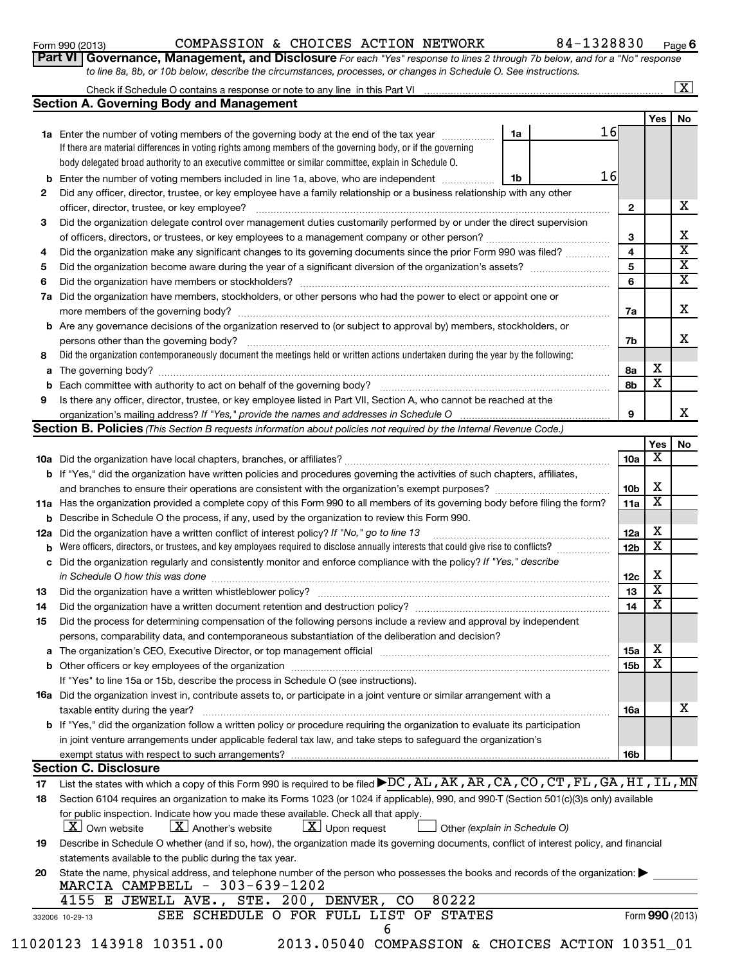#### Form 990 (2013)  $\,$  COMPASSION & CHOICES ACTION NETWORK  $\,$   $\,$  84-1328830  $\,$   $_{\rm Page}$

**6**

|                                                                                                                  | Part VI   Governance, Management, and Disclosure For each "Yes" response to lines 2 through 7b below, and for a "No" respons |
|------------------------------------------------------------------------------------------------------------------|------------------------------------------------------------------------------------------------------------------------------|
| to line 8a, 8b, or 10b below, describe the circumstances, processes, or changes in Schedule O. See instructions. |                                                                                                                              |

#### Check if Schedule O contains a response or note to any line in this Part VI **Section A. Governing Body and Management**  $\lfloor x \rfloor$

|    |                                                                                                                                   |    | Yes     | No                                  |  |  |  |  |  |  |
|----|-----------------------------------------------------------------------------------------------------------------------------------|----|---------|-------------------------------------|--|--|--|--|--|--|
| 1a | Enter the number of voting members of the governing body at the end of the tax year<br>1a                                         | 16 |         |                                     |  |  |  |  |  |  |
|    | If there are material differences in voting rights among members of the governing body, or if the governing                       |    |         |                                     |  |  |  |  |  |  |
|    | body delegated broad authority to an executive committee or similar committee, explain in Schedule O.                             |    |         |                                     |  |  |  |  |  |  |
| b  | Enter the number of voting members included in line 1a, above, who are independent<br>1b                                          | 16 |         |                                     |  |  |  |  |  |  |
| 2  | Did any officer, director, trustee, or key employee have a family relationship or a business relationship with any other          |    |         |                                     |  |  |  |  |  |  |
|    | officer, director, trustee, or key employee?                                                                                      |    | 2       | х                                   |  |  |  |  |  |  |
| 3  | Did the organization delegate control over management duties customarily performed by or under the direct supervision             |    |         |                                     |  |  |  |  |  |  |
|    | of officers, directors, or trustees, or key employees to a management company or other person?                                    |    | 3       | х                                   |  |  |  |  |  |  |
| 4  | Did the organization make any significant changes to its governing documents since the prior Form 990 was filed?                  |    | 4       | x                                   |  |  |  |  |  |  |
| 5  | Did the organization become aware during the year of a significant diversion of the organization's assets?                        |    |         |                                     |  |  |  |  |  |  |
| 6  | Did the organization have members or stockholders?                                                                                |    | 6       | X.                                  |  |  |  |  |  |  |
| 7a | Did the organization have members, stockholders, or other persons who had the power to elect or appoint one or                    |    |         |                                     |  |  |  |  |  |  |
|    | more members of the governing body?                                                                                               |    | 7a      | x                                   |  |  |  |  |  |  |
|    | <b>b</b> Are any governance decisions of the organization reserved to (or subject to approval by) members, stockholders, or       |    |         |                                     |  |  |  |  |  |  |
|    | persons other than the governing body?                                                                                            |    | 7b      | x                                   |  |  |  |  |  |  |
| 8  | Did the organization contemporaneously document the meetings held or written actions undertaken during the year by the following: |    |         |                                     |  |  |  |  |  |  |
| a  | The governing body?                                                                                                               |    | x<br>8a |                                     |  |  |  |  |  |  |
| b  | Each committee with authority to act on behalf of the governing body?                                                             |    | X<br>8b |                                     |  |  |  |  |  |  |
| 9  | Is there any officer, director, trustee, or key employee listed in Part VII, Section A, who cannot be reached at the              |    |         |                                     |  |  |  |  |  |  |
|    | organization's mailing address? If "Yes," provide the names and addresses in Schedule O                                           | 9  |         | х                                   |  |  |  |  |  |  |
|    | <b>Section B. Policies</b> (This Section B requests information about policies not required by the Internal Revenue Code.)        |    |         |                                     |  |  |  |  |  |  |
|    |                                                                                                                                   |    |         | $V_{\alpha\alpha}$   N <sub>a</sub> |  |  |  |  |  |  |

|     |                                                                                                                                                                               |                 | Yes                     | N0. |
|-----|-------------------------------------------------------------------------------------------------------------------------------------------------------------------------------|-----------------|-------------------------|-----|
|     |                                                                                                                                                                               | 10a             | X                       |     |
|     | b If "Yes," did the organization have written policies and procedures governing the activities of such chapters, affiliates,                                                  |                 |                         |     |
|     | and branches to ensure their operations are consistent with the organization's exempt purposes?                                                                               | 10 <sub>b</sub> | х                       |     |
|     | 11a Has the organization provided a complete copy of this Form 990 to all members of its governing body before filing the form?                                               | 11a             | х                       |     |
| b   | Describe in Schedule O the process, if any, used by the organization to review this Form 990.                                                                                 |                 |                         |     |
| 12a | Did the organization have a written conflict of interest policy? If "No," go to line 13                                                                                       | 12a             | х                       |     |
| b   | Were officers, directors, or trustees, and key employees required to disclose annually interests that could give rise to conflicts?                                           | 12 <sub>b</sub> | X                       |     |
| c   | Did the organization regularly and consistently monitor and enforce compliance with the policy? If "Yes," describe                                                            |                 |                         |     |
|     | in Schedule O how this was done                                                                                                                                               | 12 <sub>c</sub> | х                       |     |
| 13  | Did the organization have a written whistleblower policy?                                                                                                                     | 13              | $\overline{\textbf{x}}$ |     |
| 14  | Did the organization have a written document retention and destruction policy? [11] manufaction in the organization have a written document retention and destruction policy? | 14              | $\overline{\textbf{x}}$ |     |
| 15  | Did the process for determining compensation of the following persons include a review and approval by independent                                                            |                 |                         |     |
|     | persons, comparability data, and contemporaneous substantiation of the deliberation and decision?                                                                             |                 |                         |     |
| a   | The organization's CEO, Executive Director, or top management official                                                                                                        | 15a             | х                       |     |
| b   |                                                                                                                                                                               | 15 <sub>b</sub> | х                       |     |
|     | If "Yes" to line 15a or 15b, describe the process in Schedule O (see instructions).                                                                                           |                 |                         |     |
|     | <b>16a</b> Did the organization invest in, contribute assets to, or participate in a joint venture or similar arrangement with a                                              |                 |                         |     |
|     | taxable entity during the year?                                                                                                                                               | 16a             |                         | x   |
|     | <b>b</b> If "Yes," did the organization follow a written policy or procedure requiring the organization to evaluate its participation                                         |                 |                         |     |
|     | in joint venture arrangements under applicable federal tax law, and take steps to safeguard the organization's                                                                |                 |                         |     |
|     |                                                                                                                                                                               | 16b             |                         |     |
|     | <b>Section C. Disclosure</b>                                                                                                                                                  |                 |                         |     |
| 17  | List the states with which a copy of this Form 990 is required to be filed ▶DC, AL, AK, AR, CA, CO, CT, FL, GA, HI, IL, MN                                                    |                 |                         |     |
| 18  | Section 6104 requires an organization to make its Forms 1023 (or 1024 if applicable), 990, and 990-T (Section 501(c)(3)s only) available                                      |                 |                         |     |
|     | for public inspection. Indicate how you made these available. Check all that apply.                                                                                           |                 |                         |     |
|     | $\underline{\mathbf{X}}$ Own website<br>$\lfloor \underline{X} \rfloor$ Another's website<br>$\lfloor \underline{X} \rfloor$ Upon request<br>Other (explain in Schedule O)    |                 |                         |     |

| Describe in Schedule O whether (and if so, how), the organization made its governing documents, conflict of interest policy, and financial |
|--------------------------------------------------------------------------------------------------------------------------------------------|
| statements available to the public during the tax year.                                                                                    |

| 20 State the name, physical address, and telephone number of the person who possesses the books and records of the organization: |
|----------------------------------------------------------------------------------------------------------------------------------|
| MARCIA CAMPBELL $-303-639-1202$                                                                                                  |

|                 | 4155 E JEWELL AVE., STE. 200, DENVER, CO 80222 |  |  |  |                                        |  |
|-----------------|------------------------------------------------|--|--|--|----------------------------------------|--|
| 332006 10-29-13 |                                                |  |  |  | SEE SCHEDULE O FOR FULL LIST OF STATES |  |

6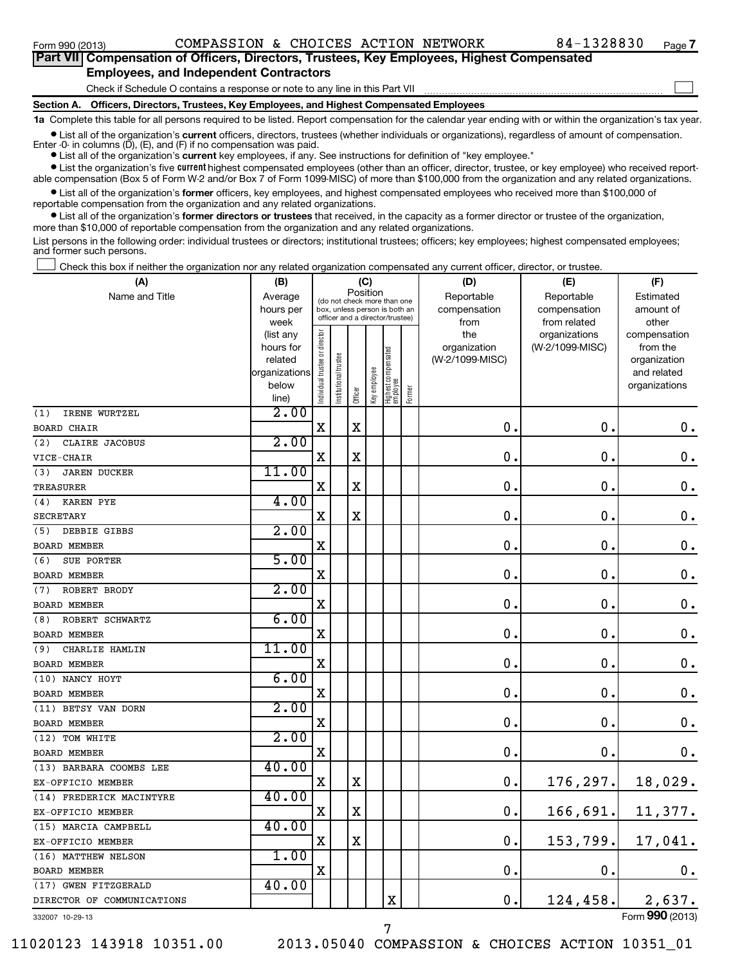## **Part VII Compensation of Officers, Directors, Trustees, Key Employees, Highest Compensated Employees, and Independent Contractors**

**Section A. Officers, Directors, Trustees, Key Employees, and Highest Compensated Employees** Check if Schedule O contains a response or note to any line in this Part VII  $\sim$ 

**1a**  Complete this table for all persons required to be listed. Report compensation for the calendar year ending with or within the organization's tax year.

**•** List all of the organization's current officers, directors, trustees (whether individuals or organizations), regardless of amount of compensation.

Enter -0- in columns  $(D)$ ,  $(E)$ , and  $(F)$  if no compensation was paid.

**•** List all of the organization's **current** key employees, if any. See instructions for definition of "key employee."

**•** List the organization's five *current* highest compensated employees (other than an officer, director, trustee, or key employee) who received reportable compensation (Box 5 of Form W-2 and/or Box 7 of Form 1099-MISC) of more than \$100,000 from the organization and any related organizations.

 $\bullet$  List all of the organization's former officers, key employees, and highest compensated employees who received more than \$100,000 of reportable compensation from the organization and any related organizations.

**•** List all of the organization's former directors or trustees that received, in the capacity as a former director or trustee of the organization, more than \$10,000 of reportable compensation from the organization and any related organizations.

List persons in the following order: individual trustees or directors; institutional trustees; officers; key employees; highest compensated employees; and former such persons.

Check this box if neither the organization nor any related organization compensated any current officer, director, or trustee.  $\left\vert \cdot\right\vert$ 

| (A)                        | (B)               |                     |                                                                  | (C)         |              |                                   |              | (D)             | (E)                           | (F)                   |
|----------------------------|-------------------|---------------------|------------------------------------------------------------------|-------------|--------------|-----------------------------------|--------------|-----------------|-------------------------------|-----------------------|
| Name and Title             | Average           |                     | (do not check more than one                                      | Position    |              |                                   |              | Reportable      | Reportable                    | Estimated             |
|                            | hours per         |                     | box, unless person is both an<br>officer and a director/trustee) |             |              |                                   | compensation | compensation    | amount of                     |                       |
|                            | week<br>(list any |                     |                                                                  |             |              |                                   |              | from<br>the     | from related<br>organizations | other<br>compensation |
|                            | hours for         | trustee or director |                                                                  |             |              |                                   |              | organization    | (W-2/1099-MISC)               | from the              |
|                            | related           |                     |                                                                  |             |              |                                   |              | (W-2/1099-MISC) |                               | organization          |
|                            | organizations     |                     |                                                                  |             |              |                                   |              |                 |                               | and related           |
|                            | below             | Individual t        | Institutional trustee                                            |             | Key employee | Highest compensated<br>  employee | Former       |                 |                               | organizations         |
|                            | line)             |                     |                                                                  | Officer     |              |                                   |              |                 |                               |                       |
| IRENE WURTZEL<br>(1)       | 2.00              |                     |                                                                  |             |              |                                   |              |                 |                               |                       |
| <b>BOARD CHAIR</b>         |                   | $\mathbf X$         |                                                                  | X           |              |                                   |              | 0               | $\mathbf 0$ .                 | 0.                    |
| (2)<br>CLAIRE JACOBUS      | 2.00              |                     |                                                                  |             |              |                                   |              |                 |                               |                       |
| VICE-CHAIR                 |                   | $\mathbf X$         |                                                                  | $\mathbf X$ |              |                                   |              | $\mathbf 0$     | $\mathbf 0$ .                 | $\mathbf 0$ .         |
| <b>JAREN DUCKER</b><br>(3) | 11.00             |                     |                                                                  |             |              |                                   |              |                 |                               |                       |
| <b>TREASURER</b>           |                   | X                   |                                                                  | X           |              |                                   |              | 0               | $\mathbf 0$ .                 | $\mathbf 0$ .         |
| (4)<br><b>KAREN PYE</b>    | 4.00              |                     |                                                                  |             |              |                                   |              |                 |                               |                       |
| <b>SECRETARY</b>           |                   | X                   |                                                                  | $\mathbf X$ |              |                                   |              | 0               | 0                             | $\mathbf 0$ .         |
| (5)<br>DEBBIE GIBBS        | 2.00              |                     |                                                                  |             |              |                                   |              |                 |                               |                       |
| <b>BOARD MEMBER</b>        |                   | $\mathbf X$         |                                                                  |             |              |                                   |              | $\mathbf 0$     | 0                             | $\mathbf 0$ .         |
| SUE PORTER<br>(6)          | 5.00              |                     |                                                                  |             |              |                                   |              |                 |                               |                       |
| <b>BOARD MEMBER</b>        |                   | X                   |                                                                  |             |              |                                   |              | $\mathbf 0$     | 0                             | $\mathbf 0$ .         |
| ROBERT BRODY<br>(7)        | 2.00              |                     |                                                                  |             |              |                                   |              |                 |                               |                       |
| <b>BOARD MEMBER</b>        |                   | $\mathbf X$         |                                                                  |             |              |                                   |              | $\mathbf 0$     | $\mathbf 0$                   | $\mathbf 0$ .         |
| ROBERT SCHWARTZ<br>(8)     | 6.00              |                     |                                                                  |             |              |                                   |              |                 |                               |                       |
| <b>BOARD MEMBER</b>        |                   | X                   |                                                                  |             |              |                                   |              | 0               | 0                             | $\mathbf 0$ .         |
| (9)<br>CHARLIE HAMLIN      | 11.00             |                     |                                                                  |             |              |                                   |              |                 |                               |                       |
| <b>BOARD MEMBER</b>        |                   | $\mathbf X$         |                                                                  |             |              |                                   |              | $\mathbf 0$     | $\mathbf 0$                   | $\mathbf 0$ .         |
| (10) NANCY HOYT            | 6.00              |                     |                                                                  |             |              |                                   |              |                 |                               |                       |
| <b>BOARD MEMBER</b>        |                   | X                   |                                                                  |             |              |                                   |              | $\pmb{0}$       | $\mathbf 0$ .                 | $\mathbf 0$ .         |
| (11) BETSY VAN DORN        | 2.00              |                     |                                                                  |             |              |                                   |              |                 |                               |                       |
| <b>BOARD MEMBER</b>        |                   | X                   |                                                                  |             |              |                                   |              | $\mathbf 0$     | $\mathbf 0$ .                 | $\mathbf 0$ .         |
| (12) TOM WHITE             | 2.00              |                     |                                                                  |             |              |                                   |              |                 |                               |                       |
| <b>BOARD MEMBER</b>        |                   | X                   |                                                                  |             |              |                                   |              | $\pmb{0}$       | $\mathbf 0$ .                 | 0.                    |
| (13) BARBARA COOMBS LEE    | 40.00             |                     |                                                                  |             |              |                                   |              |                 |                               |                       |
| EX-OFFICIO MEMBER          |                   | X                   |                                                                  | X           |              |                                   |              | $\mathbf 0$ .   | 176, 297.                     | 18,029.               |
| (14) FREDERICK MACINTYRE   | 40.00             |                     |                                                                  |             |              |                                   |              |                 |                               |                       |
| EX-OFFICIO MEMBER          |                   | $\mathbf X$         |                                                                  | X           |              |                                   |              | $\mathbf 0$ .   | 166,691.                      | 11,377.               |
| (15) MARCIA CAMPBELL       | 40.00             |                     |                                                                  |             |              |                                   |              |                 |                               |                       |
| EX-OFFICIO MEMBER          |                   | X                   |                                                                  | X           |              |                                   |              | 0               | 153, 799.                     | 17,041.               |
| (16) MATTHEW NELSON        | 1.00              |                     |                                                                  |             |              |                                   |              |                 |                               |                       |
| <b>BOARD MEMBER</b>        |                   | $\mathbf X$         |                                                                  |             |              |                                   |              | $\mathbf 0$     | $\mathbf 0$ .                 | 0.                    |
| (17) GWEN FITZGERALD       | 40.00             |                     |                                                                  |             |              |                                   |              |                 |                               |                       |
| DIRECTOR OF COMMUNICATIONS |                   |                     |                                                                  |             |              | X                                 |              | $\mathbf 0$ .   | 124, 458.                     | 2,637.                |
| 332007 10-29-13            |                   |                     |                                                                  |             |              |                                   |              |                 |                               | Form 990 (2013)       |

7

332007 10-29-13

11020123 143918 10351.00 2013.05040 COMPASSION & CHOICES ACTION 10351\_01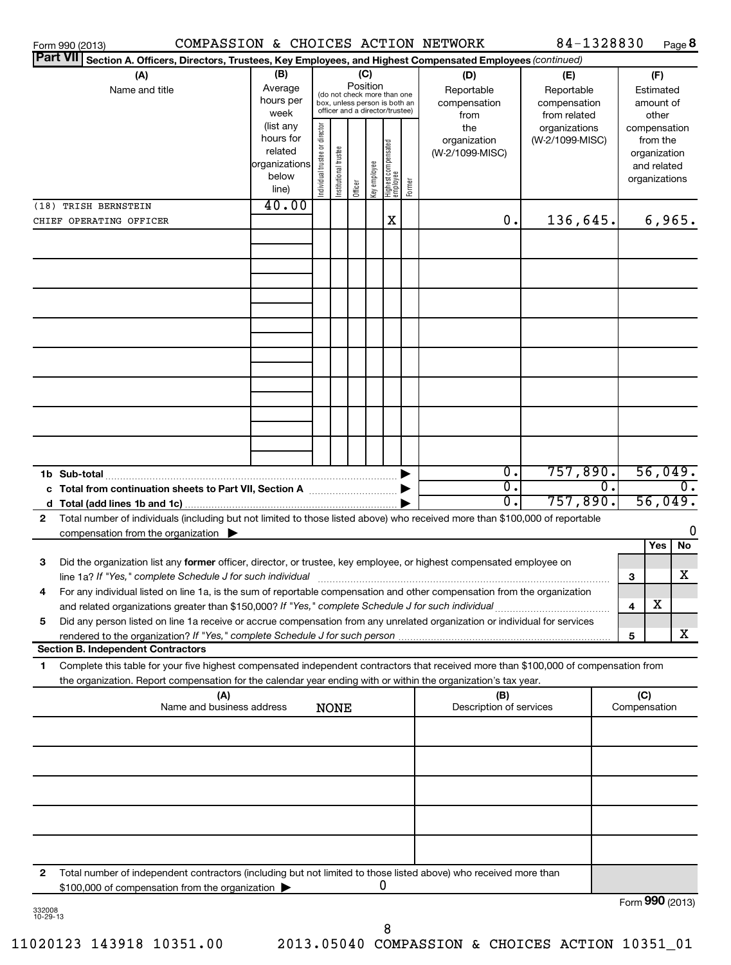| Form 990 (2013)         | COMPASSION & CHOICES ACTION NETWORK                                                                                                                                                                                                                    |                                |                       |             |                 |                                 |                                                                                                 |                                        |                                           | 84-1328830                                        |    |                                                                          |                                        | Page 8 |
|-------------------------|--------------------------------------------------------------------------------------------------------------------------------------------------------------------------------------------------------------------------------------------------------|--------------------------------|-----------------------|-------------|-----------------|---------------------------------|-------------------------------------------------------------------------------------------------|----------------------------------------|-------------------------------------------|---------------------------------------------------|----|--------------------------------------------------------------------------|----------------------------------------|--------|
| <b>Part VII</b>         | Section A. Officers, Directors, Trustees, Key Employees, and Highest Compensated Employees (continued)                                                                                                                                                 |                                |                       |             |                 |                                 |                                                                                                 |                                        |                                           |                                                   |    |                                                                          |                                        |        |
|                         | (B)<br>(A)<br>Average<br>Name and title<br>hours per<br>week                                                                                                                                                                                           |                                |                       |             | (C)<br>Position |                                 | (do not check more than one<br>box, unless person is both an<br>officer and a director/trustee) |                                        | (D)<br>Reportable<br>compensation<br>from | (E)<br>Reportable<br>compensation<br>from related |    |                                                                          | (F)<br>Estimated<br>amount of<br>other |        |
|                         | (list any<br>hours for<br>related<br>organizations<br>below<br>line)                                                                                                                                                                                   | Individual trustee or director | Institutional trustee | Officer     | Key employee    | Highest compensated<br>employee | Former                                                                                          | the<br>organization<br>(W-2/1099-MISC) | organizations<br>(W-2/1099-MISC)          |                                                   |    | compensation<br>from the<br>organization<br>and related<br>organizations |                                        |        |
| (18) TRISH BERNSTEIN    |                                                                                                                                                                                                                                                        | 40.00                          |                       |             |                 |                                 |                                                                                                 |                                        |                                           |                                                   |    |                                                                          |                                        |        |
| CHIEF OPERATING OFFICER |                                                                                                                                                                                                                                                        |                                |                       |             |                 |                                 | X                                                                                               |                                        | 0.                                        | 136,645.                                          |    |                                                                          | 6,965.                                 |        |
|                         |                                                                                                                                                                                                                                                        |                                |                       |             |                 |                                 |                                                                                                 |                                        |                                           |                                                   |    |                                                                          |                                        |        |
|                         |                                                                                                                                                                                                                                                        |                                |                       |             |                 |                                 |                                                                                                 |                                        |                                           |                                                   |    |                                                                          |                                        |        |
|                         |                                                                                                                                                                                                                                                        |                                |                       |             |                 |                                 |                                                                                                 |                                        |                                           |                                                   |    |                                                                          |                                        |        |
|                         |                                                                                                                                                                                                                                                        |                                |                       |             |                 |                                 |                                                                                                 |                                        |                                           |                                                   |    |                                                                          |                                        |        |
|                         |                                                                                                                                                                                                                                                        |                                |                       |             |                 |                                 |                                                                                                 |                                        |                                           |                                                   |    |                                                                          |                                        |        |
| 1b Sub-total            |                                                                                                                                                                                                                                                        |                                |                       |             |                 |                                 |                                                                                                 |                                        | $\overline{0}$ .                          | 757,890.                                          |    |                                                                          | 56,049.                                |        |
|                         | Total number of individuals (including but not limited to those listed above) who received more than \$100,000 of reportable                                                                                                                           |                                |                       |             |                 |                                 |                                                                                                 |                                        | $\overline{0}$ .<br>$\overline{0}$ .      | 757,890.                                          | 0. |                                                                          | 56,049.                                | Ο.     |
| 2                       | compensation from the organization $\blacktriangleright$                                                                                                                                                                                               |                                |                       |             |                 |                                 |                                                                                                 |                                        |                                           |                                                   |    |                                                                          |                                        |        |
|                         |                                                                                                                                                                                                                                                        |                                |                       |             |                 |                                 |                                                                                                 |                                        |                                           |                                                   |    |                                                                          | Yes                                    | No     |
| З                       | Did the organization list any former officer, director, or trustee, key employee, or highest compensated employee on<br>line 1a? If "Yes," complete Schedule J for such individual                                                                     |                                |                       |             |                 |                                 |                                                                                                 |                                        |                                           |                                                   |    | 3                                                                        |                                        | x      |
| 4                       | For any individual listed on line 1a, is the sum of reportable compensation and other compensation from the organization<br>and related organizations greater than \$150,000? If "Yes," complete Schedule J for such individual                        |                                |                       |             |                 |                                 |                                                                                                 |                                        |                                           |                                                   |    | 4                                                                        | х                                      |        |
| 5                       | Did any person listed on line 1a receive or accrue compensation from any unrelated organization or individual for services<br>rendered to the organization? If "Yes," complete Schedule J for such person                                              |                                |                       |             |                 |                                 |                                                                                                 |                                        |                                           |                                                   |    | 5                                                                        |                                        | X.     |
|                         | <b>Section B. Independent Contractors</b>                                                                                                                                                                                                              |                                |                       |             |                 |                                 |                                                                                                 |                                        |                                           |                                                   |    |                                                                          |                                        |        |
| 1                       | Complete this table for your five highest compensated independent contractors that received more than \$100,000 of compensation from<br>the organization. Report compensation for the calendar year ending with or within the organization's tax year. |                                |                       |             |                 |                                 |                                                                                                 |                                        |                                           |                                                   |    |                                                                          |                                        |        |
|                         | (A)<br>Name and business address                                                                                                                                                                                                                       |                                |                       | <b>NONE</b> |                 |                                 |                                                                                                 |                                        | (B)<br>Description of services            |                                                   |    | (C)<br>Compensation                                                      |                                        |        |
|                         |                                                                                                                                                                                                                                                        |                                |                       |             |                 |                                 |                                                                                                 |                                        |                                           |                                                   |    |                                                                          |                                        |        |
|                         |                                                                                                                                                                                                                                                        |                                |                       |             |                 |                                 |                                                                                                 |                                        |                                           |                                                   |    |                                                                          |                                        |        |
|                         |                                                                                                                                                                                                                                                        |                                |                       |             |                 |                                 |                                                                                                 |                                        |                                           |                                                   |    |                                                                          |                                        |        |
|                         |                                                                                                                                                                                                                                                        |                                |                       |             |                 |                                 |                                                                                                 |                                        |                                           |                                                   |    |                                                                          |                                        |        |
| 2                       | Total number of independent contractors (including but not limited to those listed above) who received more than<br>\$100,000 of compensation from the organization                                                                                    |                                |                       |             |                 |                                 | 0                                                                                               |                                        |                                           |                                                   |    |                                                                          |                                        |        |
| 332009                  |                                                                                                                                                                                                                                                        |                                |                       |             |                 |                                 |                                                                                                 |                                        |                                           |                                                   |    | Form 990 (2013)                                                          |                                        |        |

332008 10-29-13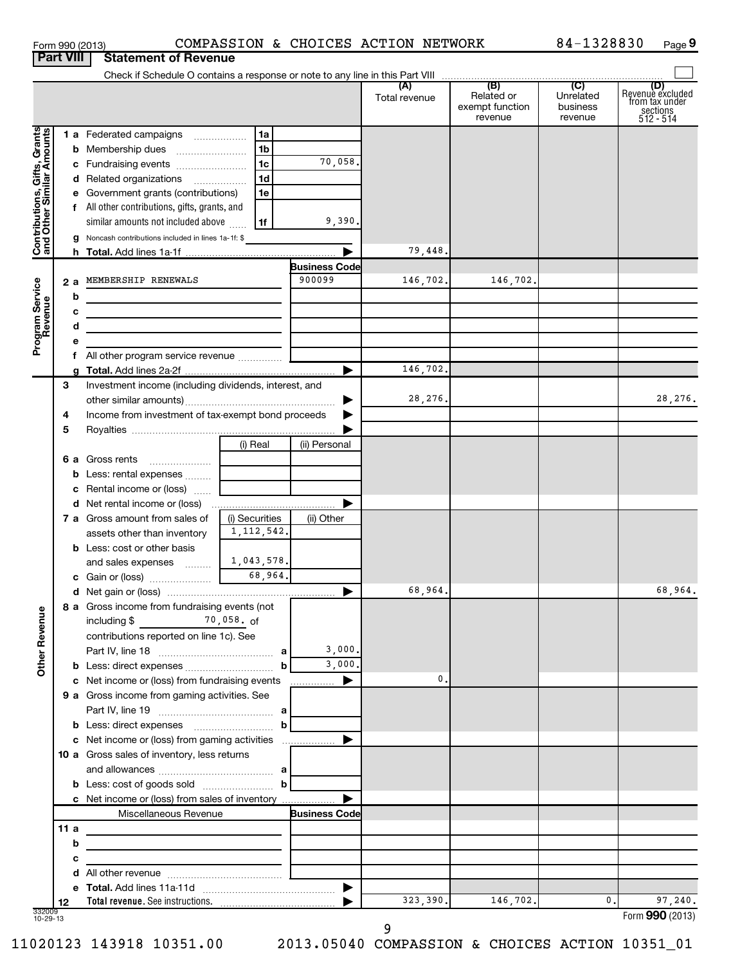| Form 990 (2013)  |                             | COMPASS |
|------------------|-----------------------------|---------|
| <b>Part VIII</b> | <b>Statement of Revenue</b> |         |

### Form 990 (2013)  $\sim$  COMPASSION & CHOICES ACTION NETWORK  $84-1328830$  Page

 $84 - 1328830$  Page 9

|                                                           |      | Check if Schedule O contains a response or note to any line in this Part VIII                  |                |                      |               |                                                 |                                         |                                                                    |
|-----------------------------------------------------------|------|------------------------------------------------------------------------------------------------|----------------|----------------------|---------------|-------------------------------------------------|-----------------------------------------|--------------------------------------------------------------------|
|                                                           |      |                                                                                                |                |                      | Total revenue | (B)<br>Related or<br>exempt function<br>revenue | (C)<br>Unrelated<br>business<br>revenue | (D)<br>Revenue excluded<br>from tax under<br>sections<br>512 - 514 |
|                                                           |      | 1 a Federated campaigns                                                                        | 1a             |                      |               |                                                 |                                         |                                                                    |
| Contributions, Gifts, Grants<br>and Other Similar Amounts |      | <b>b</b> Membership dues                                                                       | 1 <sub>b</sub> |                      |               |                                                 |                                         |                                                                    |
|                                                           |      | c Fundraising events                                                                           | 1 <sub>c</sub> | 70,058.              |               |                                                 |                                         |                                                                    |
|                                                           |      | d Related organizations                                                                        | 1 <sub>d</sub> |                      |               |                                                 |                                         |                                                                    |
|                                                           |      | e Government grants (contributions)                                                            | 1e             |                      |               |                                                 |                                         |                                                                    |
|                                                           |      | f All other contributions, gifts, grants, and                                                  |                |                      |               |                                                 |                                         |                                                                    |
|                                                           |      | similar amounts not included above                                                             | 1f             | 9,390.               |               |                                                 |                                         |                                                                    |
|                                                           |      | g Noncash contributions included in lines 1a-1f: \$                                            |                |                      |               |                                                 |                                         |                                                                    |
|                                                           |      |                                                                                                |                |                      | 79,448.       |                                                 |                                         |                                                                    |
|                                                           |      |                                                                                                |                | <b>Business Code</b> |               |                                                 |                                         |                                                                    |
|                                                           |      | 2 a MEMBERSHIP RENEWALS                                                                        |                | 900099               | 146,702.      | 146,702.                                        |                                         |                                                                    |
|                                                           | b    | <u> 1980 - Johann Barn, mars eta bainar eta idazlea (</u>                                      |                |                      |               |                                                 |                                         |                                                                    |
|                                                           | с    |                                                                                                |                |                      |               |                                                 |                                         |                                                                    |
|                                                           | d    |                                                                                                |                |                      |               |                                                 |                                         |                                                                    |
| Program Service<br>Revenue                                | е    |                                                                                                |                |                      |               |                                                 |                                         |                                                                    |
|                                                           |      | f All other program service revenue                                                            |                |                      | 146,702.      |                                                 |                                         |                                                                    |
|                                                           | 3    | Investment income (including dividends, interest, and                                          |                |                      |               |                                                 |                                         |                                                                    |
|                                                           |      |                                                                                                |                |                      | 28,276.       |                                                 |                                         | 28,276.                                                            |
|                                                           | 4    | Income from investment of tax-exempt bond proceeds                                             |                |                      |               |                                                 |                                         |                                                                    |
|                                                           | 5    |                                                                                                |                |                      |               |                                                 |                                         |                                                                    |
|                                                           |      |                                                                                                | (i) Real       | (ii) Personal        |               |                                                 |                                         |                                                                    |
|                                                           |      | 6 a Gross rents                                                                                |                |                      |               |                                                 |                                         |                                                                    |
|                                                           |      | <b>b</b> Less: rental expenses                                                                 |                |                      |               |                                                 |                                         |                                                                    |
|                                                           |      | <b>c</b> Rental income or (loss)                                                               |                |                      |               |                                                 |                                         |                                                                    |
|                                                           |      |                                                                                                |                |                      |               |                                                 |                                         |                                                                    |
|                                                           |      | <b>7 a</b> Gross amount from sales of                                                          | (i) Securities | (ii) Other           |               |                                                 |                                         |                                                                    |
|                                                           |      | assets other than inventory                                                                    | 1, 112, 542.   |                      |               |                                                 |                                         |                                                                    |
|                                                           |      | <b>b</b> Less: cost or other basis                                                             |                |                      |               |                                                 |                                         |                                                                    |
|                                                           |      | and sales expenses                                                                             | 1,043,578.     |                      |               |                                                 |                                         |                                                                    |
|                                                           |      |                                                                                                | 68,964.        |                      |               |                                                 |                                         |                                                                    |
|                                                           |      |                                                                                                |                |                      | 68,964.       |                                                 |                                         | 68,964.                                                            |
| ٩                                                         |      | 8 a Gross income from fundraising events (not                                                  |                |                      |               |                                                 |                                         |                                                                    |
| Other Reven                                               |      | including \$<br>$70,058$ . of                                                                  |                |                      |               |                                                 |                                         |                                                                    |
|                                                           |      | contributions reported on line 1c). See                                                        |                |                      |               |                                                 |                                         |                                                                    |
|                                                           |      |                                                                                                |                | 3,000.<br>3,000.     |               |                                                 |                                         |                                                                    |
|                                                           |      |                                                                                                | b              | ▶                    | 0.            |                                                 |                                         |                                                                    |
|                                                           |      | c Net income or (loss) from fundraising events<br>9 a Gross income from gaming activities. See |                | .                    |               |                                                 |                                         |                                                                    |
|                                                           |      |                                                                                                |                |                      |               |                                                 |                                         |                                                                    |
|                                                           |      |                                                                                                |                |                      |               |                                                 |                                         |                                                                    |
|                                                           |      | c Net income or (loss) from gaming activities                                                  |                | ▶                    |               |                                                 |                                         |                                                                    |
|                                                           |      | <b>10 a</b> Gross sales of inventory, less returns                                             |                |                      |               |                                                 |                                         |                                                                    |
|                                                           |      |                                                                                                |                |                      |               |                                                 |                                         |                                                                    |
|                                                           |      |                                                                                                |                |                      |               |                                                 |                                         |                                                                    |
|                                                           |      | c Net income or (loss) from sales of inventory                                                 |                |                      |               |                                                 |                                         |                                                                    |
|                                                           |      | Miscellaneous Revenue                                                                          |                | <b>Business Code</b> |               |                                                 |                                         |                                                                    |
|                                                           | 11 a | the control of the control of the control of the control of                                    |                |                      |               |                                                 |                                         |                                                                    |
|                                                           | b    |                                                                                                |                |                      |               |                                                 |                                         |                                                                    |
|                                                           | c    |                                                                                                |                |                      |               |                                                 |                                         |                                                                    |
|                                                           |      |                                                                                                |                |                      |               |                                                 |                                         |                                                                    |
|                                                           |      |                                                                                                |                |                      |               |                                                 |                                         |                                                                    |
| 332009<br>10-29-13                                        | 12   |                                                                                                |                |                      | 323,390.      | 146,702.                                        | 0.                                      | 97,240.<br>Form 990 (2013)                                         |
|                                                           |      |                                                                                                |                |                      |               |                                                 |                                         |                                                                    |

11020123 143918 10351.00 2013.05040 COMPASSION & CHOICES ACTION 10351\_01

9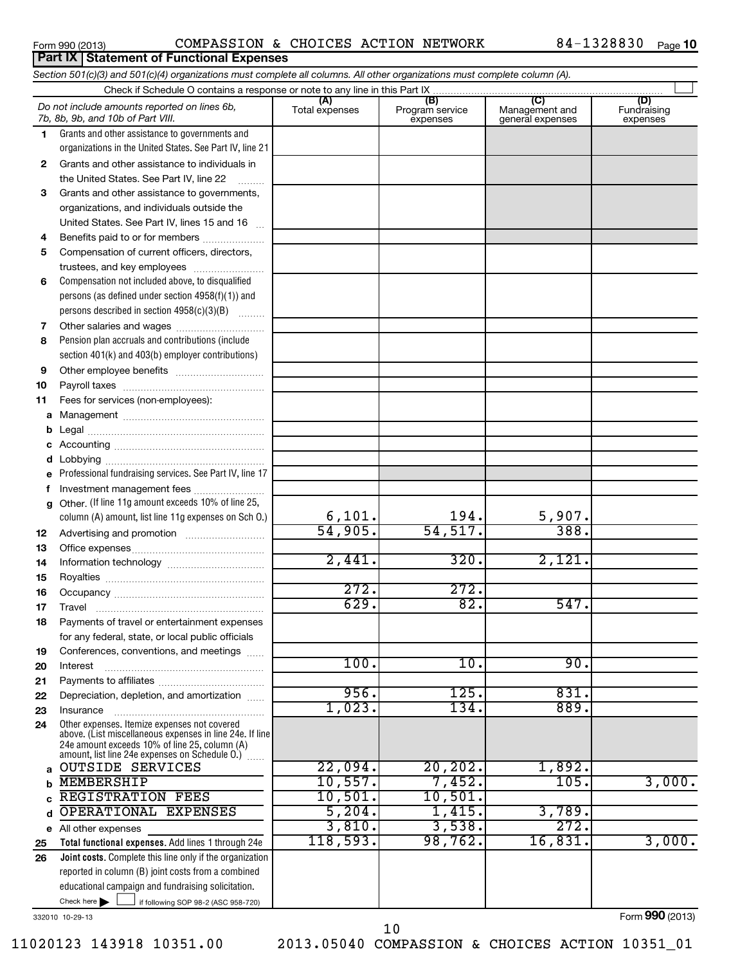### Form 990 (2013) Page COMPASSION & CHOICES ACTION NETWORK 84-1328830

84-1328830 Page 10

|              | Section 501(c)(3) and 501(c)(4) organizations must complete all columns. All other organizations must complete column (A).                                  |                      |                             |                                    |                         |
|--------------|-------------------------------------------------------------------------------------------------------------------------------------------------------------|----------------------|-----------------------------|------------------------------------|-------------------------|
|              |                                                                                                                                                             | (A)                  | (B)                         | (C)                                | (D)                     |
|              | Do not include amounts reported on lines 6b,<br>7b, 8b, 9b, and 10b of Part VIII.                                                                           | Total expenses       | Program service<br>expenses | Management and<br>general expenses | Fundraising<br>expenses |
| 1.           | Grants and other assistance to governments and                                                                                                              |                      |                             |                                    |                         |
|              | organizations in the United States. See Part IV, line 21                                                                                                    |                      |                             |                                    |                         |
| $\mathbf{2}$ | Grants and other assistance to individuals in                                                                                                               |                      |                             |                                    |                         |
|              | the United States. See Part IV, line 22                                                                                                                     |                      |                             |                                    |                         |
| 3            | Grants and other assistance to governments,                                                                                                                 |                      |                             |                                    |                         |
|              | organizations, and individuals outside the                                                                                                                  |                      |                             |                                    |                         |
|              | United States. See Part IV, lines 15 and 16                                                                                                                 |                      |                             |                                    |                         |
| 4            | Benefits paid to or for members                                                                                                                             |                      |                             |                                    |                         |
| 5            | Compensation of current officers, directors,                                                                                                                |                      |                             |                                    |                         |
|              | trustees, and key employees                                                                                                                                 |                      |                             |                                    |                         |
| 6            | Compensation not included above, to disqualified                                                                                                            |                      |                             |                                    |                         |
|              | persons (as defined under section 4958(f)(1)) and                                                                                                           |                      |                             |                                    |                         |
|              | persons described in section 4958(c)(3)(B)                                                                                                                  |                      |                             |                                    |                         |
| 7            |                                                                                                                                                             |                      |                             |                                    |                         |
| 8            | Pension plan accruals and contributions (include                                                                                                            |                      |                             |                                    |                         |
|              | section 401(k) and 403(b) employer contributions)                                                                                                           |                      |                             |                                    |                         |
| 9            |                                                                                                                                                             |                      |                             |                                    |                         |
| 10           |                                                                                                                                                             |                      |                             |                                    |                         |
| 11           | Fees for services (non-employees):                                                                                                                          |                      |                             |                                    |                         |
| a            |                                                                                                                                                             |                      |                             |                                    |                         |
| b            |                                                                                                                                                             |                      |                             |                                    |                         |
| с            |                                                                                                                                                             |                      |                             |                                    |                         |
| d            |                                                                                                                                                             |                      |                             |                                    |                         |
| е            | Professional fundraising services. See Part IV, line 17                                                                                                     |                      |                             |                                    |                         |
| f            | Investment management fees                                                                                                                                  |                      |                             |                                    |                         |
| g            | Other. (If line 11g amount exceeds 10% of line 25,                                                                                                          |                      | 194.                        | 5,907.                             |                         |
|              | column (A) amount, list line 11g expenses on Sch O.)                                                                                                        | 6,101.<br>54,905.    | 54, 517.                    | 388.                               |                         |
| 12           |                                                                                                                                                             |                      |                             |                                    |                         |
| 13           |                                                                                                                                                             | $\overline{2,441}$ . | 320.                        | 2,121.                             |                         |
| 14           |                                                                                                                                                             |                      |                             |                                    |                         |
| 15           |                                                                                                                                                             | 272.                 | 272.                        |                                    |                         |
| 16           |                                                                                                                                                             | 629.                 | $\overline{82}$ .           | 547.                               |                         |
| 17           |                                                                                                                                                             |                      |                             |                                    |                         |
| 18           | Payments of travel or entertainment expenses                                                                                                                |                      |                             |                                    |                         |
|              | for any federal, state, or local public officials                                                                                                           |                      |                             |                                    |                         |
| 19<br>20     | Conferences, conventions, and meetings<br>Interest                                                                                                          | 100.                 | 10.                         | 90.                                |                         |
| 21           |                                                                                                                                                             |                      |                             |                                    |                         |
| 22           | Depreciation, depletion, and amortization                                                                                                                   | 956.                 | 125.                        | 831.                               |                         |
| 23           | Insurance                                                                                                                                                   | 1,023.               | 134.                        | 889.                               |                         |
| 24           | Other expenses. Itemize expenses not covered                                                                                                                |                      |                             |                                    |                         |
|              | above. (List miscellaneous expenses in line 24e. If line<br>24e amount exceeds 10% of line 25, column (A)<br>amount, list line 24e expenses on Schedule O.) |                      |                             |                                    |                         |
| a            | <b>OUTSIDE SERVICES</b>                                                                                                                                     | 22,094.              | 20, 202.                    | 1,892.                             |                         |
| b            | <b>MEMBERSHIP</b>                                                                                                                                           | 10,557.              | 7,452.                      | 105.                               | 3,000.                  |
| с            | <b>REGISTRATION FEES</b>                                                                                                                                    | 10,501.              | 10,501.                     |                                    |                         |
| d            | OPERATIONAL EXPENSES                                                                                                                                        | 5,204.               | 1,415.                      | 3,789.                             |                         |
| е            | All other expenses                                                                                                                                          | 3,810.               | 3,538.                      | 272.                               |                         |
| 25           | Total functional expenses. Add lines 1 through 24e                                                                                                          | 118,593.             | 98,762.                     | 16,831.                            | 3,000.                  |
| 26           | <b>Joint costs.</b> Complete this line only if the organization                                                                                             |                      |                             |                                    |                         |
|              | reported in column (B) joint costs from a combined                                                                                                          |                      |                             |                                    |                         |
|              | educational campaign and fundraising solicitation.                                                                                                          |                      |                             |                                    |                         |
|              | Check here $\blacktriangleright$<br>if following SOP 98-2 (ASC 958-720)                                                                                     |                      |                             |                                    |                         |
|              |                                                                                                                                                             |                      |                             |                                    |                         |

332010 10-29-13

Form **990** (2013)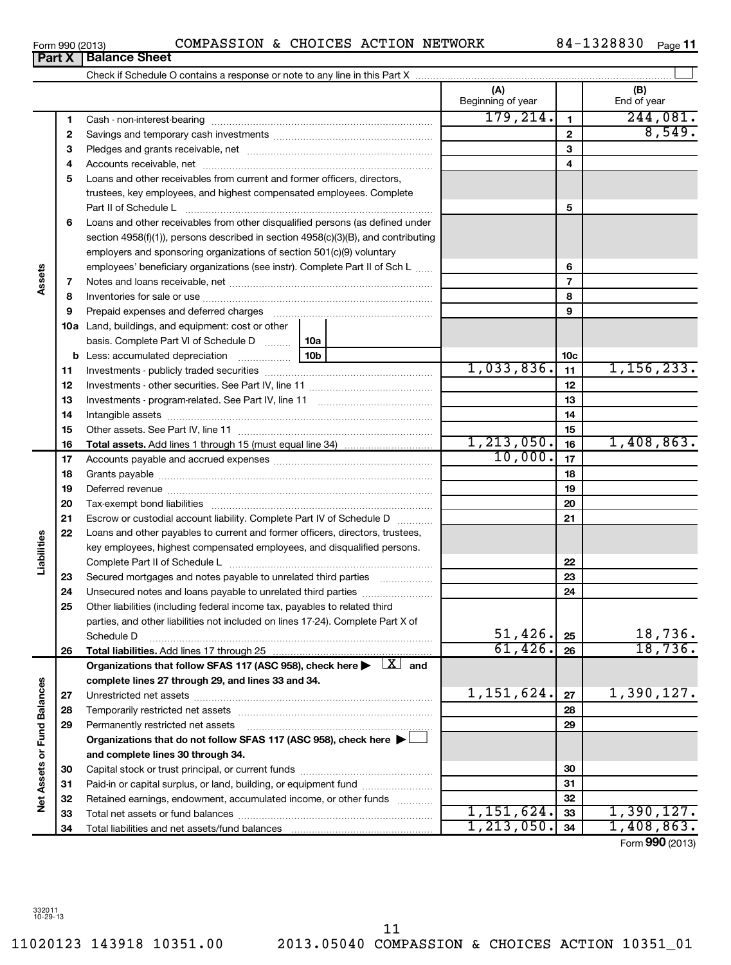11020123 143918 10351.00 2013.05040 COMPASSION & CHOICES ACTION 10351\_01 11

# **Part X Balance Sheet**

| 1<br>2<br>3<br>4<br>5             |                                                                                                                         | (A)<br>Beginning of year<br>179, 214. | $\mathbf{1}$    | (B)<br>End of year<br>244,081. |
|-----------------------------------|-------------------------------------------------------------------------------------------------------------------------|---------------------------------------|-----------------|--------------------------------|
|                                   |                                                                                                                         |                                       |                 |                                |
|                                   |                                                                                                                         |                                       |                 |                                |
|                                   |                                                                                                                         |                                       | $\mathbf{2}$    | 8,549.                         |
|                                   |                                                                                                                         |                                       | 3               |                                |
|                                   |                                                                                                                         |                                       | 4               |                                |
|                                   | Loans and other receivables from current and former officers, directors,                                                |                                       |                 |                                |
|                                   | trustees, key employees, and highest compensated employees. Complete                                                    |                                       |                 |                                |
|                                   | Part II of Schedule L                                                                                                   |                                       | 5               |                                |
| 6                                 | Loans and other receivables from other disqualified persons (as defined under                                           |                                       |                 |                                |
|                                   | section 4958(f)(1)), persons described in section 4958(c)(3)(B), and contributing                                       |                                       |                 |                                |
|                                   | employers and sponsoring organizations of section 501(c)(9) voluntary                                                   |                                       |                 |                                |
|                                   | employees' beneficiary organizations (see instr). Complete Part II of Sch L                                             |                                       | 6               |                                |
| Assets<br>7                       |                                                                                                                         |                                       | $\overline{7}$  |                                |
| 8                                 |                                                                                                                         |                                       | 8               |                                |
| 9                                 | Prepaid expenses and deferred charges                                                                                   |                                       | 9               |                                |
|                                   | 10a Land, buildings, and equipment: cost or other                                                                       |                                       |                 |                                |
|                                   | basis. Complete Part VI of Schedule D  10a                                                                              |                                       |                 |                                |
|                                   | 10b                                                                                                                     |                                       | 10 <sub>c</sub> |                                |
| 11                                |                                                                                                                         | 1,033,836.                            | 11              | 1, 156, 233.                   |
| 12                                |                                                                                                                         |                                       | 12              |                                |
| 13                                |                                                                                                                         |                                       | 13              |                                |
| 14                                |                                                                                                                         |                                       | 14              |                                |
| 15                                |                                                                                                                         |                                       | 15              |                                |
| 16                                |                                                                                                                         | 1, 213, 050.                          | 16              | 1,408,863.                     |
| 17                                |                                                                                                                         | 10,000.                               | 17              |                                |
| 18                                |                                                                                                                         |                                       | 18              |                                |
| 19                                |                                                                                                                         |                                       | 19              |                                |
| 20                                |                                                                                                                         |                                       | 20              |                                |
| 21                                | Escrow or custodial account liability. Complete Part IV of Schedule D                                                   |                                       | 21              |                                |
| 22                                | Loans and other payables to current and former officers, directors, trustees,                                           |                                       |                 |                                |
|                                   | key employees, highest compensated employees, and disqualified persons.                                                 |                                       |                 |                                |
| Liabilities                       |                                                                                                                         |                                       | 22              |                                |
| 23                                | Secured mortgages and notes payable to unrelated third parties                                                          |                                       | 23              |                                |
| 24                                | Unsecured notes and loans payable to unrelated third parties                                                            |                                       | 24              |                                |
| 25                                | Other liabilities (including federal income tax, payables to related third                                              |                                       |                 |                                |
|                                   | parties, and other liabilities not included on lines 17-24). Complete Part X of                                         | 51,426.                               | 25              | 18,736.                        |
| 26                                | Schedule D                                                                                                              | 61,426.                               | 26              | 18,736.                        |
|                                   | Organizations that follow SFAS 117 (ASC 958), check here $\blacktriangleright \begin{array}{c} \perp X \end{array}$ and |                                       |                 |                                |
|                                   | complete lines 27 through 29, and lines 33 and 34.                                                                      |                                       |                 |                                |
| 27                                |                                                                                                                         | 1,151,624.                            | 27              | 1,390,127.                     |
| 28                                |                                                                                                                         |                                       | 28              |                                |
| 29                                | Permanently restricted net assets                                                                                       |                                       | 29              |                                |
|                                   | Organizations that do not follow SFAS 117 (ASC 958), check here ▶                                                       |                                       |                 |                                |
|                                   | and complete lines 30 through 34.                                                                                       |                                       |                 |                                |
| 30                                |                                                                                                                         |                                       | 30              |                                |
| 31                                | Paid-in or capital surplus, or land, building, or equipment fund                                                        |                                       | 31              |                                |
| Net Assets or Fund Balances<br>32 | Retained earnings, endowment, accumulated income, or other funds                                                        |                                       | 32              |                                |
| 33                                |                                                                                                                         | 1,151,624.                            | 33              | 1,390,127.                     |
| 34                                |                                                                                                                         | 1, 213, 050.                          | 34              | 1,408,863.                     |

Form (2013) **990**

**Assets**

**Liabilities**

Net Assets or Fund Balances

| Form 990 (2013) | COMPASSION & CHOICES ACTION NETWORK |  |  |  |  | 84-1328830 | Page |
|-----------------|-------------------------------------|--|--|--|--|------------|------|
|-----------------|-------------------------------------|--|--|--|--|------------|------|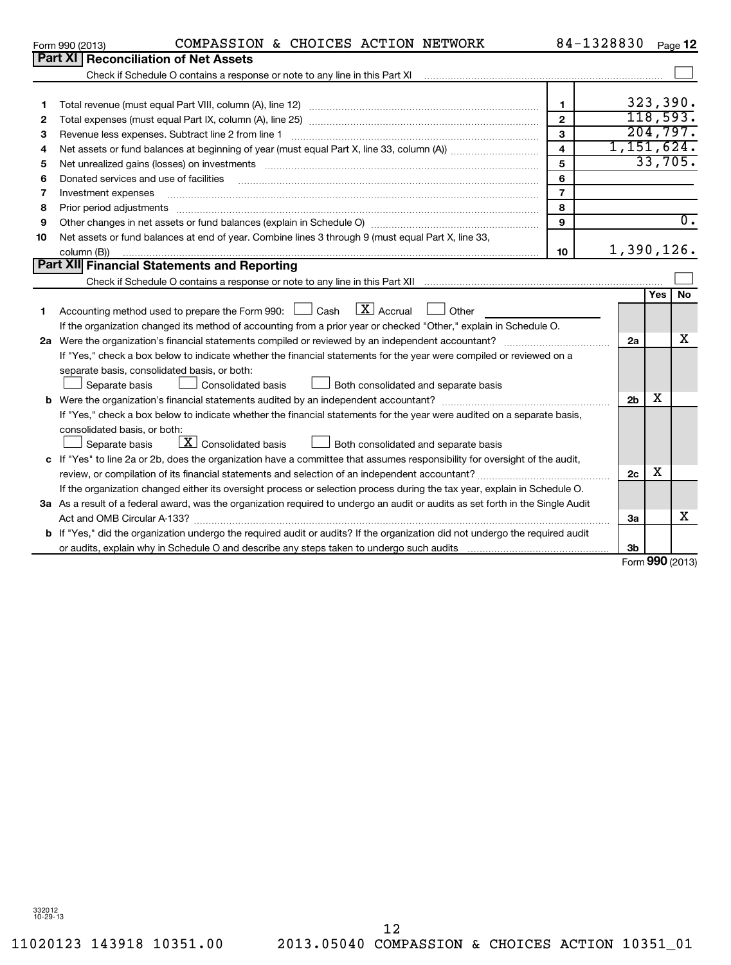### Form 990 (2013) Page COMPASSION & CHOICES ACTION NETWORK 84-1328830

84-1328830 Page 12

|              | וכו טבן טפפ ווווט<br>confidency a choiced noilor neingh                                                                              |                | ------ |                |                     | raye 14          |
|--------------|--------------------------------------------------------------------------------------------------------------------------------------|----------------|--------|----------------|---------------------|------------------|
|              | Part XI<br><b>Reconciliation of Net Assets</b>                                                                                       |                |        |                |                     |                  |
|              |                                                                                                                                      |                |        |                |                     |                  |
|              |                                                                                                                                      |                |        |                |                     |                  |
| 1            |                                                                                                                                      | 1              |        |                |                     | 323,390.         |
| $\mathbf{2}$ |                                                                                                                                      | $\mathbf{2}$   |        |                |                     | 118,593.         |
| 3            | Revenue less expenses. Subtract line 2 from line 1                                                                                   | 3              |        |                |                     | 204,797.         |
| 4            |                                                                                                                                      |                |        |                | 1,151,624.          |                  |
| 5            |                                                                                                                                      | 5              |        |                |                     | 33,705.          |
| 6            | Donated services and use of facilities                                                                                               | 6              |        |                |                     |                  |
| 7            | Investment expenses                                                                                                                  | $\overline{7}$ |        |                |                     |                  |
| 8            | Prior period adjustments                                                                                                             | 8              |        |                |                     |                  |
| 9            |                                                                                                                                      | 9              |        |                |                     | $\overline{0}$ . |
| 10           | Net assets or fund balances at end of year. Combine lines 3 through 9 (must equal Part X, line 33,                                   |                |        |                |                     |                  |
|              | column (B))                                                                                                                          | 10             |        |                |                     | 1,390,126.       |
|              | Part XII Financial Statements and Reporting                                                                                          |                |        |                |                     |                  |
|              |                                                                                                                                      |                |        |                |                     |                  |
|              |                                                                                                                                      |                |        |                | Yes l               | <b>No</b>        |
| 1            | $\boxed{\mathbf{X}}$ Accrual<br>Accounting method used to prepare the Form 990: $\Box$<br>Cash<br>Other                              |                |        |                |                     |                  |
|              | If the organization changed its method of accounting from a prior year or checked "Other," explain in Schedule O.                    |                |        |                |                     |                  |
|              | 2a Were the organization's financial statements compiled or reviewed by an independent accountant?                                   |                |        | 2a             |                     | x                |
|              | If "Yes," check a box below to indicate whether the financial statements for the year were compiled or reviewed on a                 |                |        |                |                     |                  |
|              | separate basis, consolidated basis, or both:                                                                                         |                |        |                |                     |                  |
|              | Consolidated basis<br>Separate basis<br>Both consolidated and separate basis                                                         |                |        |                |                     |                  |
|              |                                                                                                                                      |                |        | 2 <sub>b</sub> | х                   |                  |
|              | If "Yes," check a box below to indicate whether the financial statements for the year were audited on a separate basis,              |                |        |                |                     |                  |
|              | consolidated basis, or both:                                                                                                         |                |        |                |                     |                  |
|              | $\boxed{\textbf{X}}$ Consolidated basis<br>Both consolidated and separate basis<br>Separate basis                                    |                |        |                |                     |                  |
|              | c If "Yes" to line 2a or 2b, does the organization have a committee that assumes responsibility for oversight of the audit,          |                |        |                |                     |                  |
|              |                                                                                                                                      |                |        | 2c             | х                   |                  |
|              | If the organization changed either its oversight process or selection process during the tax year, explain in Schedule O.            |                |        |                |                     |                  |
|              | 3a As a result of a federal award, was the organization required to undergo an audit or audits as set forth in the Single Audit      |                |        |                |                     |                  |
|              | Act and OMB Circular A-133?                                                                                                          |                |        | 3a             |                     | х                |
|              | <b>b</b> If "Yes," did the organization undergo the required audit or audits? If the organization did not undergo the required audit |                |        |                |                     |                  |
|              |                                                                                                                                      |                |        | 3b             |                     |                  |
|              |                                                                                                                                      |                |        |                | $000 \, \text{GeV}$ |                  |

Form **990** (2013)

11020123 143918 10351.00 2013.05040 COMPASSION & CHOICES ACTION 10351\_01 12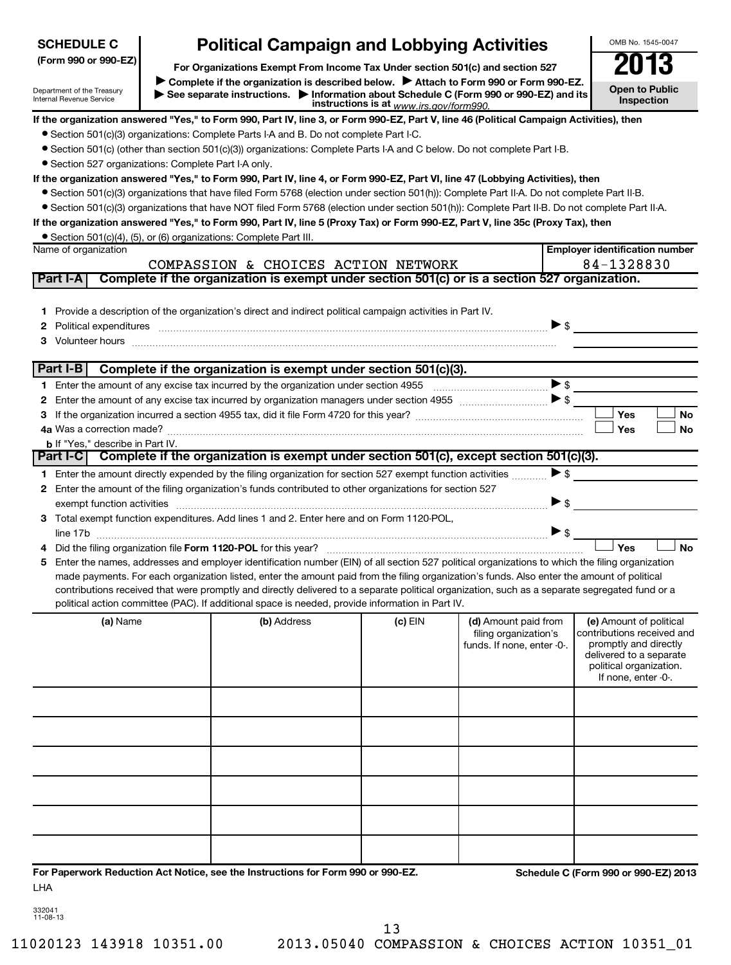| <b>SCHEDULE C</b>                                      | <b>Political Campaign and Lobbying Activities</b>                                                                                                                                                                                                                                                                                                                                                                                                                                                                                                    |                                         |                                                     | OMB No. 1545-0047                                                                                                                |
|--------------------------------------------------------|------------------------------------------------------------------------------------------------------------------------------------------------------------------------------------------------------------------------------------------------------------------------------------------------------------------------------------------------------------------------------------------------------------------------------------------------------------------------------------------------------------------------------------------------------|-----------------------------------------|-----------------------------------------------------|----------------------------------------------------------------------------------------------------------------------------------|
| (Form 990 or 990-EZ)                                   |                                                                                                                                                                                                                                                                                                                                                                                                                                                                                                                                                      |                                         |                                                     | 2013                                                                                                                             |
| Department of the Treasury<br>Internal Revenue Service | For Organizations Exempt From Income Tax Under section 501(c) and section 527<br>Complete if the organization is described below.<br>Attach to Form 990 or Form 990-EZ.<br>See separate instructions. Information about Schedule C (Form 990 or 990-EZ) and its                                                                                                                                                                                                                                                                                      | instructions is at www.irs.gov/form990. |                                                     | <b>Open to Public</b><br>Inspection                                                                                              |
|                                                        | If the organization answered "Yes," to Form 990, Part IV, line 3, or Form 990-EZ, Part V, line 46 (Political Campaign Activities), then                                                                                                                                                                                                                                                                                                                                                                                                              |                                         |                                                     |                                                                                                                                  |
|                                                        | • Section 501(c)(3) organizations: Complete Parts I-A and B. Do not complete Part I-C.                                                                                                                                                                                                                                                                                                                                                                                                                                                               |                                         |                                                     |                                                                                                                                  |
|                                                        | • Section 501(c) (other than section 501(c)(3)) organizations: Complete Parts I-A and C below. Do not complete Part I-B.                                                                                                                                                                                                                                                                                                                                                                                                                             |                                         |                                                     |                                                                                                                                  |
| • Section 527 organizations: Complete Part I-A only.   |                                                                                                                                                                                                                                                                                                                                                                                                                                                                                                                                                      |                                         |                                                     |                                                                                                                                  |
|                                                        | If the organization answered "Yes," to Form 990, Part IV, line 4, or Form 990-EZ, Part VI, line 47 (Lobbying Activities), then                                                                                                                                                                                                                                                                                                                                                                                                                       |                                         |                                                     |                                                                                                                                  |
|                                                        | • Section 501(c)(3) organizations that have filed Form 5768 (election under section 501(h)): Complete Part II-A. Do not complete Part II-B.                                                                                                                                                                                                                                                                                                                                                                                                          |                                         |                                                     |                                                                                                                                  |
|                                                        | • Section 501(c)(3) organizations that have NOT filed Form 5768 (election under section 501(h)): Complete Part II-B. Do not complete Part II-A.                                                                                                                                                                                                                                                                                                                                                                                                      |                                         |                                                     |                                                                                                                                  |
|                                                        | If the organization answered "Yes," to Form 990, Part IV, line 5 (Proxy Tax) or Form 990-EZ, Part V, line 35c (Proxy Tax), then                                                                                                                                                                                                                                                                                                                                                                                                                      |                                         |                                                     |                                                                                                                                  |
| Name of organization                                   | • Section 501(c)(4), (5), or (6) organizations: Complete Part III.                                                                                                                                                                                                                                                                                                                                                                                                                                                                                   |                                         |                                                     | <b>Employer identification number</b>                                                                                            |
|                                                        | COMPASSION & CHOICES ACTION NETWORK                                                                                                                                                                                                                                                                                                                                                                                                                                                                                                                  |                                         |                                                     | 84-1328830                                                                                                                       |
| Part I-A                                               | Complete if the organization is exempt under section 501(c) or is a section 527 organization.                                                                                                                                                                                                                                                                                                                                                                                                                                                        |                                         |                                                     |                                                                                                                                  |
|                                                        |                                                                                                                                                                                                                                                                                                                                                                                                                                                                                                                                                      |                                         |                                                     |                                                                                                                                  |
|                                                        | 1 Provide a description of the organization's direct and indirect political campaign activities in Part IV.                                                                                                                                                                                                                                                                                                                                                                                                                                          |                                         |                                                     |                                                                                                                                  |
| 2.                                                     |                                                                                                                                                                                                                                                                                                                                                                                                                                                                                                                                                      |                                         |                                                     |                                                                                                                                  |
|                                                        |                                                                                                                                                                                                                                                                                                                                                                                                                                                                                                                                                      |                                         |                                                     |                                                                                                                                  |
|                                                        |                                                                                                                                                                                                                                                                                                                                                                                                                                                                                                                                                      |                                         |                                                     |                                                                                                                                  |
| Part I-B                                               | Complete if the organization is exempt under section 501(c)(3).                                                                                                                                                                                                                                                                                                                                                                                                                                                                                      |                                         |                                                     |                                                                                                                                  |
|                                                        |                                                                                                                                                                                                                                                                                                                                                                                                                                                                                                                                                      |                                         |                                                     | $\blacktriangleright$ \$                                                                                                         |
| 2                                                      |                                                                                                                                                                                                                                                                                                                                                                                                                                                                                                                                                      |                                         |                                                     |                                                                                                                                  |
| 3                                                      |                                                                                                                                                                                                                                                                                                                                                                                                                                                                                                                                                      |                                         |                                                     | Yes<br>No                                                                                                                        |
|                                                        |                                                                                                                                                                                                                                                                                                                                                                                                                                                                                                                                                      |                                         |                                                     | Yes<br>No                                                                                                                        |
| <b>b</b> If "Yes," describe in Part IV.                |                                                                                                                                                                                                                                                                                                                                                                                                                                                                                                                                                      |                                         |                                                     |                                                                                                                                  |
|                                                        | Part I-C   Complete if the organization is exempt under section 501(c), except section 501(c)(3).                                                                                                                                                                                                                                                                                                                                                                                                                                                    |                                         |                                                     |                                                                                                                                  |
|                                                        | 1 Enter the amount directly expended by the filing organization for section 527 exempt function activities                                                                                                                                                                                                                                                                                                                                                                                                                                           |                                         |                                                     | $\blacktriangleright$ \$                                                                                                         |
|                                                        | 2 Enter the amount of the filing organization's funds contributed to other organizations for section 527                                                                                                                                                                                                                                                                                                                                                                                                                                             |                                         |                                                     |                                                                                                                                  |
|                                                        | exempt function activities entertainment and activities and activities are activities and activities and activ                                                                                                                                                                                                                                                                                                                                                                                                                                       |                                         |                                                     | ▶ \$                                                                                                                             |
|                                                        | 3 Total exempt function expenditures. Add lines 1 and 2. Enter here and on Form 1120-POL,                                                                                                                                                                                                                                                                                                                                                                                                                                                            |                                         |                                                     |                                                                                                                                  |
|                                                        |                                                                                                                                                                                                                                                                                                                                                                                                                                                                                                                                                      |                                         |                                                     | $\triangleright$ \$                                                                                                              |
|                                                        |                                                                                                                                                                                                                                                                                                                                                                                                                                                                                                                                                      |                                         |                                                     | Yes<br><b>No</b>                                                                                                                 |
|                                                        | Enter the names, addresses and employer identification number (EIN) of all section 527 political organizations to which the filing organization<br>made payments. For each organization listed, enter the amount paid from the filing organization's funds. Also enter the amount of political<br>contributions received that were promptly and directly delivered to a separate political organization, such as a separate segregated fund or a<br>political action committee (PAC). If additional space is needed, provide information in Part IV. |                                         |                                                     |                                                                                                                                  |
| (a) Name                                               | (b) Address                                                                                                                                                                                                                                                                                                                                                                                                                                                                                                                                          | $(c)$ EIN                               | (d) Amount paid from                                | (e) Amount of political                                                                                                          |
|                                                        |                                                                                                                                                                                                                                                                                                                                                                                                                                                                                                                                                      |                                         | filing organization's<br>funds. If none, enter -0-. | contributions received and<br>promptly and directly<br>delivered to a separate<br>political organization.<br>If none, enter -0-. |
|                                                        |                                                                                                                                                                                                                                                                                                                                                                                                                                                                                                                                                      |                                         |                                                     |                                                                                                                                  |
|                                                        |                                                                                                                                                                                                                                                                                                                                                                                                                                                                                                                                                      |                                         |                                                     |                                                                                                                                  |
|                                                        |                                                                                                                                                                                                                                                                                                                                                                                                                                                                                                                                                      |                                         |                                                     |                                                                                                                                  |
|                                                        |                                                                                                                                                                                                                                                                                                                                                                                                                                                                                                                                                      |                                         |                                                     |                                                                                                                                  |
|                                                        |                                                                                                                                                                                                                                                                                                                                                                                                                                                                                                                                                      |                                         |                                                     |                                                                                                                                  |
|                                                        |                                                                                                                                                                                                                                                                                                                                                                                                                                                                                                                                                      |                                         |                                                     |                                                                                                                                  |
| LHA                                                    | For Paperwork Reduction Act Notice, see the Instructions for Form 990 or 990-EZ.                                                                                                                                                                                                                                                                                                                                                                                                                                                                     |                                         |                                                     | Schedule C (Form 990 or 990-EZ) 2013                                                                                             |

| 332041   |  |
|----------|--|
| 11-08-13 |  |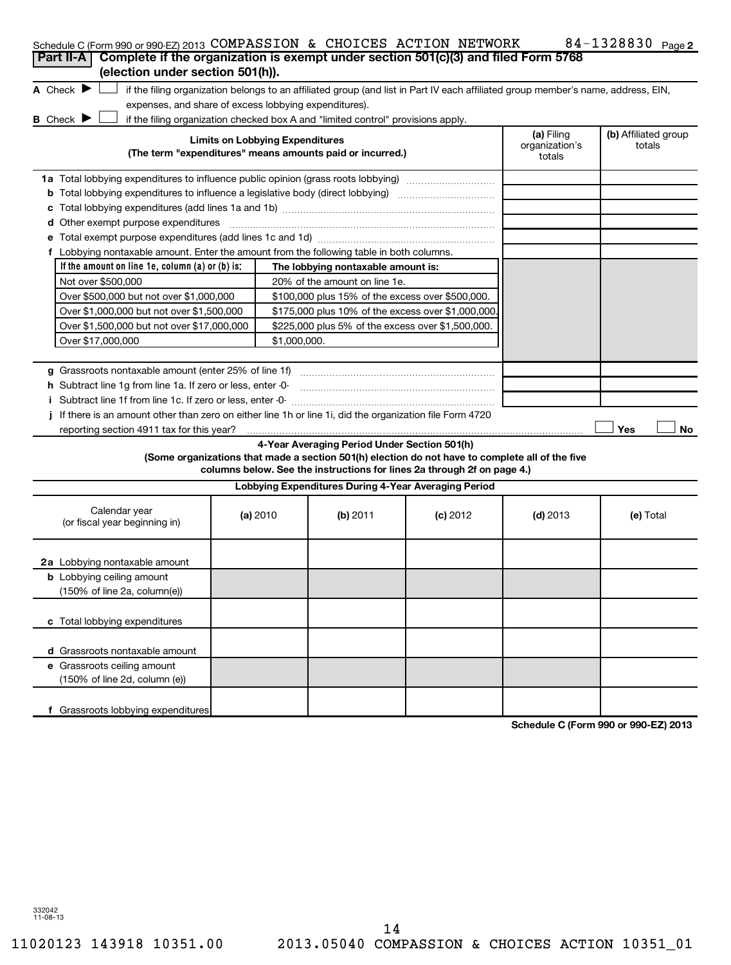| Schedule C (Form 990 or 990-EZ) 2013 COMPASSION & CHOICES ACTION NETWORK<br>Complete if the organization is exempt under section 501(c)(3) and filed Form 5768<br>Part II-A                                                                                                |                                                       |                                                                                                                                               |                                                                                                                                                                            |                                        | 84-1328830 Page 2                    |
|----------------------------------------------------------------------------------------------------------------------------------------------------------------------------------------------------------------------------------------------------------------------------|-------------------------------------------------------|-----------------------------------------------------------------------------------------------------------------------------------------------|----------------------------------------------------------------------------------------------------------------------------------------------------------------------------|----------------------------------------|--------------------------------------|
| (election under section 501(h)).<br>A Check $\blacktriangleright$                                                                                                                                                                                                          |                                                       |                                                                                                                                               | if the filing organization belongs to an affiliated group (and list in Part IV each affiliated group member's name, address, EIN,                                          |                                        |                                      |
|                                                                                                                                                                                                                                                                            | expenses, and share of excess lobbying expenditures). |                                                                                                                                               |                                                                                                                                                                            |                                        |                                      |
| <b>B</b> Check <b>P</b>                                                                                                                                                                                                                                                    | <b>Limits on Lobbying Expenditures</b>                | if the filing organization checked box A and "limited control" provisions apply.<br>(The term "expenditures" means amounts paid or incurred.) |                                                                                                                                                                            | (a) Filing<br>organization's<br>totals | (b) Affiliated group<br>totals       |
|                                                                                                                                                                                                                                                                            |                                                       |                                                                                                                                               |                                                                                                                                                                            |                                        |                                      |
| <b>1a</b> Total lobbying expenditures to influence public opinion (grass roots lobbying)<br><b>b</b> Total lobbying expenditures to influence a legislative body (direct lobbying) [11] [12] Total lobbying expenditures to influence a legislative body (direct lobbying) |                                                       |                                                                                                                                               |                                                                                                                                                                            |                                        |                                      |
|                                                                                                                                                                                                                                                                            |                                                       |                                                                                                                                               |                                                                                                                                                                            |                                        |                                      |
| d Other exempt purpose expenditures                                                                                                                                                                                                                                        |                                                       |                                                                                                                                               |                                                                                                                                                                            |                                        |                                      |
|                                                                                                                                                                                                                                                                            |                                                       |                                                                                                                                               |                                                                                                                                                                            |                                        |                                      |
| f Lobbying nontaxable amount. Enter the amount from the following table in both columns.                                                                                                                                                                                   |                                                       |                                                                                                                                               |                                                                                                                                                                            |                                        |                                      |
| If the amount on line 1e, column (a) or (b) is:                                                                                                                                                                                                                            |                                                       | The lobbying nontaxable amount is:                                                                                                            |                                                                                                                                                                            |                                        |                                      |
| Not over \$500,000                                                                                                                                                                                                                                                         |                                                       | 20% of the amount on line 1e.                                                                                                                 |                                                                                                                                                                            |                                        |                                      |
| Over \$500,000 but not over \$1,000,000                                                                                                                                                                                                                                    |                                                       | \$100,000 plus 15% of the excess over \$500,000.                                                                                              |                                                                                                                                                                            |                                        |                                      |
| Over \$1,000,000 but not over \$1,500,000                                                                                                                                                                                                                                  |                                                       | \$175,000 plus 10% of the excess over \$1,000,000                                                                                             |                                                                                                                                                                            |                                        |                                      |
| Over \$1,500,000 but not over \$17,000,000                                                                                                                                                                                                                                 |                                                       | \$225,000 plus 5% of the excess over \$1,500,000.                                                                                             |                                                                                                                                                                            |                                        |                                      |
| Over \$17,000,000                                                                                                                                                                                                                                                          | \$1,000,000.                                          |                                                                                                                                               |                                                                                                                                                                            |                                        |                                      |
|                                                                                                                                                                                                                                                                            |                                                       |                                                                                                                                               |                                                                                                                                                                            |                                        |                                      |
| g Grassroots nontaxable amount (enter 25% of line 1f)<br>h Subtract line 1q from line 1a. If zero or less, enter -0-                                                                                                                                                       |                                                       |                                                                                                                                               |                                                                                                                                                                            |                                        |                                      |
|                                                                                                                                                                                                                                                                            |                                                       |                                                                                                                                               |                                                                                                                                                                            |                                        |                                      |
| If there is an amount other than zero on either line 1h or line 1i, did the organization file Form 4720                                                                                                                                                                    |                                                       |                                                                                                                                               |                                                                                                                                                                            |                                        |                                      |
| reporting section 4911 tax for this year?                                                                                                                                                                                                                                  |                                                       |                                                                                                                                               |                                                                                                                                                                            |                                        | Yes<br>No                            |
|                                                                                                                                                                                                                                                                            |                                                       | 4-Year Averaging Period Under Section 501(h)                                                                                                  | (Some organizations that made a section 501(h) election do not have to complete all of the five<br>columns below. See the instructions for lines 2a through 2f on page 4.) |                                        |                                      |
|                                                                                                                                                                                                                                                                            |                                                       | Lobbying Expenditures During 4-Year Averaging Period                                                                                          |                                                                                                                                                                            |                                        |                                      |
| Calendar year<br>(or fiscal year beginning in)                                                                                                                                                                                                                             | (a) 2010                                              | (b) 2011                                                                                                                                      | $(c)$ 2012                                                                                                                                                                 | $(d)$ 2013                             | (e) Total                            |
| 2a Lobbying nontaxable amount                                                                                                                                                                                                                                              |                                                       |                                                                                                                                               |                                                                                                                                                                            |                                        |                                      |
| <b>b</b> Lobbying ceiling amount<br>(150% of line 2a, column(e))                                                                                                                                                                                                           |                                                       |                                                                                                                                               |                                                                                                                                                                            |                                        |                                      |
| c Total lobbying expenditures                                                                                                                                                                                                                                              |                                                       |                                                                                                                                               |                                                                                                                                                                            |                                        |                                      |
| d Grassroots nontaxable amount                                                                                                                                                                                                                                             |                                                       |                                                                                                                                               |                                                                                                                                                                            |                                        |                                      |
| e Grassroots ceiling amount                                                                                                                                                                                                                                                |                                                       |                                                                                                                                               |                                                                                                                                                                            |                                        |                                      |
| (150% of line 2d, column (e))                                                                                                                                                                                                                                              |                                                       |                                                                                                                                               |                                                                                                                                                                            |                                        |                                      |
| f Grassroots lobbying expenditures                                                                                                                                                                                                                                         |                                                       |                                                                                                                                               |                                                                                                                                                                            |                                        |                                      |
|                                                                                                                                                                                                                                                                            |                                                       |                                                                                                                                               |                                                                                                                                                                            |                                        | Schedule C (Form 990 or 990-EZ) 2013 |

**Schedule C (Form 990 or 990-EZ) 2013**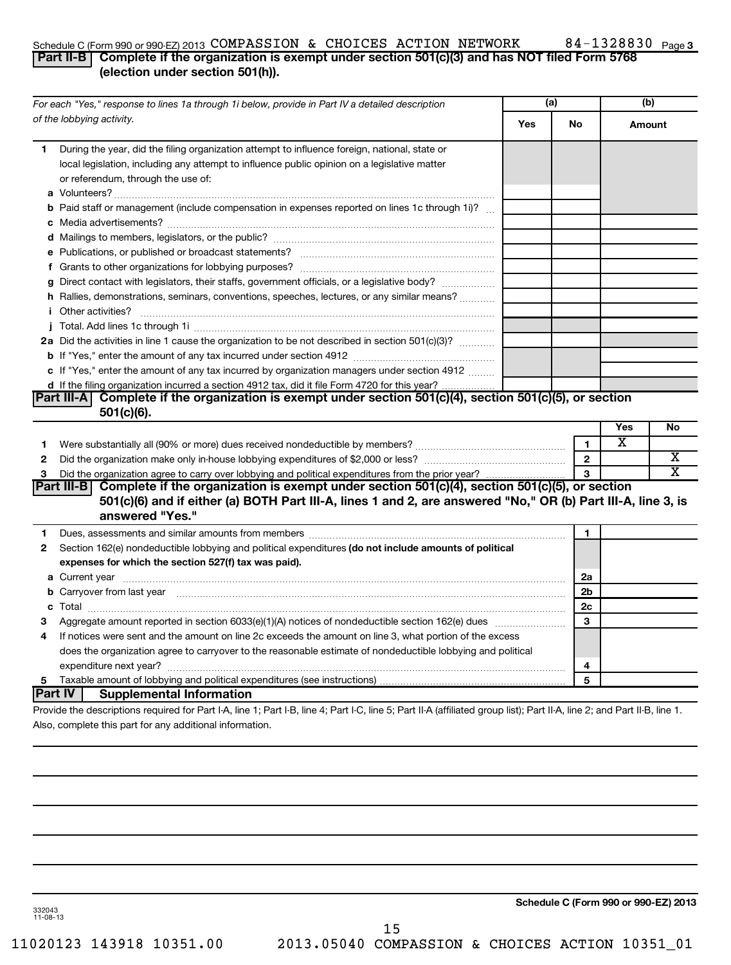#### Schedule C (Form 990 or 990-EZ) 2013 COMPASSION & CHOICES ACTION NETWORK 84-I3Z883U Page COMPASSION & CHOICES ACTION NETWORK 84-1328830

#### **Part II-B Complete if the organization is exempt under section 501(c)(3) and has NOT filed Form 5768 (election under section 501(h)).**

|    | For each "Yes," response to lines 1a through 1i below, provide in Part IV a detailed description                                                                                                                                    |     | (a)          | (b)    |           |
|----|-------------------------------------------------------------------------------------------------------------------------------------------------------------------------------------------------------------------------------------|-----|--------------|--------|-----------|
|    | of the lobbying activity.                                                                                                                                                                                                           | Yes | No           | Amount |           |
| 1. | During the year, did the filing organization attempt to influence foreign, national, state or<br>local legislation, including any attempt to influence public opinion on a legislative matter<br>or referendum, through the use of: |     |              |        |           |
|    | <b>b</b> Paid staff or management (include compensation in expenses reported on lines 1c through 1i)?                                                                                                                               |     |              |        |           |
|    |                                                                                                                                                                                                                                     |     |              |        |           |
|    |                                                                                                                                                                                                                                     |     |              |        |           |
|    |                                                                                                                                                                                                                                     |     |              |        |           |
|    | g Direct contact with legislators, their staffs, government officials, or a legislative body?                                                                                                                                       |     |              |        |           |
|    | h Rallies, demonstrations, seminars, conventions, speeches, lectures, or any similar means?                                                                                                                                         |     |              |        |           |
|    | <i>i</i> Other activities?                                                                                                                                                                                                          |     |              |        |           |
|    |                                                                                                                                                                                                                                     |     |              |        |           |
|    | 2a Did the activities in line 1 cause the organization to be not described in section 501(c)(3)?                                                                                                                                    |     |              |        |           |
|    |                                                                                                                                                                                                                                     |     |              |        |           |
|    | c If "Yes," enter the amount of any tax incurred by organization managers under section 4912                                                                                                                                        |     |              |        |           |
|    | d If the filing organization incurred a section 4912 tax, did it file Form 4720 for this year?                                                                                                                                      |     |              |        |           |
|    | Part III-A Complete if the organization is exempt under section $501(c)(4)$ , section $501(c)(5)$ , or section<br>$501(c)(6)$ .                                                                                                     |     |              |        |           |
|    |                                                                                                                                                                                                                                     |     |              | Yes    | <b>No</b> |
| 1. |                                                                                                                                                                                                                                     |     | 1.           | х      |           |
| 2  |                                                                                                                                                                                                                                     |     | $\mathbf{2}$ |        | х         |
| 3  | Did the organization agree to carry over lobbying and political expenditures from the prior year?                                                                                                                                   |     | $\mathbf{a}$ |        | X         |
|    | Part III-B Complete if the organization is exempt under section 501(c)(4), section 501(c)(5), or section                                                                                                                            |     |              |        |           |
|    | 501(c)(6) and if either (a) BOTH Part III-A, lines 1 and 2, are answered "No," OR (b) Part III-A, line 3, is                                                                                                                        |     |              |        |           |
|    | answered "Yes."                                                                                                                                                                                                                     |     |              |        |           |
| 1  | Dues, assessments and similar amounts from members [111] Dues, assessments and similar members [11] Dues, assessments and similar amounts from members [11] Dues, assessments and similar members [11] Dues and the members of      |     | 1            |        |           |
| 2  | Section 162(e) nondeductible lobbying and political expenditures (do not include amounts of political                                                                                                                               |     |              |        |           |
|    | expenses for which the section 527(f) tax was paid).                                                                                                                                                                                |     |              |        |           |
|    |                                                                                                                                                                                                                                     |     | 2a           |        |           |
|    | b Carryover from last year measured and contact the contract of the contract of the contract of the contract of the contract of the contract of the contract of the contract of the contract of the contract of the contract o      |     | 2b           |        |           |
|    |                                                                                                                                                                                                                                     |     | 2c           |        |           |
| з  |                                                                                                                                                                                                                                     |     | 3            |        |           |
| 4  | If notices were sent and the amount on line 2c exceeds the amount on line 3, what portion of the excess                                                                                                                             |     |              |        |           |
|    | does the organization agree to carryover to the reasonable estimate of nondeductible lobbying and political                                                                                                                         |     |              |        |           |
|    |                                                                                                                                                                                                                                     |     | 4            |        |           |
| 5  |                                                                                                                                                                                                                                     |     | 5            |        |           |
|    | <b>Part IV</b><br><b>Supplemental Information</b>                                                                                                                                                                                   |     |              |        |           |
|    | Provide the descriptions required for Part I-A, line 1; Part I-B, line 4; Part I-C, line 5; Part II-A (affiliated group list); Part II-A, line 2; and Part II-B, line 1.                                                            |     |              |        |           |
|    | Also, complete this part for any additional information.                                                                                                                                                                            |     |              |        |           |

**Schedule C (Form 990 or 990-EZ) 2013**

332043 11-08-13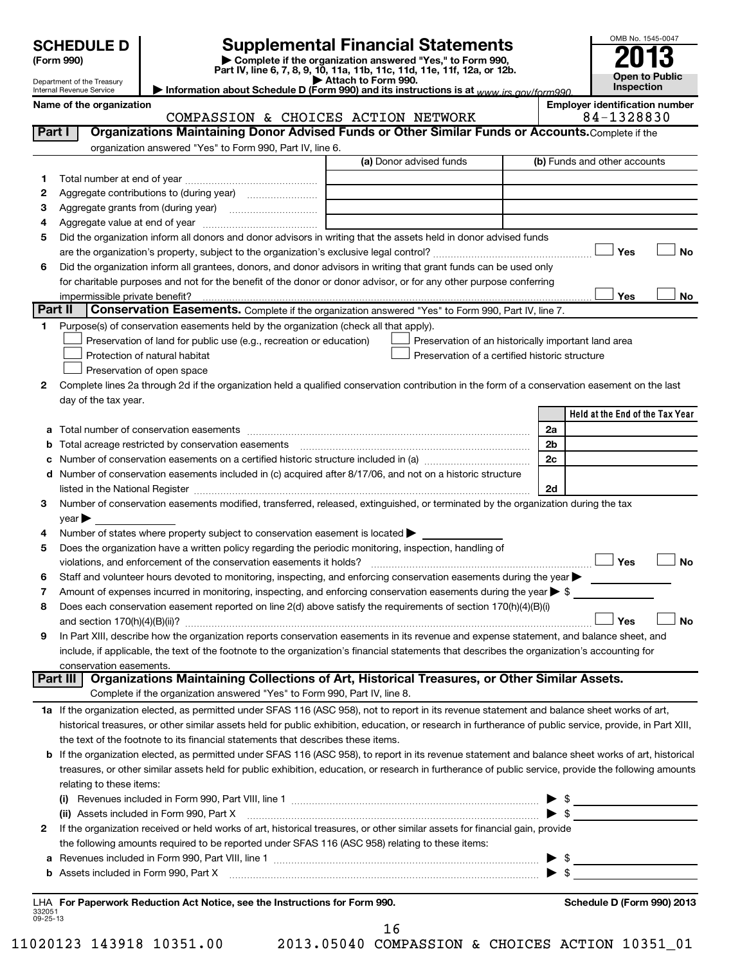Department of the Treasury Internal Revenue Service

**(Form 990) | Complete if the organization answered "Yes," to Form 990, Part IV, line 6, 7, 8, 9, 10, 11a, 11b, 11c, 11d, 11e, 11f, 12a, or 12b. SCHEDULE D Supplemental Financial Statements**<br> **Form 990 2013**<br>
Part IV line 6.7.8.9.10, 11a, 11b, 11d, 11d, 11d, 11d, 11d, 12a, 0r, 12b

| Attach to Form 990.                                                                     |  |
|-----------------------------------------------------------------------------------------|--|
| Information about Schedule D (Form 990) and its instructions is at www.jrs.gov/form990. |  |
|                                                                                         |  |

Name of the organization<br>COMPASSION & CHOICES ACTION NETWORK 84-1328830 COMPASSION & CHOICES ACTION NETWORK

OMB No. 1545-0047

**Open to Public Inspection**

| Part I             | Organizations Maintaining Donor Advised Funds or Other Similar Funds or Accounts. Complete if the                                                                                                                                                                                                                                                                  |                                                                                                                                                                                                                                                                                                                                                                                                                            |                                                     |
|--------------------|--------------------------------------------------------------------------------------------------------------------------------------------------------------------------------------------------------------------------------------------------------------------------------------------------------------------------------------------------------------------|----------------------------------------------------------------------------------------------------------------------------------------------------------------------------------------------------------------------------------------------------------------------------------------------------------------------------------------------------------------------------------------------------------------------------|-----------------------------------------------------|
|                    | organization answered "Yes" to Form 990, Part IV, line 6.                                                                                                                                                                                                                                                                                                          |                                                                                                                                                                                                                                                                                                                                                                                                                            |                                                     |
|                    |                                                                                                                                                                                                                                                                                                                                                                    | (a) Donor advised funds                                                                                                                                                                                                                                                                                                                                                                                                    | (b) Funds and other accounts                        |
| 1.                 |                                                                                                                                                                                                                                                                                                                                                                    |                                                                                                                                                                                                                                                                                                                                                                                                                            |                                                     |
| 2                  |                                                                                                                                                                                                                                                                                                                                                                    |                                                                                                                                                                                                                                                                                                                                                                                                                            |                                                     |
| 3                  |                                                                                                                                                                                                                                                                                                                                                                    |                                                                                                                                                                                                                                                                                                                                                                                                                            |                                                     |
| 4                  |                                                                                                                                                                                                                                                                                                                                                                    |                                                                                                                                                                                                                                                                                                                                                                                                                            |                                                     |
| 5                  | Did the organization inform all donors and donor advisors in writing that the assets held in donor advised funds                                                                                                                                                                                                                                                   |                                                                                                                                                                                                                                                                                                                                                                                                                            |                                                     |
|                    |                                                                                                                                                                                                                                                                                                                                                                    |                                                                                                                                                                                                                                                                                                                                                                                                                            | Yes<br><b>No</b>                                    |
| 6                  | Did the organization inform all grantees, donors, and donor advisors in writing that grant funds can be used only                                                                                                                                                                                                                                                  |                                                                                                                                                                                                                                                                                                                                                                                                                            |                                                     |
|                    | for charitable purposes and not for the benefit of the donor or donor advisor, or for any other purpose conferring                                                                                                                                                                                                                                                 |                                                                                                                                                                                                                                                                                                                                                                                                                            |                                                     |
|                    | impermissible private benefit?                                                                                                                                                                                                                                                                                                                                     |                                                                                                                                                                                                                                                                                                                                                                                                                            | Yes<br>No                                           |
| Part II            | <b>Conservation Easements.</b> Complete if the organization answered "Yes" to Form 990, Part IV, line 7.                                                                                                                                                                                                                                                           |                                                                                                                                                                                                                                                                                                                                                                                                                            |                                                     |
| 1.                 | Purpose(s) of conservation easements held by the organization (check all that apply).                                                                                                                                                                                                                                                                              |                                                                                                                                                                                                                                                                                                                                                                                                                            |                                                     |
|                    | Preservation of land for public use (e.g., recreation or education)                                                                                                                                                                                                                                                                                                |                                                                                                                                                                                                                                                                                                                                                                                                                            | Preservation of an historically important land area |
|                    | Protection of natural habitat                                                                                                                                                                                                                                                                                                                                      | Preservation of a certified historic structure                                                                                                                                                                                                                                                                                                                                                                             |                                                     |
|                    | Preservation of open space                                                                                                                                                                                                                                                                                                                                         |                                                                                                                                                                                                                                                                                                                                                                                                                            |                                                     |
| 2                  | Complete lines 2a through 2d if the organization held a qualified conservation contribution in the form of a conservation easement on the last                                                                                                                                                                                                                     |                                                                                                                                                                                                                                                                                                                                                                                                                            |                                                     |
|                    | day of the tax year.                                                                                                                                                                                                                                                                                                                                               |                                                                                                                                                                                                                                                                                                                                                                                                                            |                                                     |
|                    |                                                                                                                                                                                                                                                                                                                                                                    |                                                                                                                                                                                                                                                                                                                                                                                                                            | Held at the End of the Tax Year                     |
| a                  |                                                                                                                                                                                                                                                                                                                                                                    |                                                                                                                                                                                                                                                                                                                                                                                                                            | 2a                                                  |
| b                  | Total acreage restricted by conservation easements                                                                                                                                                                                                                                                                                                                 |                                                                                                                                                                                                                                                                                                                                                                                                                            | 2b                                                  |
| с                  | Number of conservation easements on a certified historic structure included in (a) manufacture included in (a)<br>d Number of conservation easements included in (c) acquired after 8/17/06, and not on a historic structure                                                                                                                                       |                                                                                                                                                                                                                                                                                                                                                                                                                            | 2c                                                  |
|                    |                                                                                                                                                                                                                                                                                                                                                                    |                                                                                                                                                                                                                                                                                                                                                                                                                            | 2d                                                  |
| 3                  | listed in the National Register [11] matter controlled in the National Register [11] matter controlled in the National Register [11] matter controlled in the National Register [11] matter controlled in the National Registe<br>Number of conservation easements modified, transferred, released, extinguished, or terminated by the organization during the tax |                                                                                                                                                                                                                                                                                                                                                                                                                            |                                                     |
|                    | year                                                                                                                                                                                                                                                                                                                                                               |                                                                                                                                                                                                                                                                                                                                                                                                                            |                                                     |
| 4                  | Number of states where property subject to conservation easement is located >                                                                                                                                                                                                                                                                                      |                                                                                                                                                                                                                                                                                                                                                                                                                            |                                                     |
| 5                  | Does the organization have a written policy regarding the periodic monitoring, inspection, handling of                                                                                                                                                                                                                                                             |                                                                                                                                                                                                                                                                                                                                                                                                                            |                                                     |
|                    | violations, and enforcement of the conservation easements it holds?                                                                                                                                                                                                                                                                                                |                                                                                                                                                                                                                                                                                                                                                                                                                            | $\Box$ Yes<br><b>No</b>                             |
| 6                  | Staff and volunteer hours devoted to monitoring, inspecting, and enforcing conservation easements during the year                                                                                                                                                                                                                                                  |                                                                                                                                                                                                                                                                                                                                                                                                                            |                                                     |
| 7                  | Amount of expenses incurred in monitoring, inspecting, and enforcing conservation easements during the year $\triangleright$ \$                                                                                                                                                                                                                                    |                                                                                                                                                                                                                                                                                                                                                                                                                            |                                                     |
| 8                  | Does each conservation easement reported on line 2(d) above satisfy the requirements of section 170(h)(4)(B)(i)                                                                                                                                                                                                                                                    |                                                                                                                                                                                                                                                                                                                                                                                                                            |                                                     |
|                    |                                                                                                                                                                                                                                                                                                                                                                    |                                                                                                                                                                                                                                                                                                                                                                                                                            | <b>No</b><br>Yes                                    |
| 9                  | In Part XIII, describe how the organization reports conservation easements in its revenue and expense statement, and balance sheet, and                                                                                                                                                                                                                            |                                                                                                                                                                                                                                                                                                                                                                                                                            |                                                     |
|                    | include, if applicable, the text of the footnote to the organization's financial statements that describes the organization's accounting for                                                                                                                                                                                                                       |                                                                                                                                                                                                                                                                                                                                                                                                                            |                                                     |
|                    | conservation easements.                                                                                                                                                                                                                                                                                                                                            |                                                                                                                                                                                                                                                                                                                                                                                                                            |                                                     |
|                    | Organizations Maintaining Collections of Art, Historical Treasures, or Other Similar Assets.<br>Part III                                                                                                                                                                                                                                                           |                                                                                                                                                                                                                                                                                                                                                                                                                            |                                                     |
|                    | Complete if the organization answered "Yes" to Form 990, Part IV, line 8.                                                                                                                                                                                                                                                                                          |                                                                                                                                                                                                                                                                                                                                                                                                                            |                                                     |
|                    | 1a If the organization elected, as permitted under SFAS 116 (ASC 958), not to report in its revenue statement and balance sheet works of art,                                                                                                                                                                                                                      |                                                                                                                                                                                                                                                                                                                                                                                                                            |                                                     |
|                    | historical treasures, or other similar assets held for public exhibition, education, or research in furtherance of public service, provide, in Part XIII,                                                                                                                                                                                                          |                                                                                                                                                                                                                                                                                                                                                                                                                            |                                                     |
|                    | the text of the footnote to its financial statements that describes these items.                                                                                                                                                                                                                                                                                   |                                                                                                                                                                                                                                                                                                                                                                                                                            |                                                     |
|                    | b If the organization elected, as permitted under SFAS 116 (ASC 958), to report in its revenue statement and balance sheet works of art, historical                                                                                                                                                                                                                |                                                                                                                                                                                                                                                                                                                                                                                                                            |                                                     |
|                    | treasures, or other similar assets held for public exhibition, education, or research in furtherance of public service, provide the following amounts                                                                                                                                                                                                              |                                                                                                                                                                                                                                                                                                                                                                                                                            |                                                     |
|                    | relating to these items:                                                                                                                                                                                                                                                                                                                                           |                                                                                                                                                                                                                                                                                                                                                                                                                            |                                                     |
|                    | $\left( 1\right)$                                                                                                                                                                                                                                                                                                                                                  |                                                                                                                                                                                                                                                                                                                                                                                                                            |                                                     |
|                    | (ii) Assets included in Form 990, Part X                                                                                                                                                                                                                                                                                                                           | $\overline{a_1, \ldots, a_n, \ldots, a_n, \ldots, a_n, \ldots, a_n, \ldots, a_n, \ldots, a_n, \ldots, a_n, \ldots, a_n, \ldots, a_n, \ldots, a_n, \ldots, a_n, \ldots, a_n, \ldots, a_n, \ldots, a_n, \ldots, a_n, \ldots, a_n, \ldots, a_n, \ldots, a_n, \ldots, a_n, \ldots, a_n, \ldots, a_n, \ldots, a_n, \ldots, a_n, \ldots, a_n, \ldots, a_n, \ldots, a_n, \ldots, a_n, \ldots, a_n, \ldots, a_n, \ldots, a_n, \ld$ | $\blacktriangleright$ s                             |
| 2                  | If the organization received or held works of art, historical treasures, or other similar assets for financial gain, provide                                                                                                                                                                                                                                       |                                                                                                                                                                                                                                                                                                                                                                                                                            |                                                     |
|                    | the following amounts required to be reported under SFAS 116 (ASC 958) relating to these items:                                                                                                                                                                                                                                                                    |                                                                                                                                                                                                                                                                                                                                                                                                                            |                                                     |
| а                  |                                                                                                                                                                                                                                                                                                                                                                    |                                                                                                                                                                                                                                                                                                                                                                                                                            | $\blacktriangleright$ \$                            |
|                    | b Assets included in Form 990, Part X [11] matter contract the contract of Assets included in Form 990, Part X                                                                                                                                                                                                                                                     |                                                                                                                                                                                                                                                                                                                                                                                                                            |                                                     |
|                    | LHA For Paperwork Reduction Act Notice, see the Instructions for Form 990.                                                                                                                                                                                                                                                                                         |                                                                                                                                                                                                                                                                                                                                                                                                                            | Schedule D (Form 990) 2013                          |
| 332051<br>09-25-13 |                                                                                                                                                                                                                                                                                                                                                                    |                                                                                                                                                                                                                                                                                                                                                                                                                            |                                                     |

16

11020123 143918 10351.00 2013.05040 COMPASSION & CHOICES ACTION 10351\_01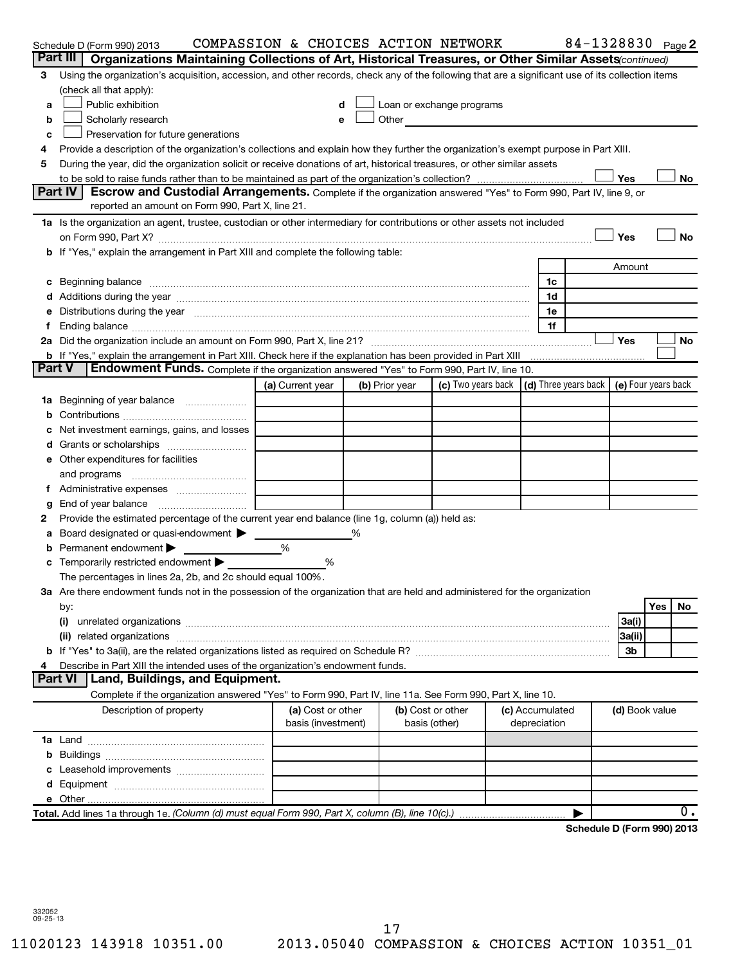|               | Schedule D (Form 990) 2013                                                                                                                                                                                                     | COMPASSION & CHOICES ACTION NETWORK |  |                |                                                                                                                                                                                                                               |                 |              | 84-1328830 Page 2          |                |     |     |
|---------------|--------------------------------------------------------------------------------------------------------------------------------------------------------------------------------------------------------------------------------|-------------------------------------|--|----------------|-------------------------------------------------------------------------------------------------------------------------------------------------------------------------------------------------------------------------------|-----------------|--------------|----------------------------|----------------|-----|-----|
|               | Part III<br>Organizations Maintaining Collections of Art, Historical Treasures, or Other Similar Assets (continued)                                                                                                            |                                     |  |                |                                                                                                                                                                                                                               |                 |              |                            |                |     |     |
| З             | Using the organization's acquisition, accession, and other records, check any of the following that are a significant use of its collection items                                                                              |                                     |  |                |                                                                                                                                                                                                                               |                 |              |                            |                |     |     |
|               | (check all that apply):                                                                                                                                                                                                        |                                     |  |                |                                                                                                                                                                                                                               |                 |              |                            |                |     |     |
| a             | Public exhibition                                                                                                                                                                                                              | d                                   |  |                | Loan or exchange programs                                                                                                                                                                                                     |                 |              |                            |                |     |     |
| b             | Scholarly research                                                                                                                                                                                                             | e                                   |  |                | Other and the contract of the contract of the contract of the contract of the contract of the contract of the contract of the contract of the contract of the contract of the contract of the contract of the contract of the |                 |              |                            |                |     |     |
| c             | Preservation for future generations                                                                                                                                                                                            |                                     |  |                |                                                                                                                                                                                                                               |                 |              |                            |                |     |     |
| 4             | Provide a description of the organization's collections and explain how they further the organization's exempt purpose in Part XIII.                                                                                           |                                     |  |                |                                                                                                                                                                                                                               |                 |              |                            |                |     |     |
| 5             | During the year, did the organization solicit or receive donations of art, historical treasures, or other similar assets                                                                                                       |                                     |  |                |                                                                                                                                                                                                                               |                 |              |                            |                |     |     |
|               |                                                                                                                                                                                                                                |                                     |  |                |                                                                                                                                                                                                                               |                 |              |                            | Yes            |     | No  |
|               | Part IV<br>Escrow and Custodial Arrangements. Complete if the organization answered "Yes" to Form 990, Part IV, line 9, or<br>reported an amount on Form 990, Part X, line 21.                                                 |                                     |  |                |                                                                                                                                                                                                                               |                 |              |                            |                |     |     |
|               | 1a Is the organization an agent, trustee, custodian or other intermediary for contributions or other assets not included                                                                                                       |                                     |  |                |                                                                                                                                                                                                                               |                 |              |                            |                |     |     |
|               |                                                                                                                                                                                                                                |                                     |  |                |                                                                                                                                                                                                                               |                 |              |                            | Yes            |     | No  |
|               | b If "Yes," explain the arrangement in Part XIII and complete the following table:                                                                                                                                             |                                     |  |                |                                                                                                                                                                                                                               |                 |              |                            |                |     |     |
|               |                                                                                                                                                                                                                                |                                     |  |                |                                                                                                                                                                                                                               |                 |              |                            | Amount         |     |     |
|               | c Beginning balance measurements and the contract of the contract of the contract of the contract of the contract of the contract of the contract of the contract of the contract of the contract of the contract of the contr |                                     |  |                |                                                                                                                                                                                                                               |                 | 1c           |                            |                |     |     |
|               |                                                                                                                                                                                                                                |                                     |  |                |                                                                                                                                                                                                                               |                 | 1d           |                            |                |     |     |
|               | Distributions during the year manufactured and an account of the year manufactured and the year manufactured and the year manufactured and the year manufactured and the year manufactured and the year manufactured and the y |                                     |  |                |                                                                                                                                                                                                                               |                 | 1e           |                            |                |     |     |
|               |                                                                                                                                                                                                                                |                                     |  |                |                                                                                                                                                                                                                               |                 | 1f           |                            |                |     |     |
|               |                                                                                                                                                                                                                                |                                     |  |                |                                                                                                                                                                                                                               |                 |              |                            | Yes            |     | No  |
|               | b If "Yes," explain the arrangement in Part XIII. Check here if the explanation has been provided in Part XIII                                                                                                                 |                                     |  |                |                                                                                                                                                                                                                               |                 |              |                            |                |     |     |
| <b>Part V</b> | <b>Endowment Funds.</b> Complete if the organization answered "Yes" to Form 990, Part IV, line 10.                                                                                                                             |                                     |  |                |                                                                                                                                                                                                                               |                 |              |                            |                |     |     |
|               |                                                                                                                                                                                                                                | (a) Current year                    |  | (b) Prior year | (c) Two years back $\vert$ (d) Three years back $\vert$ (e) Four years back                                                                                                                                                   |                 |              |                            |                |     |     |
| 1a            | Beginning of year balance                                                                                                                                                                                                      |                                     |  |                |                                                                                                                                                                                                                               |                 |              |                            |                |     |     |
| b             |                                                                                                                                                                                                                                |                                     |  |                |                                                                                                                                                                                                                               |                 |              |                            |                |     |     |
|               | Net investment earnings, gains, and losses                                                                                                                                                                                     |                                     |  |                |                                                                                                                                                                                                                               |                 |              |                            |                |     |     |
|               |                                                                                                                                                                                                                                |                                     |  |                |                                                                                                                                                                                                                               |                 |              |                            |                |     |     |
|               | e Other expenditures for facilities                                                                                                                                                                                            |                                     |  |                |                                                                                                                                                                                                                               |                 |              |                            |                |     |     |
|               | and programs                                                                                                                                                                                                                   |                                     |  |                |                                                                                                                                                                                                                               |                 |              |                            |                |     |     |
|               |                                                                                                                                                                                                                                |                                     |  |                |                                                                                                                                                                                                                               |                 |              |                            |                |     |     |
| g             | End of year balance                                                                                                                                                                                                            |                                     |  |                |                                                                                                                                                                                                                               |                 |              |                            |                |     |     |
| 2             | Provide the estimated percentage of the current year end balance (line 1g, column (a)) held as:                                                                                                                                |                                     |  |                |                                                                                                                                                                                                                               |                 |              |                            |                |     |     |
| а             | Board designated or quasi-endowment                                                                                                                                                                                            | %                                   |  |                |                                                                                                                                                                                                                               |                 |              |                            |                |     |     |
|               | Permanent endowment                                                                                                                                                                                                            |                                     |  |                |                                                                                                                                                                                                                               |                 |              |                            |                |     |     |
|               | Temporarily restricted endowment                                                                                                                                                                                               | %                                   |  |                |                                                                                                                                                                                                                               |                 |              |                            |                |     |     |
|               | The percentages in lines 2a, 2b, and 2c should equal 100%.<br>3a Are there endowment funds not in the possession of the organization that are held and administered for the organization                                       |                                     |  |                |                                                                                                                                                                                                                               |                 |              |                            |                |     |     |
|               |                                                                                                                                                                                                                                |                                     |  |                |                                                                                                                                                                                                                               |                 |              |                            |                | Yes | No. |
|               | by:<br>(i)                                                                                                                                                                                                                     |                                     |  |                |                                                                                                                                                                                                                               |                 |              |                            | 3a(i)          |     |     |
|               | (ii)                                                                                                                                                                                                                           |                                     |  |                |                                                                                                                                                                                                                               |                 |              |                            | 3a(ii)         |     |     |
|               |                                                                                                                                                                                                                                |                                     |  |                |                                                                                                                                                                                                                               |                 |              |                            | 3b             |     |     |
|               | Describe in Part XIII the intended uses of the organization's endowment funds.                                                                                                                                                 |                                     |  |                |                                                                                                                                                                                                                               |                 |              |                            |                |     |     |
|               | <b>Part VI</b><br>Land, Buildings, and Equipment.                                                                                                                                                                              |                                     |  |                |                                                                                                                                                                                                                               |                 |              |                            |                |     |     |
|               | Complete if the organization answered "Yes" to Form 990, Part IV, line 11a. See Form 990, Part X, line 10.                                                                                                                     |                                     |  |                |                                                                                                                                                                                                                               |                 |              |                            |                |     |     |
|               | Description of property                                                                                                                                                                                                        | (a) Cost or other                   |  |                | (b) Cost or other                                                                                                                                                                                                             | (c) Accumulated |              |                            | (d) Book value |     |     |
|               |                                                                                                                                                                                                                                | basis (investment)                  |  |                | basis (other)                                                                                                                                                                                                                 |                 | depreciation |                            |                |     |     |
|               |                                                                                                                                                                                                                                |                                     |  |                |                                                                                                                                                                                                                               |                 |              |                            |                |     |     |
|               |                                                                                                                                                                                                                                |                                     |  |                |                                                                                                                                                                                                                               |                 |              |                            |                |     |     |
|               |                                                                                                                                                                                                                                |                                     |  |                |                                                                                                                                                                                                                               |                 |              |                            |                |     |     |
|               |                                                                                                                                                                                                                                |                                     |  |                |                                                                                                                                                                                                                               |                 |              |                            |                |     |     |
|               |                                                                                                                                                                                                                                |                                     |  |                |                                                                                                                                                                                                                               |                 |              |                            |                |     |     |
|               | Total. Add lines 1a through 1e. (Column (d) must equal Form 990, Part X, column (B), line 10(c).)                                                                                                                              |                                     |  |                |                                                                                                                                                                                                                               |                 |              |                            |                |     | 0.  |
|               |                                                                                                                                                                                                                                |                                     |  |                |                                                                                                                                                                                                                               |                 |              | Schedule D (Form 990) 2013 |                |     |     |

332052 09-25-13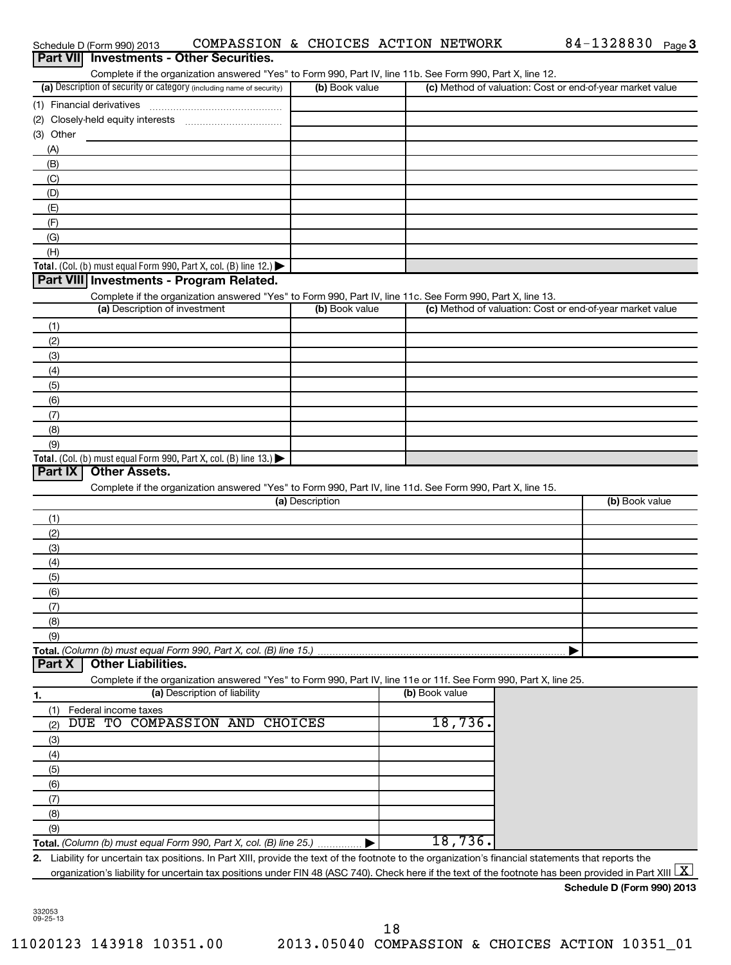|                  | Schedule D (Form 990) 2013                                                             |                                                                    |                 | COMPASSION & CHOICES ACTION NETWORK                                                                               | 84-1328830 $_{Page}$ 3                                                                                                                                                                                                                                                                                                      |
|------------------|----------------------------------------------------------------------------------------|--------------------------------------------------------------------|-----------------|-------------------------------------------------------------------------------------------------------------------|-----------------------------------------------------------------------------------------------------------------------------------------------------------------------------------------------------------------------------------------------------------------------------------------------------------------------------|
| <b>Part VIII</b> |                                                                                        | <b>Investments - Other Securities.</b>                             |                 |                                                                                                                   |                                                                                                                                                                                                                                                                                                                             |
|                  |                                                                                        |                                                                    |                 | Complete if the organization answered "Yes" to Form 990, Part IV, line 11b. See Form 990, Part X, line 12.        |                                                                                                                                                                                                                                                                                                                             |
|                  | (a) Description of security or category (including name of security)                   |                                                                    | (b) Book value  |                                                                                                                   | (c) Method of valuation: Cost or end-of-year market value                                                                                                                                                                                                                                                                   |
|                  | (1) Financial derivatives                                                              |                                                                    |                 |                                                                                                                   |                                                                                                                                                                                                                                                                                                                             |
|                  |                                                                                        |                                                                    |                 |                                                                                                                   |                                                                                                                                                                                                                                                                                                                             |
| (3) Other        |                                                                                        |                                                                    |                 |                                                                                                                   |                                                                                                                                                                                                                                                                                                                             |
| (A)              |                                                                                        |                                                                    |                 |                                                                                                                   |                                                                                                                                                                                                                                                                                                                             |
| (B)              |                                                                                        |                                                                    |                 |                                                                                                                   |                                                                                                                                                                                                                                                                                                                             |
| (C)              |                                                                                        |                                                                    |                 |                                                                                                                   |                                                                                                                                                                                                                                                                                                                             |
| (D)              |                                                                                        |                                                                    |                 |                                                                                                                   |                                                                                                                                                                                                                                                                                                                             |
| (E)              |                                                                                        |                                                                    |                 |                                                                                                                   |                                                                                                                                                                                                                                                                                                                             |
| (F)              |                                                                                        |                                                                    |                 |                                                                                                                   |                                                                                                                                                                                                                                                                                                                             |
| (G)              |                                                                                        |                                                                    |                 |                                                                                                                   |                                                                                                                                                                                                                                                                                                                             |
| (H)              |                                                                                        |                                                                    |                 |                                                                                                                   |                                                                                                                                                                                                                                                                                                                             |
|                  | Total. (Col. (b) must equal Form 990, Part X, col. (B) line 12.) $\blacktriangleright$ |                                                                    |                 |                                                                                                                   |                                                                                                                                                                                                                                                                                                                             |
|                  | Part VIII Investments - Program Related.                                               |                                                                    |                 |                                                                                                                   |                                                                                                                                                                                                                                                                                                                             |
|                  |                                                                                        |                                                                    |                 |                                                                                                                   |                                                                                                                                                                                                                                                                                                                             |
|                  | (a) Description of investment                                                          |                                                                    | (b) Book value  | Complete if the organization answered "Yes" to Form 990, Part IV, line 11c. See Form 990, Part X, line 13.        | (c) Method of valuation: Cost or end-of-year market value                                                                                                                                                                                                                                                                   |
|                  |                                                                                        |                                                                    |                 |                                                                                                                   |                                                                                                                                                                                                                                                                                                                             |
| (1)              |                                                                                        |                                                                    |                 |                                                                                                                   |                                                                                                                                                                                                                                                                                                                             |
| (2)              |                                                                                        |                                                                    |                 |                                                                                                                   |                                                                                                                                                                                                                                                                                                                             |
| (3)              |                                                                                        |                                                                    |                 |                                                                                                                   |                                                                                                                                                                                                                                                                                                                             |
| (4)              |                                                                                        |                                                                    |                 |                                                                                                                   |                                                                                                                                                                                                                                                                                                                             |
| (5)              |                                                                                        |                                                                    |                 |                                                                                                                   |                                                                                                                                                                                                                                                                                                                             |
| (6)              |                                                                                        |                                                                    |                 |                                                                                                                   |                                                                                                                                                                                                                                                                                                                             |
| (7)              |                                                                                        |                                                                    |                 |                                                                                                                   |                                                                                                                                                                                                                                                                                                                             |
| (8)              |                                                                                        |                                                                    |                 |                                                                                                                   |                                                                                                                                                                                                                                                                                                                             |
| (9)              |                                                                                        |                                                                    |                 |                                                                                                                   |                                                                                                                                                                                                                                                                                                                             |
|                  | Total. (Col. (b) must equal Form 990, Part X, col. (B) line 13.)                       |                                                                    |                 |                                                                                                                   |                                                                                                                                                                                                                                                                                                                             |
| <b>Part IX</b>   | <b>Other Assets.</b>                                                                   |                                                                    |                 |                                                                                                                   |                                                                                                                                                                                                                                                                                                                             |
|                  |                                                                                        |                                                                    |                 | Complete if the organization answered "Yes" to Form 990, Part IV, line 11d. See Form 990, Part X, line 15.        |                                                                                                                                                                                                                                                                                                                             |
|                  |                                                                                        |                                                                    | (a) Description |                                                                                                                   | (b) Book value                                                                                                                                                                                                                                                                                                              |
| (1)              |                                                                                        |                                                                    |                 |                                                                                                                   |                                                                                                                                                                                                                                                                                                                             |
| (2)              |                                                                                        |                                                                    |                 |                                                                                                                   |                                                                                                                                                                                                                                                                                                                             |
| (3)              |                                                                                        |                                                                    |                 |                                                                                                                   |                                                                                                                                                                                                                                                                                                                             |
|                  |                                                                                        |                                                                    |                 |                                                                                                                   |                                                                                                                                                                                                                                                                                                                             |
| (4)              |                                                                                        |                                                                    |                 |                                                                                                                   |                                                                                                                                                                                                                                                                                                                             |
| (5)              |                                                                                        |                                                                    |                 |                                                                                                                   |                                                                                                                                                                                                                                                                                                                             |
|                  |                                                                                        |                                                                    |                 |                                                                                                                   |                                                                                                                                                                                                                                                                                                                             |
| (6)<br>(7)       |                                                                                        |                                                                    |                 |                                                                                                                   |                                                                                                                                                                                                                                                                                                                             |
|                  |                                                                                        |                                                                    |                 |                                                                                                                   |                                                                                                                                                                                                                                                                                                                             |
| (8)              |                                                                                        |                                                                    |                 |                                                                                                                   |                                                                                                                                                                                                                                                                                                                             |
| (9)              |                                                                                        |                                                                    |                 |                                                                                                                   |                                                                                                                                                                                                                                                                                                                             |
|                  |                                                                                        | Total. (Column (b) must equal Form 990, Part X, col. (B) line 15.) |                 |                                                                                                                   |                                                                                                                                                                                                                                                                                                                             |
| <b>Part X</b>    | <b>Other Liabilities.</b>                                                              |                                                                    |                 |                                                                                                                   |                                                                                                                                                                                                                                                                                                                             |
|                  |                                                                                        |                                                                    |                 | Complete if the organization answered "Yes" to Form 990, Part IV, line 11e or 11f. See Form 990, Part X, line 25. |                                                                                                                                                                                                                                                                                                                             |
| 1.               |                                                                                        | (a) Description of liability                                       |                 | (b) Book value                                                                                                    |                                                                                                                                                                                                                                                                                                                             |
| (1)              | Federal income taxes                                                                   |                                                                    |                 |                                                                                                                   |                                                                                                                                                                                                                                                                                                                             |
| (2)              |                                                                                        | DUE TO COMPASSION AND CHOICES                                      |                 | 18,736.                                                                                                           |                                                                                                                                                                                                                                                                                                                             |
| (3)              |                                                                                        |                                                                    |                 |                                                                                                                   |                                                                                                                                                                                                                                                                                                                             |
| (4)              |                                                                                        |                                                                    |                 |                                                                                                                   |                                                                                                                                                                                                                                                                                                                             |
| (5)              |                                                                                        |                                                                    |                 |                                                                                                                   |                                                                                                                                                                                                                                                                                                                             |
| (6)              |                                                                                        |                                                                    |                 |                                                                                                                   |                                                                                                                                                                                                                                                                                                                             |
| (7)              |                                                                                        |                                                                    |                 |                                                                                                                   |                                                                                                                                                                                                                                                                                                                             |
| (8)              |                                                                                        |                                                                    |                 |                                                                                                                   |                                                                                                                                                                                                                                                                                                                             |
| (9)              |                                                                                        |                                                                    |                 |                                                                                                                   |                                                                                                                                                                                                                                                                                                                             |
|                  |                                                                                        | Total. (Column (b) must equal Form 990, Part X, col. (B) line 25.) |                 | 18,736.                                                                                                           |                                                                                                                                                                                                                                                                                                                             |
| 2.               |                                                                                        |                                                                    |                 |                                                                                                                   | Liability for uncertain tax positions. In Part XIII, provide the text of the footnote to the organization's financial statements that reports the<br>organization's liability for uncertain tax positions under FIN 48 (ASC 740). Check here if the text of the footnote has been provided in Part XIII $\lfloor x \rfloor$ |

| Schedule D (Form 990) 2013 |  |
|----------------------------|--|
|                            |  |

332053 09-25-13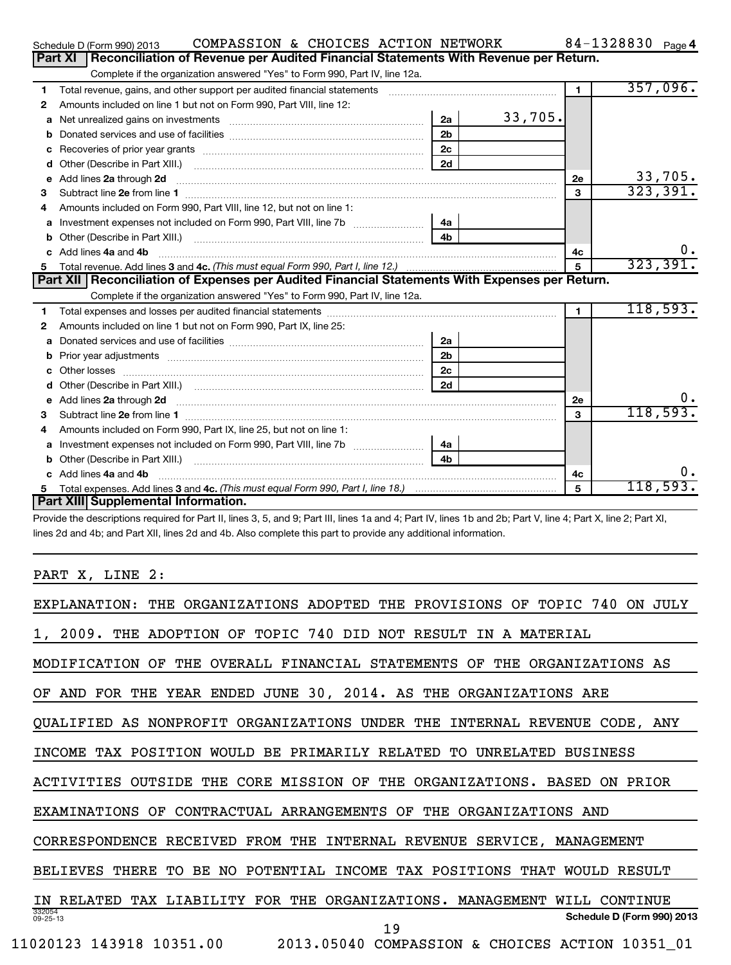|   | COMPASSION & CHOICES ACTION NETWORK<br>Schedule D (Form 990) 2013                                                                                                                                                                  |                |         |                      | 84-1328830 Page 4 |           |
|---|------------------------------------------------------------------------------------------------------------------------------------------------------------------------------------------------------------------------------------|----------------|---------|----------------------|-------------------|-----------|
|   | <b>Part XI</b><br>Reconciliation of Revenue per Audited Financial Statements With Revenue per Return.                                                                                                                              |                |         |                      |                   |           |
|   | Complete if the organization answered "Yes" to Form 990, Part IV, line 12a.                                                                                                                                                        |                |         |                      |                   |           |
| 1 | Total revenue, gains, and other support per audited financial statements [[[[[[[[[[[[[[[[[[[[[[[[]]]]]]]]]]]]                                                                                                                      |                |         | $\blacksquare$       |                   | 357,096.  |
| 2 | Amounts included on line 1 but not on Form 990, Part VIII, line 12:                                                                                                                                                                |                |         |                      |                   |           |
| a | Net unrealized gains on investments [11] Net unrealized gains on investments [11] Net unrealized gains on investments                                                                                                              | 2a             | 33,705. |                      |                   |           |
| b |                                                                                                                                                                                                                                    | 2 <sub>b</sub> |         |                      |                   |           |
| c |                                                                                                                                                                                                                                    | 2 <sub>c</sub> |         |                      |                   |           |
| d |                                                                                                                                                                                                                                    | 2d             |         |                      |                   |           |
| e | Add lines 2a through 2d <b>manufactures</b> in the contract of the contract of the contract of the contract of the contract of the contract of the contract of the contract of the contract of the contract of the contract of the |                |         | 2e                   |                   | 33,705.   |
| 3 |                                                                                                                                                                                                                                    |                |         | 3                    |                   | 323, 391. |
|   | Amounts included on Form 990, Part VIII, line 12, but not on line 1:                                                                                                                                                               |                |         |                      |                   |           |
| a | Investment expenses not included on Form 990, Part VIII, line 7b                                                                                                                                                                   | 4a             |         |                      |                   |           |
|   |                                                                                                                                                                                                                                    | 4 <sub>b</sub> |         |                      |                   |           |
|   | Add lines 4a and 4b                                                                                                                                                                                                                |                |         | 4с                   |                   | ο.        |
| 5 |                                                                                                                                                                                                                                    |                |         | 5                    |                   | 323, 391. |
|   | Part XII Reconciliation of Expenses per Audited Financial Statements With Expenses per Return.                                                                                                                                     |                |         |                      |                   |           |
|   | Complete if the organization answered "Yes" to Form 990, Part IV, line 12a.                                                                                                                                                        |                |         |                      |                   |           |
| 1 |                                                                                                                                                                                                                                    |                |         | $\blacktriangleleft$ |                   | 118,593.  |
| 2 | Amounts included on line 1 but not on Form 990, Part IX, line 25:                                                                                                                                                                  |                |         |                      |                   |           |
| a |                                                                                                                                                                                                                                    | 2a             |         |                      |                   |           |
|   |                                                                                                                                                                                                                                    | 2 <sub>b</sub> |         |                      |                   |           |
|   |                                                                                                                                                                                                                                    | 2 <sub>c</sub> |         |                      |                   |           |
| d |                                                                                                                                                                                                                                    | 2d             |         |                      |                   |           |
| e | Add lines 2a through 2d <b>[10]</b> Communication and the state of the state of the state of the state of the state of the state of the state of the state of the state of the state of the state of the state of the state of the |                |         | <b>2e</b>            |                   | υ.        |
| 3 |                                                                                                                                                                                                                                    |                |         | 3                    |                   | 118,593.  |
| 4 | Amounts included on Form 990, Part IX, line 25, but not on line 1:                                                                                                                                                                 |                |         |                      |                   |           |
| a |                                                                                                                                                                                                                                    | 4a             |         |                      |                   |           |
|   |                                                                                                                                                                                                                                    | 4 <sub>b</sub> |         |                      |                   |           |
|   | c Add lines 4a and 4b                                                                                                                                                                                                              |                |         | 4c                   |                   |           |
|   |                                                                                                                                                                                                                                    |                |         | 5                    |                   | 118,593.  |
|   | Part XIII Supplemental Information.                                                                                                                                                                                                |                |         |                      |                   |           |

Provide the descriptions required for Part II, lines 3, 5, and 9; Part III, lines 1a and 4; Part IV, lines 1b and 2b; Part V, line 4; Part X, line 2; Part XI, lines 2d and 4b; and Part XII, lines 2d and 4b. Also complete this part to provide any additional information.

PART X, LINE 2:

| TOPIC<br>EXPLANATION:<br>THE.<br>ORGANIZATIONS ADOPTED<br>THE<br>PROVISIONS<br>740<br>JULY.<br>OF<br>ON.                      |
|-------------------------------------------------------------------------------------------------------------------------------|
| 2009.<br><b>TOPIC</b><br>740<br>NOT RESULT<br>THE<br>ADOPTION<br>OF<br>DID<br>MATERIAL<br>IN<br>A                             |
| OVERALL FINANCIAL STATEMENTS<br>MODIFICATION<br>OF<br>THE<br>OF<br>THE<br>ORGANIZATIONS AS                                    |
| 30, 2014. AS<br>JUNE<br>FOR<br>THE<br>YEAR<br><b>ENDED</b><br>THE<br>ORGANIZATIONS ARE<br>OF<br>AND                           |
| NONPROFIT<br>ORGANIZATIONS<br>UNDER THE<br>INTERNAL<br>QUALIFIED<br>AS<br><b>REVENUE</b><br>CODE, ANY                         |
| TAX POSITION<br>WOULD<br>BE.<br>PRIMARILY RELATED<br>UNRELATED<br><b>BUSINESS</b><br>INCOME<br>TO.                            |
| OUTSIDE<br>THE<br>CORE MISSION<br>OF<br>THE<br>ORGANIZATIONS.<br>PRIOR<br>ACTIVITIES<br><b>BASED</b><br>ON.                   |
| OF<br>CONTRACTUAL ARRANGEMENTS<br>THE<br>ORGANIZATIONS AND<br>EXAMINATIONS<br>OF                                              |
| CORRESPONDENCE<br>RECEIVED<br>FROM<br>THE<br>INTERNAL<br>REVENUE<br>SERVICE,<br>MANAGEMENT                                    |
| POTENTIAL<br><b>INCOME</b><br>TAX POSITIONS<br><b>BELIEVES</b><br>THERE<br>TО<br>BE.<br>NO.<br>THAT<br><b>WOULD</b><br>RESULT |
| <b>RELATED</b><br>T.TABTI.TTY<br><b>FOR</b><br>THE<br>ORGANIZATIONS.<br>MANAGEMENT<br>TAX<br>WILL<br>CONTINUE<br>ΤN           |
| 332054<br>Schedule D (Form 990) 2013<br>$09 - 25 - 13$<br>19                                                                  |
| 11020123 143918 10351.00<br>2013.05040 COMPASSION<br><b>CHOICES</b><br>ACTION 10351 01<br>&                                   |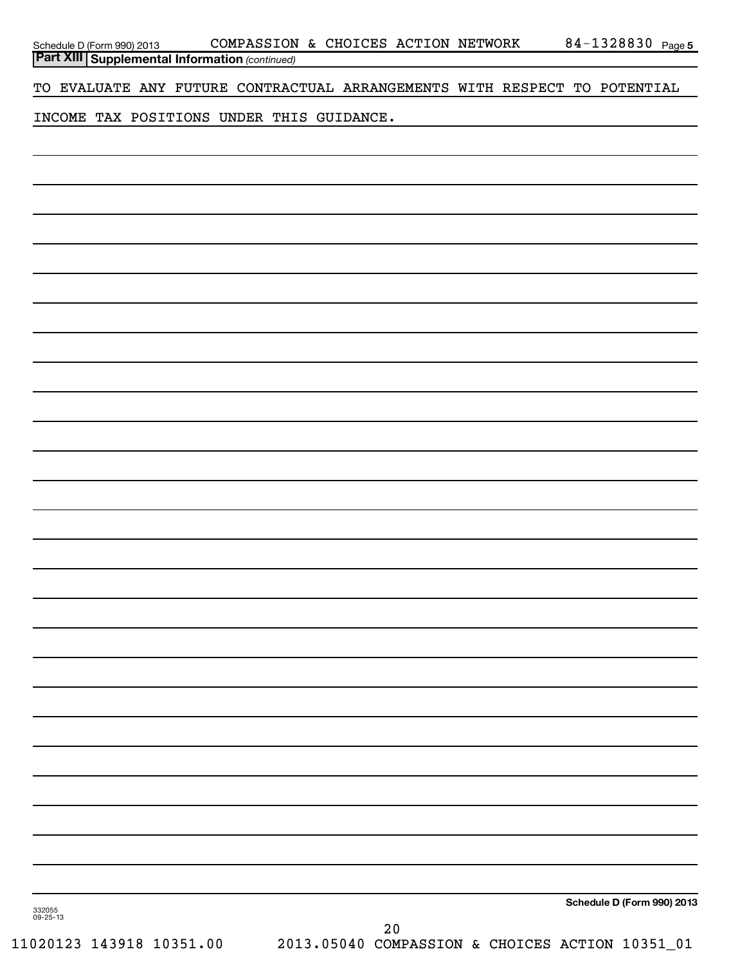| Schedule D (Form 990) 2013                            |  |  |  | COMPASSION & CHOICES ACTION NETWORK                                       |  | 84-1328830 Page 5          |  |
|-------------------------------------------------------|--|--|--|---------------------------------------------------------------------------|--|----------------------------|--|
| <b>Part XIII Supplemental Information (continued)</b> |  |  |  |                                                                           |  |                            |  |
|                                                       |  |  |  | TO EVALUATE ANY FUTURE CONTRACTUAL ARRANGEMENTS WITH RESPECT TO POTENTIAL |  |                            |  |
| INCOME TAX POSITIONS UNDER THIS GUIDANCE.             |  |  |  |                                                                           |  |                            |  |
|                                                       |  |  |  |                                                                           |  |                            |  |
|                                                       |  |  |  |                                                                           |  |                            |  |
|                                                       |  |  |  |                                                                           |  |                            |  |
|                                                       |  |  |  |                                                                           |  |                            |  |
|                                                       |  |  |  |                                                                           |  |                            |  |
|                                                       |  |  |  |                                                                           |  |                            |  |
|                                                       |  |  |  |                                                                           |  |                            |  |
|                                                       |  |  |  |                                                                           |  |                            |  |
|                                                       |  |  |  |                                                                           |  |                            |  |
|                                                       |  |  |  |                                                                           |  |                            |  |
|                                                       |  |  |  |                                                                           |  |                            |  |
|                                                       |  |  |  |                                                                           |  |                            |  |
|                                                       |  |  |  |                                                                           |  |                            |  |
|                                                       |  |  |  |                                                                           |  |                            |  |
|                                                       |  |  |  |                                                                           |  |                            |  |
|                                                       |  |  |  |                                                                           |  |                            |  |
|                                                       |  |  |  |                                                                           |  |                            |  |
|                                                       |  |  |  |                                                                           |  |                            |  |
|                                                       |  |  |  |                                                                           |  |                            |  |
|                                                       |  |  |  |                                                                           |  |                            |  |
|                                                       |  |  |  |                                                                           |  |                            |  |
|                                                       |  |  |  |                                                                           |  |                            |  |
|                                                       |  |  |  |                                                                           |  |                            |  |
|                                                       |  |  |  |                                                                           |  |                            |  |
|                                                       |  |  |  |                                                                           |  |                            |  |
|                                                       |  |  |  |                                                                           |  |                            |  |
|                                                       |  |  |  |                                                                           |  |                            |  |
|                                                       |  |  |  |                                                                           |  |                            |  |
|                                                       |  |  |  |                                                                           |  |                            |  |
|                                                       |  |  |  |                                                                           |  |                            |  |
|                                                       |  |  |  |                                                                           |  |                            |  |
|                                                       |  |  |  |                                                                           |  |                            |  |
| 332055<br>09-25-13                                    |  |  |  |                                                                           |  | Schedule D (Form 990) 2013 |  |
|                                                       |  |  |  | 20                                                                        |  |                            |  |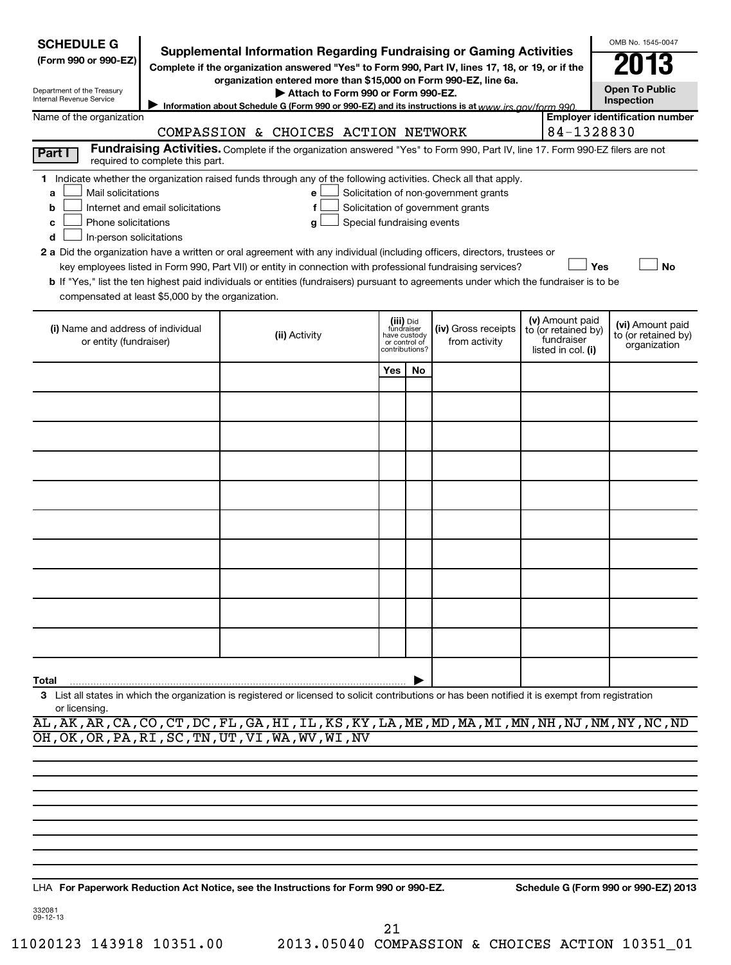| <b>SCHEDULE G</b><br><b>Supplemental Information Regarding Fundraising or Gaming Activities</b><br>(Form 990 or 990-EZ)<br>Complete if the organization answered "Yes" to Form 990, Part IV, lines 17, 18, or 19, or if the<br>organization entered more than \$15,000 on Form 990-EZ, line 6a.<br><b>Open To Public</b><br>Department of the Treasury<br>Attach to Form 990 or Form 990-EZ.<br>Internal Revenue Service<br>Inspection<br>Information about Schedule G (Form 990 or 990-EZ) and its instructions is at www irs gov/form 990<br><b>Employer identification number</b><br>Name of the organization<br>84-1328830<br>COMPASSION & CHOICES ACTION NETWORK<br>Fundraising Activities. Complete if the organization answered "Yes" to Form 990, Part IV, line 17. Form 990-EZ filers are not<br>Part I<br>required to complete this part.<br>1 Indicate whether the organization raised funds through any of the following activities. Check all that apply. |               |     |                                                                                                                    |  |  |                                                                            |                                                         |  |  |  |
|------------------------------------------------------------------------------------------------------------------------------------------------------------------------------------------------------------------------------------------------------------------------------------------------------------------------------------------------------------------------------------------------------------------------------------------------------------------------------------------------------------------------------------------------------------------------------------------------------------------------------------------------------------------------------------------------------------------------------------------------------------------------------------------------------------------------------------------------------------------------------------------------------------------------------------------------------------------------|---------------|-----|--------------------------------------------------------------------------------------------------------------------|--|--|----------------------------------------------------------------------------|---------------------------------------------------------|--|--|--|
| Mail solicitations<br>Solicitation of non-government grants<br>e<br>a<br>Internet and email solicitations<br>Solicitation of government grants<br>f<br>b<br>Phone solicitations<br>Special fundraising events<br>g<br>с<br>In-person solicitations<br>d<br>2 a Did the organization have a written or oral agreement with any individual (including officers, directors, trustees or<br>Yes<br>No<br>key employees listed in Form 990, Part VII) or entity in connection with professional fundraising services?<br>b If "Yes," list the ten highest paid individuals or entities (fundraisers) pursuant to agreements under which the fundraiser is to be<br>compensated at least \$5,000 by the organization.                                                                                                                                                                                                                                                        |               |     |                                                                                                                    |  |  |                                                                            |                                                         |  |  |  |
| (i) Name and address of individual<br>or entity (fundraiser)                                                                                                                                                                                                                                                                                                                                                                                                                                                                                                                                                                                                                                                                                                                                                                                                                                                                                                           | (ii) Activity |     | (iii) Did<br>(iv) Gross receipts<br>fundraiser<br>have custody<br>from activity<br>or control of<br>contributions? |  |  | (v) Amount paid<br>to (or retained by)<br>fundraiser<br>listed in col. (i) | (vi) Amount paid<br>to (or retained by)<br>organization |  |  |  |
|                                                                                                                                                                                                                                                                                                                                                                                                                                                                                                                                                                                                                                                                                                                                                                                                                                                                                                                                                                        |               | Yes | <b>No</b>                                                                                                          |  |  |                                                                            |                                                         |  |  |  |
|                                                                                                                                                                                                                                                                                                                                                                                                                                                                                                                                                                                                                                                                                                                                                                                                                                                                                                                                                                        |               |     |                                                                                                                    |  |  |                                                                            |                                                         |  |  |  |
|                                                                                                                                                                                                                                                                                                                                                                                                                                                                                                                                                                                                                                                                                                                                                                                                                                                                                                                                                                        |               |     |                                                                                                                    |  |  |                                                                            |                                                         |  |  |  |
|                                                                                                                                                                                                                                                                                                                                                                                                                                                                                                                                                                                                                                                                                                                                                                                                                                                                                                                                                                        |               |     |                                                                                                                    |  |  |                                                                            |                                                         |  |  |  |
|                                                                                                                                                                                                                                                                                                                                                                                                                                                                                                                                                                                                                                                                                                                                                                                                                                                                                                                                                                        |               |     |                                                                                                                    |  |  |                                                                            |                                                         |  |  |  |
|                                                                                                                                                                                                                                                                                                                                                                                                                                                                                                                                                                                                                                                                                                                                                                                                                                                                                                                                                                        |               |     |                                                                                                                    |  |  |                                                                            |                                                         |  |  |  |
|                                                                                                                                                                                                                                                                                                                                                                                                                                                                                                                                                                                                                                                                                                                                                                                                                                                                                                                                                                        |               |     |                                                                                                                    |  |  |                                                                            |                                                         |  |  |  |
|                                                                                                                                                                                                                                                                                                                                                                                                                                                                                                                                                                                                                                                                                                                                                                                                                                                                                                                                                                        |               |     |                                                                                                                    |  |  |                                                                            |                                                         |  |  |  |
|                                                                                                                                                                                                                                                                                                                                                                                                                                                                                                                                                                                                                                                                                                                                                                                                                                                                                                                                                                        |               |     |                                                                                                                    |  |  |                                                                            |                                                         |  |  |  |
|                                                                                                                                                                                                                                                                                                                                                                                                                                                                                                                                                                                                                                                                                                                                                                                                                                                                                                                                                                        |               |     |                                                                                                                    |  |  |                                                                            |                                                         |  |  |  |
| Total                                                                                                                                                                                                                                                                                                                                                                                                                                                                                                                                                                                                                                                                                                                                                                                                                                                                                                                                                                  |               |     |                                                                                                                    |  |  |                                                                            |                                                         |  |  |  |
| List all states in which the organization is registered or licensed to solicit contributions or has been notified it is exempt from registration<br>3<br>or licensing.<br>AL, AK, AR, CA, CO, CT, DC, FL, GA, HI, IL, KS, KY, LA, ME, MD, MA, MI, MN, NH, NJ, NM, NY, NC, ND                                                                                                                                                                                                                                                                                                                                                                                                                                                                                                                                                                                                                                                                                           |               |     |                                                                                                                    |  |  |                                                                            |                                                         |  |  |  |

OH,OK,OR,PA,RI,SC,TN,UT,VI,WA,WV,WI,NV

**For Paperwork Reduction Act Notice, see the Instructions for Form 990 or 990-EZ. Schedule G (Form 990 or 990-EZ) 2013** LHA

332081 09-12-13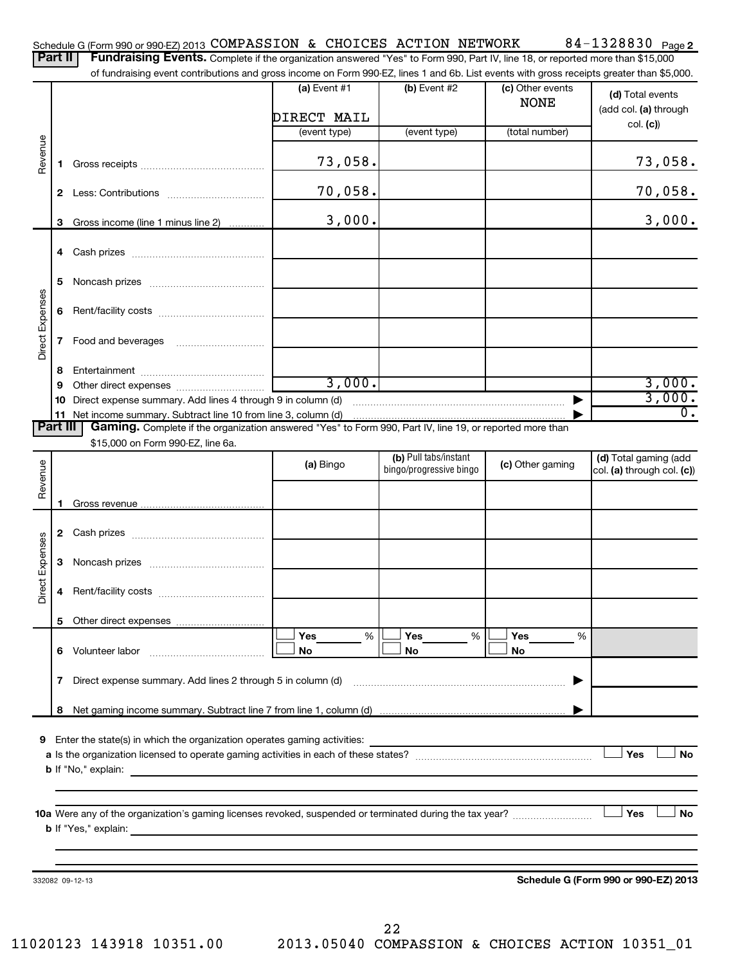|                 |              | Schedule G (Form 990 or 990-EZ) 2013 COMPASSION & CHOICES ACTION NETWORK                                                                                                                                                                                                   |                |                                                             |                  | 84-1328830 Page 2                                   |
|-----------------|--------------|----------------------------------------------------------------------------------------------------------------------------------------------------------------------------------------------------------------------------------------------------------------------------|----------------|-------------------------------------------------------------|------------------|-----------------------------------------------------|
|                 | Part II      | Fundraising Events. Complete if the organization answered "Yes" to Form 990, Part IV, line 18, or reported more than \$15,000<br>of fundraising event contributions and gross income on Form 990-EZ, lines 1 and 6b. List events with gross receipts greater than \$5,000. |                |                                                             |                  |                                                     |
|                 |              |                                                                                                                                                                                                                                                                            | $(a)$ Event #1 | (b) Event #2                                                | (c) Other events |                                                     |
|                 |              |                                                                                                                                                                                                                                                                            |                |                                                             | <b>NONE</b>      | (d) Total events                                    |
|                 |              |                                                                                                                                                                                                                                                                            | DIRECT MAIL    |                                                             |                  | (add col. (a) through                               |
|                 |              |                                                                                                                                                                                                                                                                            | (event type)   | (event type)                                                | (total number)   | col. (c)                                            |
| Revenue         |              |                                                                                                                                                                                                                                                                            |                |                                                             |                  |                                                     |
|                 | 1            |                                                                                                                                                                                                                                                                            | 73,058.        |                                                             |                  | 73,058.                                             |
|                 |              |                                                                                                                                                                                                                                                                            |                |                                                             |                  |                                                     |
|                 | $\mathbf{2}$ |                                                                                                                                                                                                                                                                            | 70,058.        |                                                             |                  | <u>70,058.</u>                                      |
|                 |              |                                                                                                                                                                                                                                                                            |                |                                                             |                  |                                                     |
|                 | 3            | Gross income (line 1 minus line 2)                                                                                                                                                                                                                                         | 3,000.         |                                                             |                  | 3,000.                                              |
|                 |              |                                                                                                                                                                                                                                                                            |                |                                                             |                  |                                                     |
|                 |              |                                                                                                                                                                                                                                                                            |                |                                                             |                  |                                                     |
|                 |              |                                                                                                                                                                                                                                                                            |                |                                                             |                  |                                                     |
|                 | 5            |                                                                                                                                                                                                                                                                            |                |                                                             |                  |                                                     |
|                 |              |                                                                                                                                                                                                                                                                            |                |                                                             |                  |                                                     |
|                 | 6            |                                                                                                                                                                                                                                                                            |                |                                                             |                  |                                                     |
| Direct Expenses | 7            |                                                                                                                                                                                                                                                                            |                |                                                             |                  |                                                     |
|                 |              |                                                                                                                                                                                                                                                                            |                |                                                             |                  |                                                     |
|                 | 8            |                                                                                                                                                                                                                                                                            |                |                                                             |                  |                                                     |
|                 | 9            |                                                                                                                                                                                                                                                                            | 3,000.         |                                                             |                  | 3,000.                                              |
|                 | 10           |                                                                                                                                                                                                                                                                            |                |                                                             |                  | 3,000.                                              |
|                 | 11           |                                                                                                                                                                                                                                                                            |                |                                                             |                  | 0.                                                  |
|                 | Part III     | Gaming. Complete if the organization answered "Yes" to Form 990, Part IV, line 19, or reported more than                                                                                                                                                                   |                |                                                             |                  |                                                     |
|                 |              | \$15,000 on Form 990-EZ, line 6a.                                                                                                                                                                                                                                          |                |                                                             |                  |                                                     |
|                 |              |                                                                                                                                                                                                                                                                            | (a) Bingo      | (b) Pull tabs/instant<br>bingo/progressive bingo            | (c) Other gaming | (d) Total gaming (add<br>col. (a) through col. (c)) |
| Revenue         |              |                                                                                                                                                                                                                                                                            |                |                                                             |                  |                                                     |
|                 |              |                                                                                                                                                                                                                                                                            |                |                                                             |                  |                                                     |
|                 |              |                                                                                                                                                                                                                                                                            |                |                                                             |                  |                                                     |
|                 | 2            |                                                                                                                                                                                                                                                                            |                |                                                             |                  |                                                     |
| Expenses        |              |                                                                                                                                                                                                                                                                            |                |                                                             |                  |                                                     |
|                 | 3            |                                                                                                                                                                                                                                                                            |                |                                                             |                  |                                                     |
|                 |              |                                                                                                                                                                                                                                                                            |                |                                                             |                  |                                                     |
| έğ<br>ă         |              |                                                                                                                                                                                                                                                                            |                |                                                             |                  |                                                     |
|                 |              |                                                                                                                                                                                                                                                                            |                |                                                             |                  |                                                     |
|                 |              |                                                                                                                                                                                                                                                                            |                |                                                             |                  |                                                     |
|                 |              |                                                                                                                                                                                                                                                                            | Yes<br>$\%$    | Yes<br>%                                                    | Yes<br>%         |                                                     |
|                 |              | 6 Volunteer labor                                                                                                                                                                                                                                                          | No             | No                                                          | No               |                                                     |
|                 |              |                                                                                                                                                                                                                                                                            |                |                                                             |                  |                                                     |
|                 | 7            | Direct expense summary. Add lines 2 through 5 in column (d)                                                                                                                                                                                                                |                |                                                             |                  |                                                     |
|                 | 8            |                                                                                                                                                                                                                                                                            |                |                                                             |                  |                                                     |
|                 |              |                                                                                                                                                                                                                                                                            |                |                                                             |                  |                                                     |
| 9               |              | Enter the state(s) in which the organization operates gaming activities:                                                                                                                                                                                                   |                | <u> 1989 - Johann Stein, mars an deus Frankryk († 1952)</u> |                  |                                                     |
|                 |              |                                                                                                                                                                                                                                                                            |                |                                                             |                  | Yes<br>No                                           |
|                 |              |                                                                                                                                                                                                                                                                            |                |                                                             |                  |                                                     |
|                 |              |                                                                                                                                                                                                                                                                            |                |                                                             |                  |                                                     |
|                 |              |                                                                                                                                                                                                                                                                            |                |                                                             |                  |                                                     |
|                 |              |                                                                                                                                                                                                                                                                            |                |                                                             |                  | Yes<br>No                                           |
|                 |              |                                                                                                                                                                                                                                                                            |                |                                                             |                  |                                                     |
|                 |              |                                                                                                                                                                                                                                                                            |                |                                                             |                  |                                                     |
|                 |              |                                                                                                                                                                                                                                                                            |                |                                                             |                  |                                                     |
|                 |              | 332082 09-12-13                                                                                                                                                                                                                                                            |                |                                                             |                  | Schedule G (Form 990 or 990-EZ) 2013                |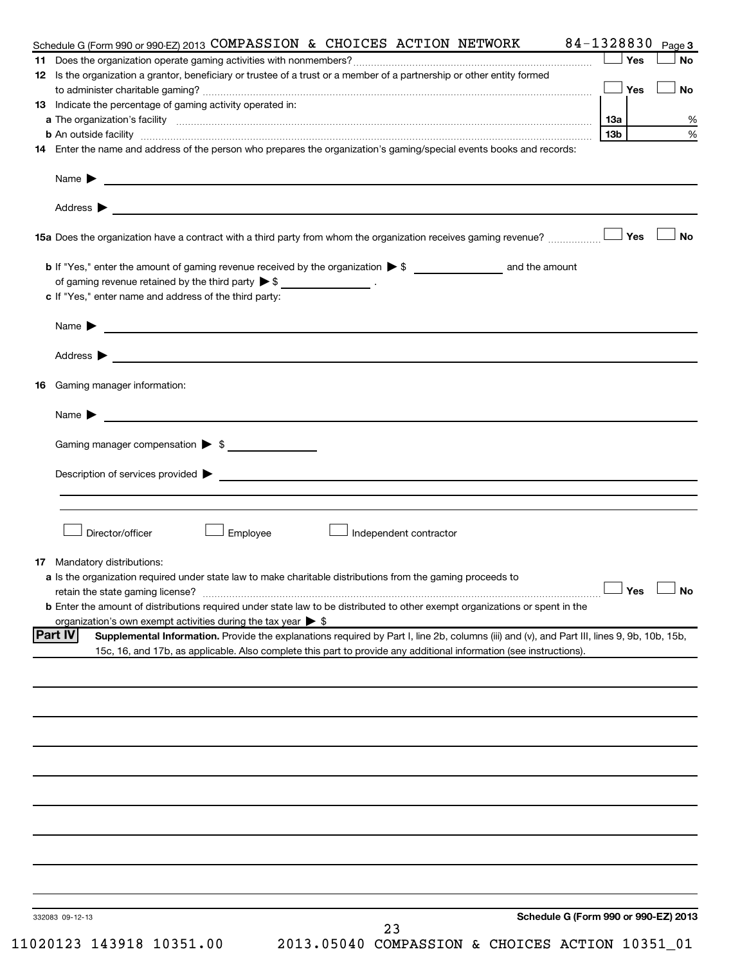|     | 84-1328830<br>Schedule G (Form 990 or 990-EZ) 2013 COMPASSION & CHOICES ACTION NETWORK                                                                        |     |      | Page 3    |
|-----|---------------------------------------------------------------------------------------------------------------------------------------------------------------|-----|------|-----------|
| 11. |                                                                                                                                                               |     | Yes  | <b>No</b> |
|     | 12 Is the organization a grantor, beneficiary or trustee of a trust or a member of a partnership or other entity formed                                       |     |      |           |
|     |                                                                                                                                                               |     | Yes  | <b>No</b> |
|     | <b>13</b> Indicate the percentage of gaming activity operated in:                                                                                             |     |      |           |
|     |                                                                                                                                                               | 13а |      | %         |
|     | <b>b</b> An outside facility <i>www.communicality.communicality.communicality www.communicality.communicality.communicality</i>                               | 13b |      | %         |
|     | 14 Enter the name and address of the person who prepares the organization's gaming/special events books and records:                                          |     |      |           |
|     | Name $\blacktriangleright$ $\frac{1}{\sqrt{1-\frac{1}{2}}\left(1-\frac{1}{2}\right)}$                                                                         |     |      |           |
|     | Address $\blacktriangleright$                                                                                                                                 |     |      |           |
|     |                                                                                                                                                               |     | 」Yes | <b>No</b> |
|     |                                                                                                                                                               |     |      |           |
|     | of gaming revenue retained by the third party $\triangleright$ \$ _________________.                                                                          |     |      |           |
|     | c If "Yes," enter name and address of the third party:                                                                                                        |     |      |           |
|     |                                                                                                                                                               |     |      |           |
|     |                                                                                                                                                               |     |      |           |
|     |                                                                                                                                                               |     |      |           |
|     |                                                                                                                                                               |     |      |           |
| 16  | Gaming manager information:                                                                                                                                   |     |      |           |
|     |                                                                                                                                                               |     |      |           |
|     | Name $\blacktriangleright$<br><u> 1989 - Johann Harry Harry Harry Harry Harry Harry Harry Harry Harry Harry Harry Harry Harry Harry Harry Harry</u>           |     |      |           |
|     | Gaming manager compensation > \$                                                                                                                              |     |      |           |
|     |                                                                                                                                                               |     |      |           |
|     |                                                                                                                                                               |     |      |           |
|     |                                                                                                                                                               |     |      |           |
|     |                                                                                                                                                               |     |      |           |
|     | Director/officer<br>Employee<br>Independent contractor                                                                                                        |     |      |           |
|     |                                                                                                                                                               |     |      |           |
|     | <b>17</b> Mandatory distributions:<br>a Is the organization required under state law to make charitable distributions from the gaming proceeds to             |     |      |           |
|     | retain the state gaming license? $\Box$ No                                                                                                                    |     |      |           |
|     | <b>b</b> Enter the amount of distributions required under state law to be distributed to other exempt organizations or spent in the                           |     |      |           |
|     | organization's own exempt activities during the tax year $\triangleright$ \$                                                                                  |     |      |           |
|     | <b>Part IV</b><br>Supplemental Information. Provide the explanations required by Part I, line 2b, columns (iii) and (v), and Part III, lines 9, 9b, 10b, 15b, |     |      |           |
|     | 15c, 16, and 17b, as applicable. Also complete this part to provide any additional information (see instructions).                                            |     |      |           |
|     |                                                                                                                                                               |     |      |           |
|     |                                                                                                                                                               |     |      |           |
|     |                                                                                                                                                               |     |      |           |
|     |                                                                                                                                                               |     |      |           |
|     |                                                                                                                                                               |     |      |           |
|     |                                                                                                                                                               |     |      |           |
|     |                                                                                                                                                               |     |      |           |
|     |                                                                                                                                                               |     |      |           |
|     |                                                                                                                                                               |     |      |           |
|     |                                                                                                                                                               |     |      |           |
|     |                                                                                                                                                               |     |      |           |
|     |                                                                                                                                                               |     |      |           |
|     | Schedule G (Form 990 or 990-EZ) 2013<br>332083 09-12-13                                                                                                       |     |      |           |
|     | 23                                                                                                                                                            |     |      |           |

11020123 143918 10351.00 2013.05040 COMPASSION & CHOICES ACTION 10351\_01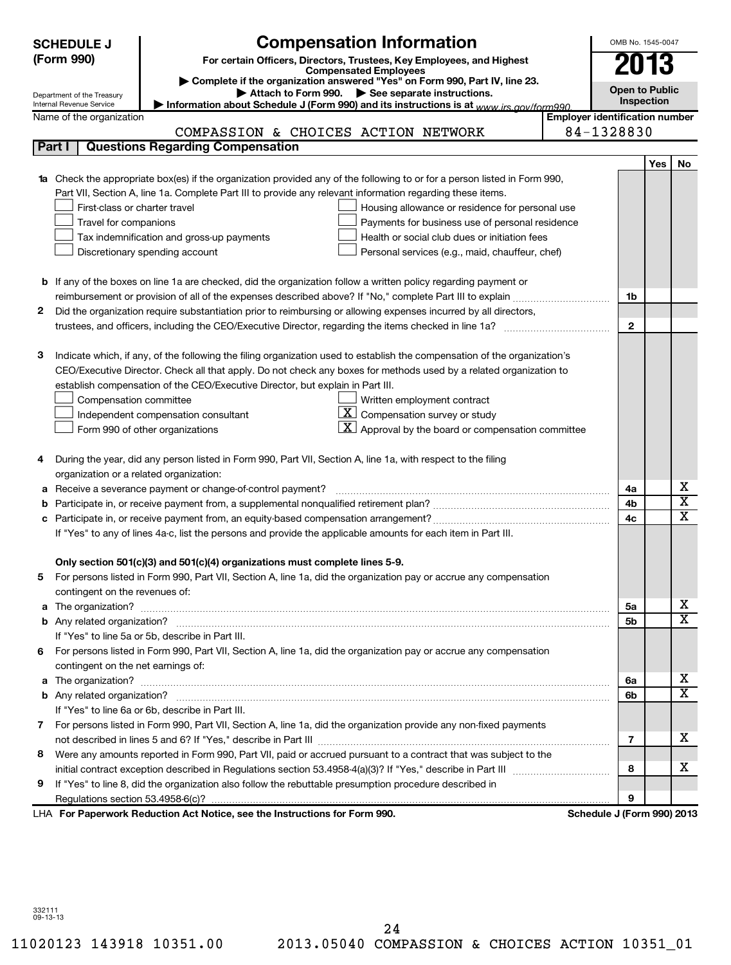|            | <b>Compensation Information</b><br>OMB No. 1545-0047<br><b>SCHEDULE J</b> |                                                                                                                                  |                                       |                |                       |                         |  |  |
|------------|---------------------------------------------------------------------------|----------------------------------------------------------------------------------------------------------------------------------|---------------------------------------|----------------|-----------------------|-------------------------|--|--|
| (Form 990) |                                                                           | For certain Officers, Directors, Trustees, Key Employees, and Highest                                                            |                                       | 2013           |                       |                         |  |  |
|            |                                                                           | <b>Compensated Employees</b><br>Complete if the organization answered "Yes" on Form 990, Part IV, line 23.                       |                                       |                |                       |                         |  |  |
|            | Department of the Treasury                                                | Attach to Form 990. See separate instructions.                                                                                   |                                       |                | <b>Open to Public</b> |                         |  |  |
|            | Internal Revenue Service                                                  | Information about Schedule J (Form 990) and its instructions is at www.jrs.gov/form990                                           |                                       |                | Inspection            |                         |  |  |
|            | Name of the organization                                                  |                                                                                                                                  | <b>Employer identification number</b> |                |                       |                         |  |  |
|            |                                                                           | COMPASSION & CHOICES ACTION NETWORK                                                                                              | 84-1328830                            |                |                       |                         |  |  |
| Part I     |                                                                           | <b>Questions Regarding Compensation</b>                                                                                          |                                       |                |                       |                         |  |  |
|            |                                                                           |                                                                                                                                  |                                       |                | <b>Yes</b>            | No                      |  |  |
|            |                                                                           | <b>1a</b> Check the appropriate box(es) if the organization provided any of the following to or for a person listed in Form 990, |                                       |                |                       |                         |  |  |
|            |                                                                           | Part VII, Section A, line 1a. Complete Part III to provide any relevant information regarding these items.                       |                                       |                |                       |                         |  |  |
|            | First-class or charter travel                                             | Housing allowance or residence for personal use                                                                                  |                                       |                |                       |                         |  |  |
|            | Travel for companions                                                     | Payments for business use of personal residence                                                                                  |                                       |                |                       |                         |  |  |
|            |                                                                           | Health or social club dues or initiation fees<br>Tax indemnification and gross-up payments                                       |                                       |                |                       |                         |  |  |
|            |                                                                           | Personal services (e.g., maid, chauffeur, chef)<br>Discretionary spending account                                                |                                       |                |                       |                         |  |  |
|            |                                                                           |                                                                                                                                  |                                       |                |                       |                         |  |  |
|            |                                                                           | <b>b</b> If any of the boxes on line 1a are checked, did the organization follow a written policy regarding payment or           |                                       |                |                       |                         |  |  |
| 2          |                                                                           | Did the organization require substantiation prior to reimbursing or allowing expenses incurred by all directors,                 |                                       | 1b             |                       |                         |  |  |
|            |                                                                           |                                                                                                                                  |                                       | $\mathbf{2}$   |                       |                         |  |  |
|            |                                                                           |                                                                                                                                  |                                       |                |                       |                         |  |  |
| з          |                                                                           | Indicate which, if any, of the following the filing organization used to establish the compensation of the organization's        |                                       |                |                       |                         |  |  |
|            |                                                                           | CEO/Executive Director. Check all that apply. Do not check any boxes for methods used by a related organization to               |                                       |                |                       |                         |  |  |
|            |                                                                           | establish compensation of the CEO/Executive Director, but explain in Part III.                                                   |                                       |                |                       |                         |  |  |
|            | Compensation committee                                                    | Written employment contract                                                                                                      |                                       |                |                       |                         |  |  |
|            |                                                                           | $ \mathbf{X} $ Compensation survey or study<br>Independent compensation consultant                                               |                                       |                |                       |                         |  |  |
|            |                                                                           | $\mathbf{X}$ Approval by the board or compensation committee<br>Form 990 of other organizations                                  |                                       |                |                       |                         |  |  |
|            |                                                                           |                                                                                                                                  |                                       |                |                       |                         |  |  |
| 4          |                                                                           | During the year, did any person listed in Form 990, Part VII, Section A, line 1a, with respect to the filing                     |                                       |                |                       |                         |  |  |
|            |                                                                           | organization or a related organization:                                                                                          |                                       |                |                       |                         |  |  |
| а          |                                                                           | Receive a severance payment or change-of-control payment?                                                                        |                                       | 4a             |                       | х                       |  |  |
| b          |                                                                           |                                                                                                                                  |                                       | 4b             |                       | $\overline{\texttt{x}}$ |  |  |
| с          |                                                                           |                                                                                                                                  |                                       | 4 <sub>c</sub> |                       | $\overline{\mathtt{x}}$ |  |  |
|            |                                                                           | If "Yes" to any of lines 4a-c, list the persons and provide the applicable amounts for each item in Part III.                    |                                       |                |                       |                         |  |  |
|            |                                                                           |                                                                                                                                  |                                       |                |                       |                         |  |  |
|            |                                                                           | Only section 501(c)(3) and 501(c)(4) organizations must complete lines 5-9.                                                      |                                       |                |                       |                         |  |  |
|            |                                                                           | For persons listed in Form 990, Part VII, Section A, line 1a, did the organization pay or accrue any compensation                |                                       |                |                       |                         |  |  |
|            | contingent on the revenues of:                                            |                                                                                                                                  |                                       |                |                       |                         |  |  |
|            |                                                                           |                                                                                                                                  |                                       | 5a             |                       | х                       |  |  |
|            |                                                                           |                                                                                                                                  |                                       | 5 <sub>b</sub> |                       | $\overline{\mathbf{x}}$ |  |  |
|            |                                                                           | If "Yes" to line 5a or 5b, describe in Part III.                                                                                 |                                       |                |                       |                         |  |  |
|            |                                                                           | 6 For persons listed in Form 990, Part VII, Section A, line 1a, did the organization pay or accrue any compensation              |                                       |                |                       |                         |  |  |
|            | contingent on the net earnings of:                                        |                                                                                                                                  |                                       |                |                       |                         |  |  |
|            |                                                                           |                                                                                                                                  |                                       | 6а             |                       | х                       |  |  |
|            |                                                                           |                                                                                                                                  |                                       | 6b             |                       | $\overline{\mathbf{x}}$ |  |  |
|            |                                                                           | If "Yes" to line 6a or 6b, describe in Part III.                                                                                 |                                       |                |                       |                         |  |  |
| 7.         |                                                                           | For persons listed in Form 990, Part VII, Section A, line 1a, did the organization provide any non-fixed payments                |                                       |                |                       |                         |  |  |
|            |                                                                           |                                                                                                                                  |                                       | 7              |                       | х                       |  |  |
| 8          |                                                                           | Were any amounts reported in Form 990, Part VII, paid or accrued pursuant to a contract that was subject to the                  |                                       |                |                       |                         |  |  |
|            |                                                                           |                                                                                                                                  |                                       | 8              |                       | х                       |  |  |
| 9          |                                                                           | If "Yes" to line 8, did the organization also follow the rebuttable presumption procedure described in                           |                                       |                |                       |                         |  |  |
|            |                                                                           |                                                                                                                                  |                                       | 9              |                       |                         |  |  |
|            |                                                                           | LHA For Paperwork Reduction Act Notice, see the Instructions for Form 990.                                                       | Schedule J (Form 990) 2013            |                |                       |                         |  |  |

332111 09-13-13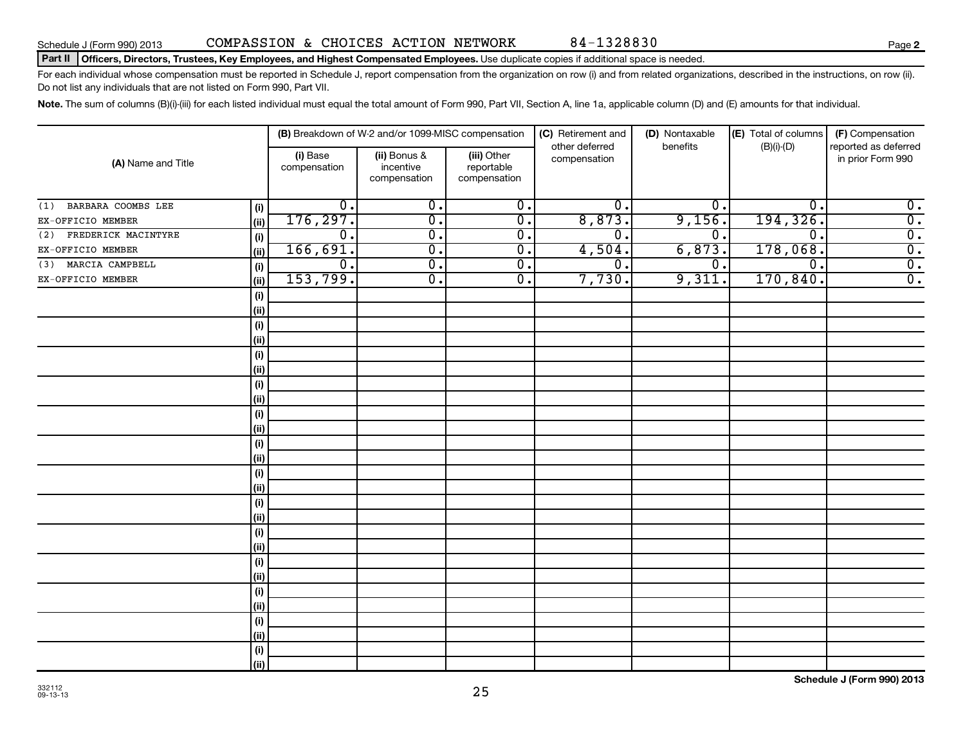#### Part II | Officers, Directors, Trustees, Key Employees, and Highest Compensated Employees. Use duplicate copies if additional space is needed.

For each individual whose compensation must be reported in Schedule J, report compensation from the organization on row (i) and from related organizations, described in the instructions, on row (ii). Do not list any individuals that are not listed on Form 990, Part VII.

Note. The sum of columns (B)(i)-(iii) for each listed individual must equal the total amount of Form 990, Part VII, Section A, line 1a, applicable column (D) and (E) amounts for that individual.

|                            |             |                                         | (B) Breakdown of W-2 and/or 1099-MISC compensation |                            | (C) Retirement and             | (D) Nontaxable   | (E) Total of columns | (F) Compensation                          |
|----------------------------|-------------|-----------------------------------------|----------------------------------------------------|----------------------------|--------------------------------|------------------|----------------------|-------------------------------------------|
| (A) Name and Title         |             | (i) Base<br>(ii) Bonus &<br>(iii) Other |                                                    |                            | other deferred<br>compensation | benefits         | $(B)(i)-(D)$         | reported as deferred<br>in prior Form 990 |
|                            |             | compensation                            | incentive<br>compensation                          | reportable<br>compensation |                                |                  |                      |                                           |
| BARBARA COOMBS LEE<br>(1)  | (i)         | $\overline{0}$ .                        | $\overline{0}$ .                                   | $\overline{0}$ .           | $\overline{0}$ .               | $\overline{0}$ . | $\mathbf{0}$ .       | $\overline{0}$ .                          |
| EX-OFFICIO MEMBER          | (ii)        | 176, 297.                               | $\overline{\mathfrak{o}}$ .                        | $\overline{0}$ .           | 8,873.                         | 9,156.           | 194,326.             | $\overline{0}$ .                          |
| FREDERICK MACINTYRE<br>(2) | (i)         | $\overline{0}$ .                        | $\overline{\mathfrak{o}}$ .                        | $\overline{0}$ .           | $\overline{0}$ .               | $\overline{0}$ . | $\overline{0}$ .     | $\overline{0}$ .                          |
| EX-OFFICIO MEMBER          | (ii)        | 166,691.                                | $\overline{0}$ .                                   | $\overline{0}$ .           | 4,504.                         | 6,873.           | 178,068.             | $\overline{0}$ .                          |
| MARCIA CAMPBELL<br>(3)     | (i)         | $\overline{0}$ .                        | $\overline{0}$ .                                   | $\overline{0}$ .           | 0.                             | $\overline{0}$ . | $\overline{0}$ .     | $\overline{0}$ .                          |
| EX-OFFICIO MEMBER          | (ii)        | 153,799.                                | $\overline{0}$ .                                   | $\overline{0}$ .           | 7,730.                         | 9,311.           | 170,840.             | $\overline{0}$ .                          |
|                            | (i)         |                                         |                                                    |                            |                                |                  |                      |                                           |
|                            | (ii)        |                                         |                                                    |                            |                                |                  |                      |                                           |
|                            | (i)         |                                         |                                                    |                            |                                |                  |                      |                                           |
|                            | (ii)        |                                         |                                                    |                            |                                |                  |                      |                                           |
|                            | (i)         |                                         |                                                    |                            |                                |                  |                      |                                           |
|                            | (ii)        |                                         |                                                    |                            |                                |                  |                      |                                           |
|                            | (i)         |                                         |                                                    |                            |                                |                  |                      |                                           |
|                            | (ii)        |                                         |                                                    |                            |                                |                  |                      |                                           |
|                            | $\vert$ (i) |                                         |                                                    |                            |                                |                  |                      |                                           |
|                            | (ii)        |                                         |                                                    |                            |                                |                  |                      |                                           |
|                            | (i)         |                                         |                                                    |                            |                                |                  |                      |                                           |
|                            | (ii)        |                                         |                                                    |                            |                                |                  |                      |                                           |
|                            | (i)         |                                         |                                                    |                            |                                |                  |                      |                                           |
|                            | (ii)        |                                         |                                                    |                            |                                |                  |                      |                                           |
|                            | (i)         |                                         |                                                    |                            |                                |                  |                      |                                           |
|                            | (ii)        |                                         |                                                    |                            |                                |                  |                      |                                           |
|                            | (i)         |                                         |                                                    |                            |                                |                  |                      |                                           |
|                            | (ii)        |                                         |                                                    |                            |                                |                  |                      |                                           |
|                            | (i)         |                                         |                                                    |                            |                                |                  |                      |                                           |
|                            | (ii)        |                                         |                                                    |                            |                                |                  |                      |                                           |
|                            | (i)         |                                         |                                                    |                            |                                |                  |                      |                                           |
|                            | (ii)        |                                         |                                                    |                            |                                |                  |                      |                                           |
|                            | (i)         |                                         |                                                    |                            |                                |                  |                      |                                           |
|                            | (ii)        |                                         |                                                    |                            |                                |                  |                      |                                           |
|                            | (i)         |                                         |                                                    |                            |                                |                  |                      |                                           |
|                            | (ii)        |                                         |                                                    |                            |                                |                  |                      |                                           |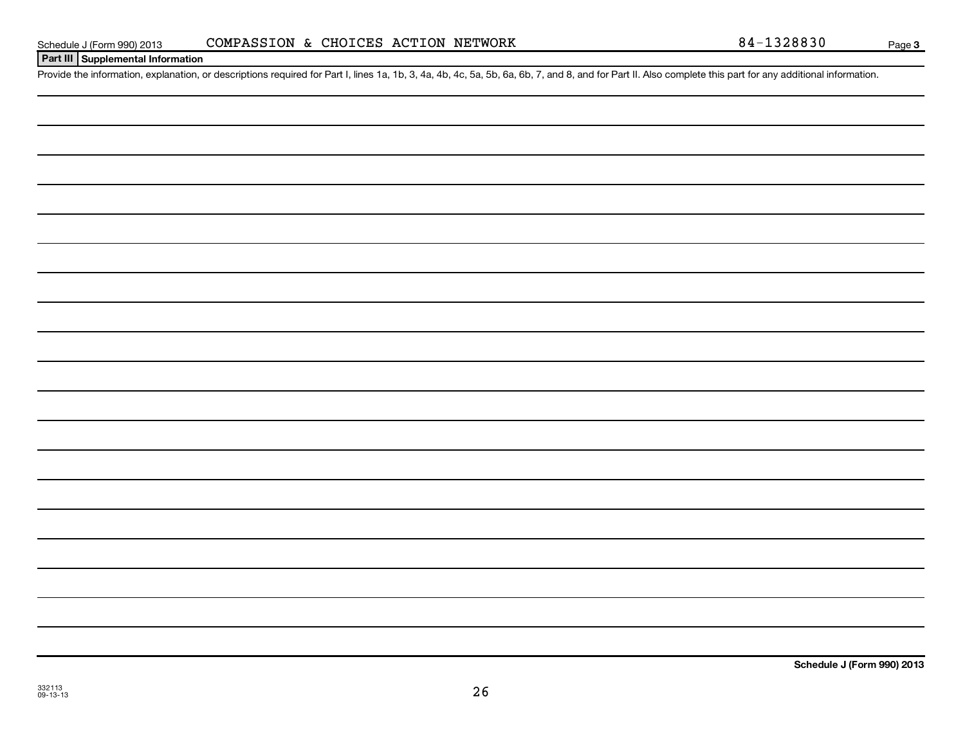#### Schedule J (Form 990) 2013 COMPASSION & CHOICES ACTION NETWORK 84-1328830 Page

#### **Part III Supplemental Information**

Provide the information, explanation, or descriptions required for Part I, lines 1a, 1b, 3, 4a, 4b, 4c, 5a, 5b, 6a, 6b, 7, and 8, and for Part II. Also complete this part for any additional information.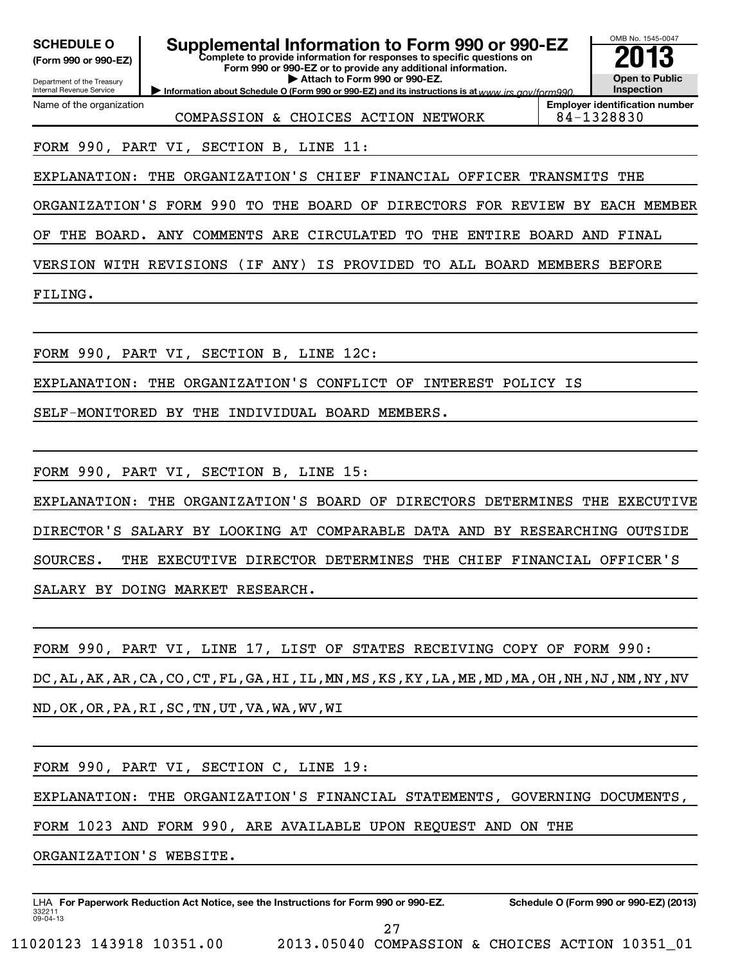| <b>SCHEDULE O</b><br>(Form 990 or 990-EZ)<br>Department of the Treasury<br>Internal Revenue Service | Supplemental Information to Form 990 or 990-EZ<br>Complete to provide information for responses to specific questions on<br>Form 990 or 990-EZ or to provide any additional information.<br>Attach to Form 990 or 990-EZ.<br>Information about Schedule O (Form 990 or 990-EZ) and its instructions is at www irs gov/form990 | OMB No. 1545-0047<br><b>Open to Public</b><br><b>Inspection</b> |  |  |  |  |
|-----------------------------------------------------------------------------------------------------|-------------------------------------------------------------------------------------------------------------------------------------------------------------------------------------------------------------------------------------------------------------------------------------------------------------------------------|-----------------------------------------------------------------|--|--|--|--|
| Name of the organization                                                                            | COMPASSION & CHOICES ACTION NETWORK                                                                                                                                                                                                                                                                                           | <b>Employer identification number</b><br>84-1328830             |  |  |  |  |
|                                                                                                     | FORM 990, PART VI, SECTION B, LINE 11:                                                                                                                                                                                                                                                                                        |                                                                 |  |  |  |  |
| EXPLANATION:                                                                                        | ORGANIZATION'S CHIEF<br>THE<br>FINANCIAL OFFICER                                                                                                                                                                                                                                                                              | TRANSMITS<br>THE                                                |  |  |  |  |
| ORGANIZATION'S FORM 990                                                                             | TO<br>THE BOARD OF DIRECTORS FOR REVIEW BY EACH MEMBER                                                                                                                                                                                                                                                                        |                                                                 |  |  |  |  |
| OF                                                                                                  | THE BOARD. ANY COMMENTS ARE CIRCULATED<br>TO.<br>THE<br><b>ENTIRE BOARD</b>                                                                                                                                                                                                                                                   | AND FINAL                                                       |  |  |  |  |
| VERSION WITH REVISIONS                                                                              | (IF ANY)<br>IS PROVIDED TO ALL BOARD MEMBERS                                                                                                                                                                                                                                                                                  | <b>BEFORE</b>                                                   |  |  |  |  |
| FILING.                                                                                             |                                                                                                                                                                                                                                                                                                                               |                                                                 |  |  |  |  |
|                                                                                                     |                                                                                                                                                                                                                                                                                                                               |                                                                 |  |  |  |  |
|                                                                                                     | FORM 990, PART VI, SECTION B, LINE 12C:                                                                                                                                                                                                                                                                                       |                                                                 |  |  |  |  |
| EXPLANATION:                                                                                        | ORGANIZATION'S CONFLICT OF<br>THE<br>INTEREST POLICY IS                                                                                                                                                                                                                                                                       |                                                                 |  |  |  |  |
| SELF-MONITORED BY THE                                                                               | INDIVIDUAL BOARD MEMBERS.                                                                                                                                                                                                                                                                                                     |                                                                 |  |  |  |  |
|                                                                                                     |                                                                                                                                                                                                                                                                                                                               |                                                                 |  |  |  |  |
|                                                                                                     | FORM 990, PART VI, SECTION B, LINE 15:                                                                                                                                                                                                                                                                                        |                                                                 |  |  |  |  |
| EXPLANATION:                                                                                        | ORGANIZATION'S BOARD OF DIRECTORS DETERMINES<br>THE                                                                                                                                                                                                                                                                           | THE<br>EXECUTIVE                                                |  |  |  |  |
|                                                                                                     | DIRECTOR'S SALARY BY LOOKING AT<br>COMPARABLE DATA AND BY RESEARCHING OUTSIDE                                                                                                                                                                                                                                                 |                                                                 |  |  |  |  |
| SOURCES.                                                                                            | THE EXECUTIVE DIRECTOR DETERMINES                                                                                                                                                                                                                                                                                             | THE CHIEF FINANCIAL OFFICER'S                                   |  |  |  |  |
|                                                                                                     | SALARY BY DOING MARKET RESEARCH.                                                                                                                                                                                                                                                                                              |                                                                 |  |  |  |  |
|                                                                                                     |                                                                                                                                                                                                                                                                                                                               |                                                                 |  |  |  |  |
|                                                                                                     | FORM 990, PART VI, LINE 17, LIST OF STATES RECEIVING COPY OF FORM 990:                                                                                                                                                                                                                                                        |                                                                 |  |  |  |  |
|                                                                                                     | DC, AL, AK, AR, CA, CO, CT, FL, GA, HI, IL, MN, MS, KS, KY, LA, ME, MD, MA, OH, NH, NJ, NM, NY, NV                                                                                                                                                                                                                            |                                                                 |  |  |  |  |
|                                                                                                     | ND, OK, OR, PA, RI, SC, TN, UT, VA, WA, WV, WI                                                                                                                                                                                                                                                                                |                                                                 |  |  |  |  |
|                                                                                                     |                                                                                                                                                                                                                                                                                                                               |                                                                 |  |  |  |  |
|                                                                                                     | FORM 990, PART VI, SECTION C, LINE 19:                                                                                                                                                                                                                                                                                        |                                                                 |  |  |  |  |
|                                                                                                     | EXPLANATION: THE ORGANIZATION'S FINANCIAL STATEMENTS, GOVERNING DOCUMENTS,                                                                                                                                                                                                                                                    |                                                                 |  |  |  |  |
| FORM 1023 AND FORM 990, ARE AVAILABLE UPON REQUEST AND ON THE                                       |                                                                                                                                                                                                                                                                                                                               |                                                                 |  |  |  |  |
| ORGANIZATION'S WEBSITE.                                                                             |                                                                                                                                                                                                                                                                                                                               |                                                                 |  |  |  |  |
|                                                                                                     |                                                                                                                                                                                                                                                                                                                               |                                                                 |  |  |  |  |

27

LHA For Paperwork Reduction Act Notice, see the Instructions for Form 990 or 990-EZ. Schedule O (Form 990 or 990-EZ) (2013)

332211 09-04-13

11020123 143918 10351.00 2013.05040 COMPASSION & CHOICES ACTION 10351\_01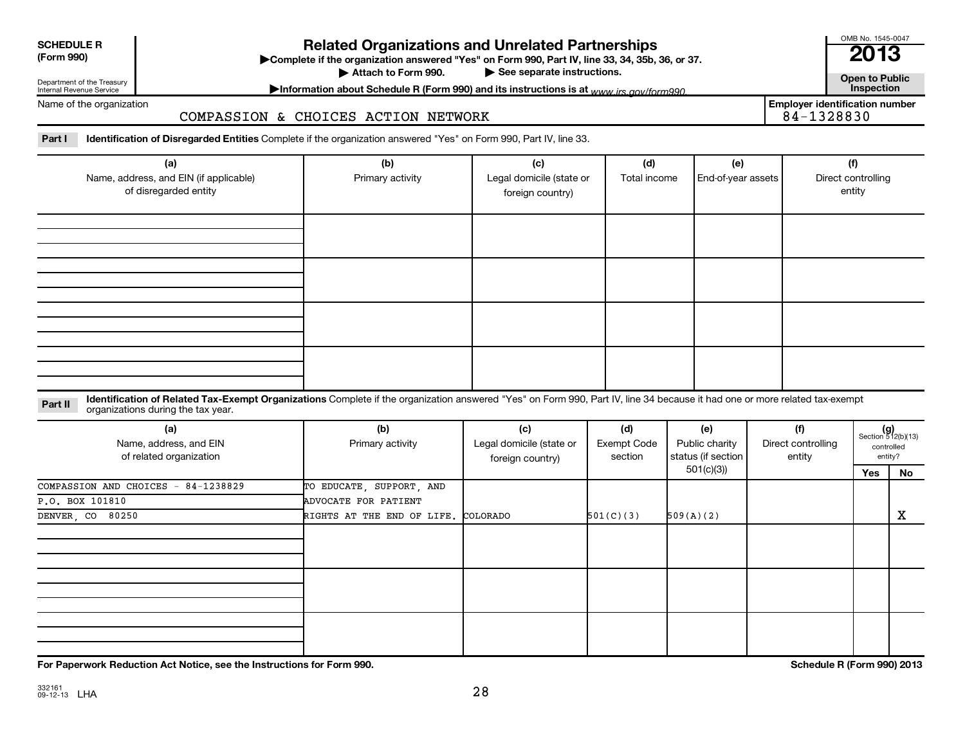| <b>SCHEDULE R</b>        |  |
|--------------------------|--|
| $T_{\text{max}}$ $0.001$ |  |

**(Form 990) Complete if the organizations and Unrelated Partnerships**<br> **Related Organization answered "Yes" on Form 990, Part IV, line 33, 34, 35b, 36, or 37.**<br>
■ 2013 ▶ See separate instructions.<br> **Attachment instructions is at unusuite and form 990. Contract instructions is at unusuite and form 990. Contract inspection** 

Attach to Form 990.

Department of the Treasury Internal Revenue Service

Name of the organization

COMPASSION & CHOICES ACTION NETWORK

Information about Schedule R (Form 990) and its instructions is at <sub>www</sub> irs.gov/form990. **Employer identification number**

OMB No. 1545-0047

Part I lentification of Disregarded Entities Complete if the organization answered "Yes" on Form 990, Part IV, line 33.

| (a)<br>Name, address, and EIN (if applicable)<br>of disregarded entity | (b)<br>Primary activity | (c)<br>Legal domicile (state or<br>foreign country) | (d)<br>Total income | (e)<br>End-of-year assets | (f)<br>Direct controlling<br>entity |
|------------------------------------------------------------------------|-------------------------|-----------------------------------------------------|---------------------|---------------------------|-------------------------------------|
|                                                                        |                         |                                                     |                     |                           |                                     |
|                                                                        |                         |                                                     |                     |                           |                                     |
|                                                                        |                         |                                                     |                     |                           |                                     |
|                                                                        |                         |                                                     |                     |                           |                                     |

Part II ldentification of Related Tax-Exempt Organizations Complete if the organization answered "Yes" on Form 990, Part IV, line 34 because it had one or more related tax-exempt<br>Complete it is a seminary way were presente organizations during the tax year.

| (a)<br>Name, address, and EIN<br>of related organization | (b)<br>Primary activity             | (c)<br>Legal domicile (state or<br>foreign country) | (d)<br>Exempt Code<br>section | (e)<br>Public charity<br>status (if section | (f)<br>Direct controlling<br>entity |     | $(g)$<br>Section 512(b)(13)<br>controlled<br>entity? |
|----------------------------------------------------------|-------------------------------------|-----------------------------------------------------|-------------------------------|---------------------------------------------|-------------------------------------|-----|------------------------------------------------------|
|                                                          |                                     |                                                     |                               | 501(c)(3))                                  |                                     | Yes | No                                                   |
| COMPASSION AND CHOICES - 84-1238829                      | TO EDUCATE, SUPPORT, AND            |                                                     |                               |                                             |                                     |     |                                                      |
| P.O. BOX 101810                                          | ADVOCATE FOR PATIENT                |                                                     |                               |                                             |                                     |     |                                                      |
| DENVER, CO 80250                                         | RIGHTS AT THE END OF LIFE. COLORADO |                                                     | 501(C)(3)                     | 509(A)(2)                                   |                                     |     | х                                                    |
|                                                          |                                     |                                                     |                               |                                             |                                     |     |                                                      |
|                                                          |                                     |                                                     |                               |                                             |                                     |     |                                                      |
|                                                          |                                     |                                                     |                               |                                             |                                     |     |                                                      |

**For Paperwork Reduction Act Notice, see the Instructions for Form 990. Schedule R (Form 990) 2013**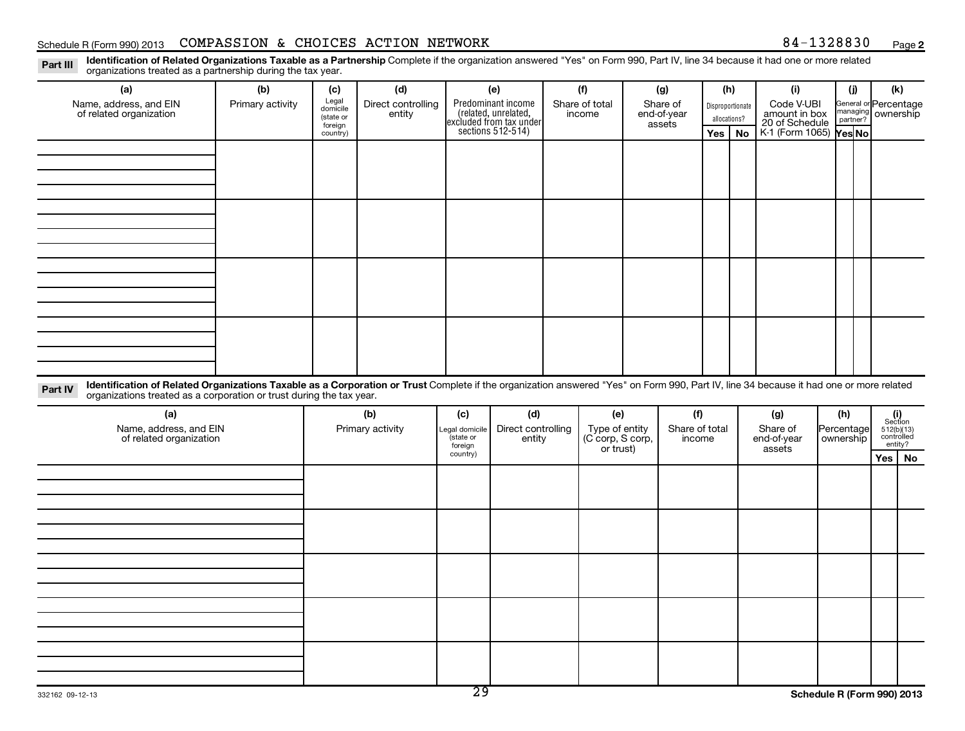#### Schedule R (Form 990) 2013 Page COMPASSION & CHOICES ACTION NETWORK 84-1328830

**2**

Part III Identification of Related Organizations Taxable as a Partnership Complete if the organization answered "Yes" on Form 990, Part IV, line 34 because it had one or more related<br>Read to consistions tracted as a partne organizations treated as a partnership during the tax year.

| (a)                                                                                                                                                                                                                                                                       | (b)              | (c)                                       | (d)                          |                            | (e)                                                                                        | (f)                                | (g)                               | (h)                              |           | (i)                                           |                         | (i)      | (k)                                                                                                                             |           |
|---------------------------------------------------------------------------------------------------------------------------------------------------------------------------------------------------------------------------------------------------------------------------|------------------|-------------------------------------------|------------------------------|----------------------------|--------------------------------------------------------------------------------------------|------------------------------------|-----------------------------------|----------------------------------|-----------|-----------------------------------------------|-------------------------|----------|---------------------------------------------------------------------------------------------------------------------------------|-----------|
| Name, address, and EIN<br>of related organization                                                                                                                                                                                                                         | Primary activity | Legal<br>domicile<br>(state or<br>foreign | Direct controlling<br>entity |                            | Predominant income<br>(related, unrelated,<br>excluded from tax under<br>sections 512-514) | Share of total<br>income           | Share of<br>end-of-year<br>assets | Disproportionate<br>allocations? |           | Code V-UBI<br>amount in box<br>20 of Schedule |                         | partner? | General or Percentage<br>managing ownership                                                                                     |           |
|                                                                                                                                                                                                                                                                           |                  | country)                                  |                              |                            |                                                                                            |                                    |                                   | Yes                              | <b>No</b> | K-1 (Form 1065) <b>Yes No</b>                 |                         |          |                                                                                                                                 |           |
|                                                                                                                                                                                                                                                                           |                  |                                           |                              |                            |                                                                                            |                                    |                                   |                                  |           |                                               |                         |          |                                                                                                                                 |           |
|                                                                                                                                                                                                                                                                           |                  |                                           |                              |                            |                                                                                            |                                    |                                   |                                  |           |                                               |                         |          |                                                                                                                                 |           |
|                                                                                                                                                                                                                                                                           |                  |                                           |                              |                            |                                                                                            |                                    |                                   |                                  |           |                                               |                         |          |                                                                                                                                 |           |
|                                                                                                                                                                                                                                                                           |                  |                                           |                              |                            |                                                                                            |                                    |                                   |                                  |           |                                               |                         |          |                                                                                                                                 |           |
|                                                                                                                                                                                                                                                                           |                  |                                           |                              |                            |                                                                                            |                                    |                                   |                                  |           |                                               |                         |          |                                                                                                                                 |           |
|                                                                                                                                                                                                                                                                           |                  |                                           |                              |                            |                                                                                            |                                    |                                   |                                  |           |                                               |                         |          |                                                                                                                                 |           |
|                                                                                                                                                                                                                                                                           |                  |                                           |                              |                            |                                                                                            |                                    |                                   |                                  |           |                                               |                         |          |                                                                                                                                 |           |
|                                                                                                                                                                                                                                                                           |                  |                                           |                              |                            |                                                                                            |                                    |                                   |                                  |           |                                               |                         |          |                                                                                                                                 |           |
|                                                                                                                                                                                                                                                                           |                  |                                           |                              |                            |                                                                                            |                                    |                                   |                                  |           |                                               |                         |          |                                                                                                                                 |           |
|                                                                                                                                                                                                                                                                           |                  |                                           |                              |                            |                                                                                            |                                    |                                   |                                  |           |                                               |                         |          |                                                                                                                                 |           |
|                                                                                                                                                                                                                                                                           |                  |                                           |                              |                            |                                                                                            |                                    |                                   |                                  |           |                                               |                         |          |                                                                                                                                 |           |
|                                                                                                                                                                                                                                                                           |                  |                                           |                              |                            |                                                                                            |                                    |                                   |                                  |           |                                               |                         |          |                                                                                                                                 |           |
|                                                                                                                                                                                                                                                                           |                  |                                           |                              |                            |                                                                                            |                                    |                                   |                                  |           |                                               |                         |          |                                                                                                                                 |           |
| Identification of Related Organizations Taxable as a Corporation or Trust Complete if the organization answered "Yes" on Form 990, Part IV, line 34 because it had one or more related<br>Part IV<br>organizations treated as a corporation or trust during the tax year. |                  |                                           |                              |                            |                                                                                            |                                    |                                   |                                  |           |                                               |                         |          |                                                                                                                                 |           |
| (a)                                                                                                                                                                                                                                                                       |                  |                                           | (b)                          | (c)                        | (d)                                                                                        | (e)                                | (f)                               |                                  |           | (g)                                           | (h)                     |          |                                                                                                                                 |           |
| Name, address, and EIN<br>of related organization                                                                                                                                                                                                                         |                  |                                           | Primary activity             | Legal domicile<br>state or | Direct controlling                                                                         | Type of entity<br>(C corp, S corp, | Share of total<br>income          |                                  |           | Share of<br>end-of-year                       | Percentage<br>ownership |          | $\begin{array}{c} \textbf{(i)}\\ \text{Section}\\ 512 \text{(b)} \text{(13)}\\ \text{controlled} \\ \text{entity?} \end{array}$ |           |
|                                                                                                                                                                                                                                                                           |                  |                                           |                              | foreign<br>country)        | entity                                                                                     | or trust)                          |                                   |                                  |           | assets                                        |                         |          |                                                                                                                                 |           |
|                                                                                                                                                                                                                                                                           |                  |                                           |                              |                            |                                                                                            |                                    |                                   |                                  |           |                                               |                         |          | Yes                                                                                                                             | <b>No</b> |
|                                                                                                                                                                                                                                                                           |                  |                                           |                              |                            |                                                                                            |                                    |                                   |                                  |           |                                               |                         |          |                                                                                                                                 |           |
|                                                                                                                                                                                                                                                                           |                  |                                           |                              |                            |                                                                                            |                                    |                                   |                                  |           |                                               |                         |          |                                                                                                                                 |           |
|                                                                                                                                                                                                                                                                           |                  |                                           |                              |                            |                                                                                            |                                    |                                   |                                  |           |                                               |                         |          |                                                                                                                                 |           |
|                                                                                                                                                                                                                                                                           |                  |                                           |                              |                            |                                                                                            |                                    |                                   |                                  |           |                                               |                         |          |                                                                                                                                 |           |
|                                                                                                                                                                                                                                                                           |                  |                                           |                              |                            |                                                                                            |                                    |                                   |                                  |           |                                               |                         |          |                                                                                                                                 |           |
|                                                                                                                                                                                                                                                                           |                  |                                           |                              |                            |                                                                                            |                                    |                                   |                                  |           |                                               |                         |          |                                                                                                                                 |           |
|                                                                                                                                                                                                                                                                           |                  |                                           |                              |                            |                                                                                            |                                    |                                   |                                  |           |                                               |                         |          |                                                                                                                                 |           |
|                                                                                                                                                                                                                                                                           |                  |                                           |                              |                            |                                                                                            |                                    |                                   |                                  |           |                                               |                         |          |                                                                                                                                 |           |
|                                                                                                                                                                                                                                                                           |                  |                                           |                              |                            |                                                                                            |                                    |                                   |                                  |           |                                               |                         |          |                                                                                                                                 |           |
|                                                                                                                                                                                                                                                                           |                  |                                           |                              |                            |                                                                                            |                                    |                                   |                                  |           |                                               |                         |          |                                                                                                                                 |           |
|                                                                                                                                                                                                                                                                           |                  |                                           |                              |                            |                                                                                            |                                    |                                   |                                  |           |                                               |                         |          |                                                                                                                                 |           |
|                                                                                                                                                                                                                                                                           |                  |                                           |                              |                            |                                                                                            |                                    |                                   |                                  |           |                                               |                         |          |                                                                                                                                 |           |
|                                                                                                                                                                                                                                                                           |                  |                                           |                              | $\overline{\mathcal{R}}$   |                                                                                            |                                    |                                   |                                  |           |                                               |                         |          |                                                                                                                                 |           |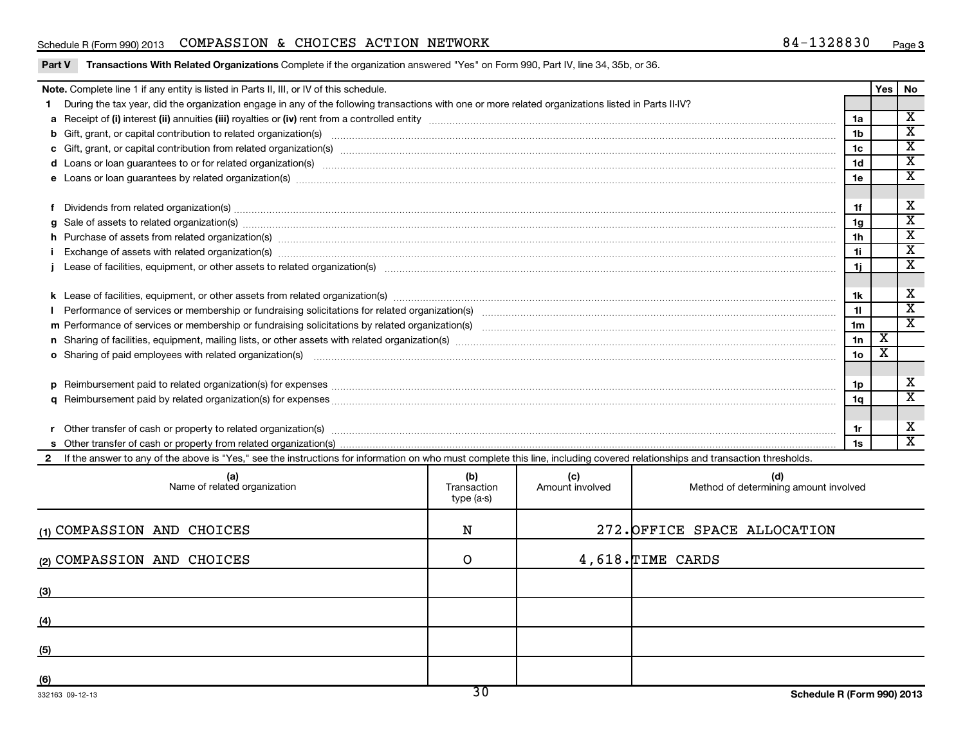### Schedule R (Form 990) 2013 Page COMPASSION & CHOICES ACTION NETWORK 84-1328830

X X X X X

X X X X X

X X X

X  $\overline{X}$ 

X X

| Part V | Transactions With Related Organizations Complete if the organization answered "Yes" on Form 990, Part IV, line 34, 35b, or 36.                                                                                                 |                                  |                        |                                              |                 |                         |                         |
|--------|--------------------------------------------------------------------------------------------------------------------------------------------------------------------------------------------------------------------------------|----------------------------------|------------------------|----------------------------------------------|-----------------|-------------------------|-------------------------|
|        | Note. Complete line 1 if any entity is listed in Parts II, III, or IV of this schedule.                                                                                                                                        |                                  |                        |                                              |                 | Yes   No                |                         |
| 1.     | During the tax year, did the organization engage in any of the following transactions with one or more related organizations listed in Parts II-IV?                                                                            |                                  |                        |                                              |                 |                         |                         |
|        |                                                                                                                                                                                                                                |                                  |                        |                                              | 1a              |                         | $\overline{\mathbf{x}}$ |
|        |                                                                                                                                                                                                                                |                                  |                        |                                              | 1 <sub>b</sub>  |                         | х                       |
|        |                                                                                                                                                                                                                                |                                  |                        |                                              | 1c              |                         | $\overline{\mathbf{x}}$ |
|        | d Loans or loan guarantees to or for related organization(s) www.communically.com/www.communically.com/www.communically.com/www.communically.com/www.communically.com/www.communically.com/www.communically.com/www.communical |                                  |                        |                                              | 1d              |                         | $\overline{\mathbf{x}}$ |
|        |                                                                                                                                                                                                                                |                                  |                        |                                              | 1e              |                         | х                       |
|        |                                                                                                                                                                                                                                |                                  |                        |                                              |                 |                         |                         |
|        | f Dividends from related organization(s) machinesis and content to the content of the content of the content of the content of the content of the content of the content of the content of the content of the content of the c |                                  |                        |                                              | 1f              |                         | X                       |
| g      |                                                                                                                                                                                                                                |                                  |                        |                                              | 1g              |                         | $\overline{\mathbf{x}}$ |
| h.     | Purchase of assets from related organization(s) www.assettion.com/www.assettion.com/www.assettion.com/www.assettion.com/www.assettion.com/www.assettion.com/www.assettion.com/www.assettion.com/www.assettion.com/www.assettio |                                  |                        |                                              | 1 <sub>h</sub>  |                         | $\overline{\mathbf{x}}$ |
|        |                                                                                                                                                                                                                                |                                  |                        |                                              | 1i.             |                         | $\overline{\textbf{x}}$ |
|        |                                                                                                                                                                                                                                |                                  |                        |                                              | 1i.             |                         | $\overline{\mathbf{x}}$ |
|        |                                                                                                                                                                                                                                |                                  |                        |                                              |                 |                         |                         |
|        |                                                                                                                                                                                                                                |                                  |                        |                                              | 1k              |                         | X                       |
|        |                                                                                                                                                                                                                                |                                  |                        |                                              | 11              |                         | $\overline{\textbf{x}}$ |
|        |                                                                                                                                                                                                                                |                                  |                        |                                              | 1 <sub>m</sub>  |                         | $\overline{\mathbf{x}}$ |
|        |                                                                                                                                                                                                                                |                                  |                        |                                              | 1n              | $\overline{\mathbf{X}}$ |                         |
|        | o Sharing of paid employees with related organization(s) manufaction(s) and all contracts are seen as a set of the state organization(s) and all contracts are seen as a set of the state organization(s) and all contracts ar |                                  |                        |                                              | 10 <sub>o</sub> | х                       |                         |
|        |                                                                                                                                                                                                                                |                                  |                        |                                              |                 |                         |                         |
|        |                                                                                                                                                                                                                                |                                  |                        |                                              | 1p              |                         | х                       |
|        |                                                                                                                                                                                                                                |                                  |                        |                                              | 1a              |                         | $\overline{\mathbf{x}}$ |
|        |                                                                                                                                                                                                                                |                                  |                        |                                              |                 |                         |                         |
|        |                                                                                                                                                                                                                                |                                  |                        |                                              | 1r              |                         | X                       |
|        |                                                                                                                                                                                                                                |                                  |                        |                                              | 1s              |                         | $\overline{\text{x}}$   |
|        | If the answer to any of the above is "Yes," see the instructions for information on who must complete this line, including covered relationships and transaction thresholds.                                                   |                                  |                        |                                              |                 |                         |                         |
|        | (a)<br>Name of related organization                                                                                                                                                                                            | (b)<br>Transaction<br>type (a-s) | (c)<br>Amount involved | (d)<br>Method of determining amount involved |                 |                         |                         |
|        | (1) COMPASSION AND CHOICES                                                                                                                                                                                                     | N                                |                        | 272. OFFICE SPACE ALLOCATION                 |                 |                         |                         |
|        | (2) COMPASSION AND CHOICES                                                                                                                                                                                                     | O                                |                        | 4,618. TIME CARDS                            |                 |                         |                         |
| (3)    |                                                                                                                                                                                                                                |                                  |                        |                                              |                 |                         |                         |
| (4)    |                                                                                                                                                                                                                                |                                  |                        |                                              |                 |                         |                         |
| (5)    |                                                                                                                                                                                                                                |                                  |                        |                                              |                 |                         |                         |
| (6)    |                                                                                                                                                                                                                                |                                  |                        |                                              |                 |                         |                         |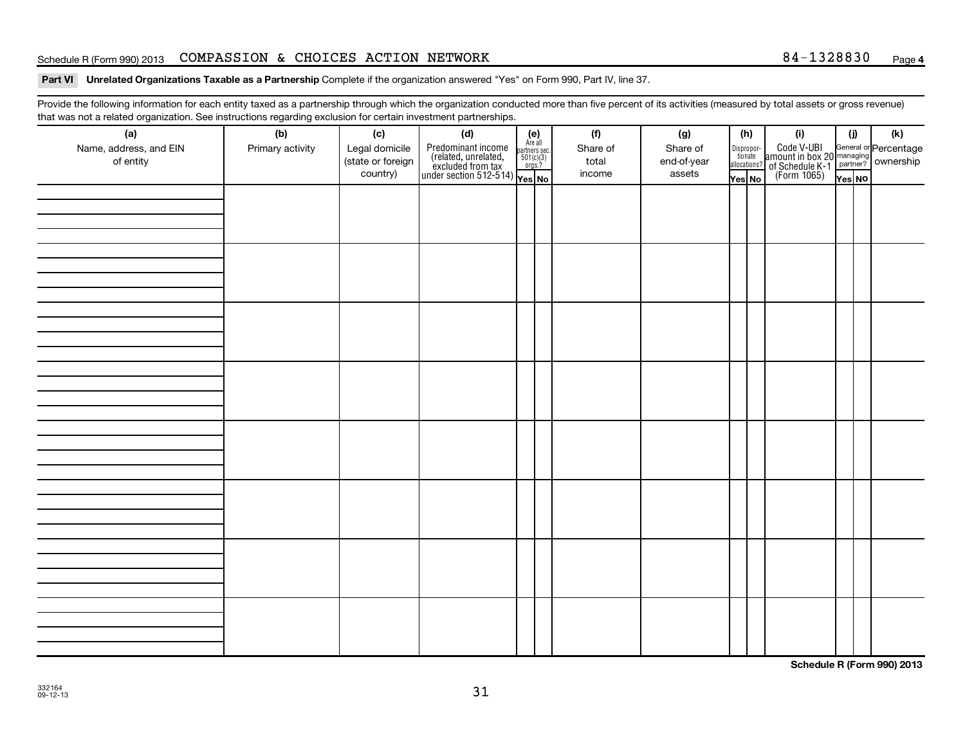#### Schedule R (Form 990) 2013 Page COMPASSION & CHOICES ACTION NETWORK 84-1328830

Part VI Unrelated Organizations Taxable as a Partnership Complete if the organization answered "Yes" on Form 990, Part IV, line 37.

Provide the following information for each entity taxed as a partnership through which the organization conducted more than five percent of its activities (measured by total assets or gross revenue) that was not a related organization. See instructions regarding exclusion for certain investment partnerships.

| (a)<br>Name, address, and EIN<br>of entity | (b)<br>Primary activity | (c)<br>Legal domicile<br>(state or foreign<br>country) | (d)<br>$\begin{array}{ l l } \hline \text{Predominant income} & \text{Area} \\ \hline \text{(related, unrelated,} & \text{501(c)(3)} \\ \text{excluded from tax} & \text{501(c)(3)} \\ \text{under section 512-514)} & \text{Yes. No} \\\hline \end{array}$ | $(e)$<br>Are all<br>partners sec.<br>$501(c)(3)$<br>orgs.? | (f)<br>Share of<br>total<br>income | (g)<br>Share of<br>end-of-year<br>assets | (h) | Yes No | (i)<br>Dispropor-<br>Code V-UBI<br>dionate amount in box 20 managing<br>allocations? of Schedule K-1<br>Yes No (Form 1065)<br>Yes No | (i)<br>Yes NO | (k) |
|--------------------------------------------|-------------------------|--------------------------------------------------------|-------------------------------------------------------------------------------------------------------------------------------------------------------------------------------------------------------------------------------------------------------------|------------------------------------------------------------|------------------------------------|------------------------------------------|-----|--------|--------------------------------------------------------------------------------------------------------------------------------------|---------------|-----|
|                                            |                         |                                                        |                                                                                                                                                                                                                                                             |                                                            |                                    |                                          |     |        |                                                                                                                                      |               |     |
|                                            |                         |                                                        |                                                                                                                                                                                                                                                             |                                                            |                                    |                                          |     |        |                                                                                                                                      |               |     |
|                                            |                         |                                                        |                                                                                                                                                                                                                                                             |                                                            |                                    |                                          |     |        |                                                                                                                                      |               |     |
|                                            |                         |                                                        |                                                                                                                                                                                                                                                             |                                                            |                                    |                                          |     |        |                                                                                                                                      |               |     |
|                                            |                         |                                                        |                                                                                                                                                                                                                                                             |                                                            |                                    |                                          |     |        |                                                                                                                                      |               |     |
|                                            |                         |                                                        |                                                                                                                                                                                                                                                             |                                                            |                                    |                                          |     |        |                                                                                                                                      |               |     |
|                                            |                         |                                                        |                                                                                                                                                                                                                                                             |                                                            |                                    |                                          |     |        |                                                                                                                                      |               |     |
|                                            |                         |                                                        |                                                                                                                                                                                                                                                             |                                                            |                                    |                                          |     |        |                                                                                                                                      |               |     |

**Schedule R (Form 990) 2013**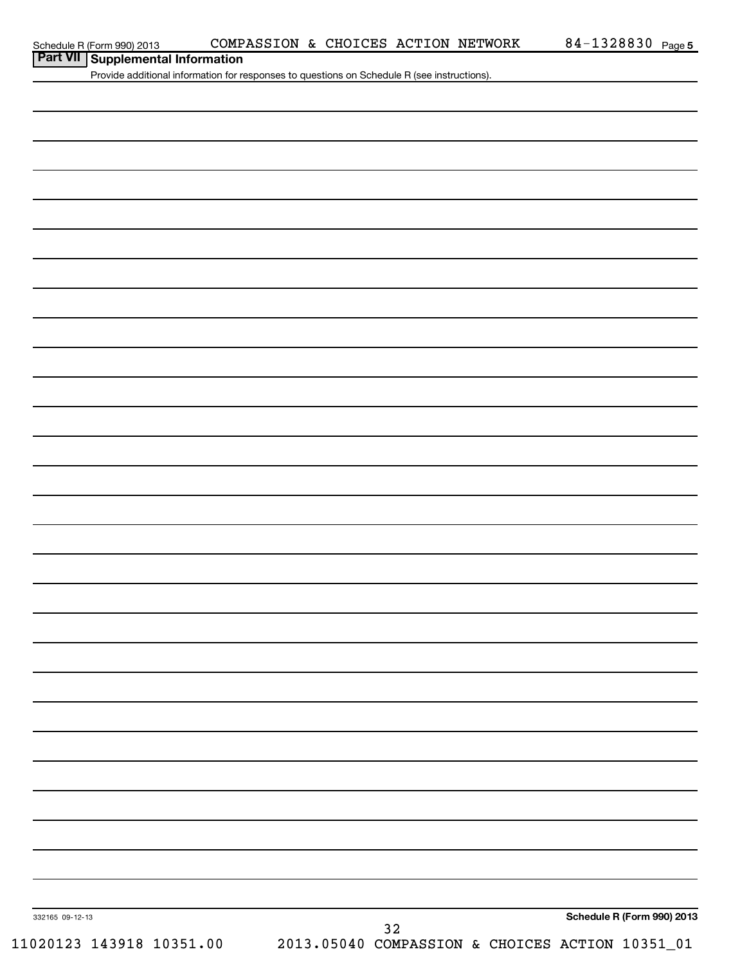|                 | Schedule R (Form 990) 2013                                                                  | COMPASSION & CHOICES ACTION NETWORK                                      |  |    | 84-1328830 Page 5          |
|-----------------|---------------------------------------------------------------------------------------------|--------------------------------------------------------------------------|--|----|----------------------------|
|                 | Part VII Supplemental Information                                                           |                                                                          |  |    |                            |
|                 | Provide additional information for responses to questions on Schedule R (see instructions). |                                                                          |  |    |                            |
|                 |                                                                                             |                                                                          |  |    |                            |
|                 |                                                                                             |                                                                          |  |    |                            |
|                 |                                                                                             |                                                                          |  |    |                            |
|                 |                                                                                             |                                                                          |  |    |                            |
|                 |                                                                                             |                                                                          |  |    |                            |
|                 |                                                                                             |                                                                          |  |    |                            |
|                 |                                                                                             |                                                                          |  |    |                            |
|                 |                                                                                             |                                                                          |  |    |                            |
|                 |                                                                                             |                                                                          |  |    |                            |
|                 |                                                                                             |                                                                          |  |    |                            |
|                 |                                                                                             |                                                                          |  |    |                            |
|                 |                                                                                             |                                                                          |  |    |                            |
|                 |                                                                                             |                                                                          |  |    |                            |
|                 |                                                                                             |                                                                          |  |    |                            |
|                 |                                                                                             |                                                                          |  |    |                            |
|                 |                                                                                             |                                                                          |  |    |                            |
|                 |                                                                                             |                                                                          |  |    |                            |
|                 |                                                                                             |                                                                          |  |    |                            |
|                 |                                                                                             |                                                                          |  |    |                            |
|                 |                                                                                             |                                                                          |  |    |                            |
|                 |                                                                                             |                                                                          |  |    |                            |
|                 |                                                                                             |                                                                          |  |    |                            |
|                 |                                                                                             |                                                                          |  |    |                            |
|                 |                                                                                             |                                                                          |  |    |                            |
|                 |                                                                                             |                                                                          |  |    |                            |
|                 |                                                                                             |                                                                          |  |    |                            |
|                 |                                                                                             |                                                                          |  |    |                            |
|                 |                                                                                             |                                                                          |  |    |                            |
|                 |                                                                                             |                                                                          |  |    |                            |
|                 |                                                                                             |                                                                          |  |    |                            |
|                 |                                                                                             |                                                                          |  |    |                            |
|                 |                                                                                             |                                                                          |  |    |                            |
|                 |                                                                                             |                                                                          |  |    |                            |
|                 |                                                                                             |                                                                          |  |    |                            |
|                 |                                                                                             |                                                                          |  |    |                            |
|                 |                                                                                             |                                                                          |  |    |                            |
|                 |                                                                                             |                                                                          |  |    |                            |
|                 |                                                                                             |                                                                          |  |    |                            |
| 332165 09-12-13 |                                                                                             |                                                                          |  |    | Schedule R (Form 990) 2013 |
|                 |                                                                                             | 11020123 143918 10351.00 2013.05040 COMPASSION & CHOICES ACTION 10351_01 |  | 32 |                            |